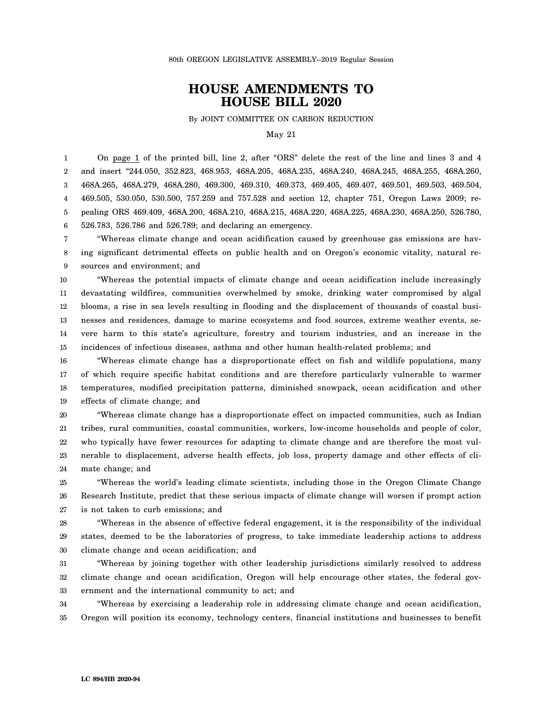## **HOUSE AMENDMENTS TO HOUSE BILL 2020**

By JOINT COMMITTEE ON CARBON REDUCTION

May 21

1 2 3 4 5 6 On page 1 of the printed bill, line 2, after "ORS" delete the rest of the line and lines 3 and 4 and insert "244.050, 352.823, 468.953, 468A.205, 468A.235, 468A.240, 468A.245, 468A.255, 468A.260, 468A.265, 468A.279, 468A.280, 469.300, 469.310, 469.373, 469.405, 469.407, 469.501, 469.503, 469.504, 469.505, 530.050, 530.500, 757.259 and 757.528 and section 12, chapter 751, Oregon Laws 2009; repealing ORS 469.409, 468A.200, 468A.210, 468A.215, 468A.220, 468A.225, 468A.230, 468A.250, 526.780, 526.783, 526.786 and 526.789; and declaring an emergency.

7 8 9 "Whereas climate change and ocean acidification caused by greenhouse gas emissions are having significant detrimental effects on public health and on Oregon's economic vitality, natural resources and environment; and

10 11 12 13 14 15 "Whereas the potential impacts of climate change and ocean acidification include increasingly devastating wildfires, communities overwhelmed by smoke, drinking water compromised by algal blooms, a rise in sea levels resulting in flooding and the displacement of thousands of coastal businesses and residences, damage to marine ecosystems and food sources, extreme weather events, severe harm to this state's agriculture, forestry and tourism industries, and an increase in the incidences of infectious diseases, asthma and other human health-related problems; and

16 17 18 19 "Whereas climate change has a disproportionate effect on fish and wildlife populations, many of which require specific habitat conditions and are therefore particularly vulnerable to warmer temperatures, modified precipitation patterns, diminished snowpack, ocean acidification and other effects of climate change; and

20 21 22 23 24 "Whereas climate change has a disproportionate effect on impacted communities, such as Indian tribes, rural communities, coastal communities, workers, low-income households and people of color, who typically have fewer resources for adapting to climate change and are therefore the most vulnerable to displacement, adverse health effects, job loss, property damage and other effects of climate change; and

25 26 27 "Whereas the world's leading climate scientists, including those in the Oregon Climate Change Research Institute, predict that these serious impacts of climate change will worsen if prompt action is not taken to curb emissions; and

28 29 30 "Whereas in the absence of effective federal engagement, it is the responsibility of the individual states, deemed to be the laboratories of progress, to take immediate leadership actions to address climate change and ocean acidification; and

31 32 33 "Whereas by joining together with other leadership jurisdictions similarly resolved to address climate change and ocean acidification, Oregon will help encourage other states, the federal government and the international community to act; and

34 35 "Whereas by exercising a leadership role in addressing climate change and ocean acidification, Oregon will position its economy, technology centers, financial institutions and businesses to benefit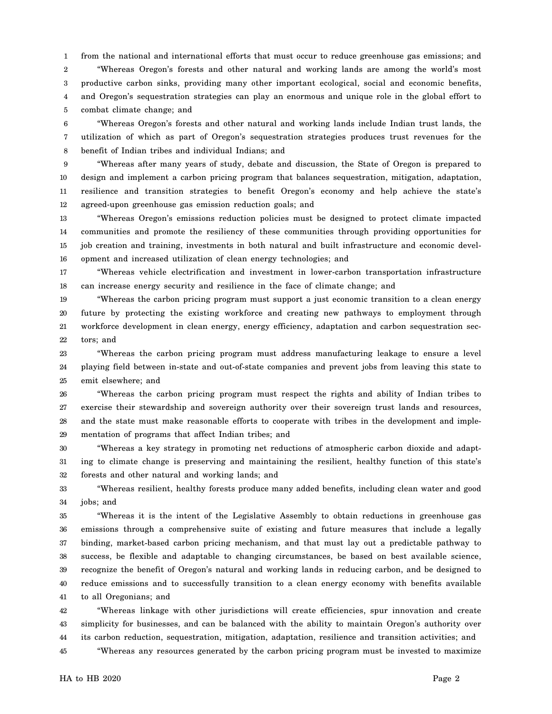1 2 3 4 5 from the national and international efforts that must occur to reduce greenhouse gas emissions; and "Whereas Oregon's forests and other natural and working lands are among the world's most productive carbon sinks, providing many other important ecological, social and economic benefits, and Oregon's sequestration strategies can play an enormous and unique role in the global effort to combat climate change; and

6 7 8 "Whereas Oregon's forests and other natural and working lands include Indian trust lands, the utilization of which as part of Oregon's sequestration strategies produces trust revenues for the benefit of Indian tribes and individual Indians; and

9 10 11 12 "Whereas after many years of study, debate and discussion, the State of Oregon is prepared to design and implement a carbon pricing program that balances sequestration, mitigation, adaptation, resilience and transition strategies to benefit Oregon's economy and help achieve the state's agreed-upon greenhouse gas emission reduction goals; and

13 14 15 16 "Whereas Oregon's emissions reduction policies must be designed to protect climate impacted communities and promote the resiliency of these communities through providing opportunities for job creation and training, investments in both natural and built infrastructure and economic development and increased utilization of clean energy technologies; and

17 18 "Whereas vehicle electrification and investment in lower-carbon transportation infrastructure can increase energy security and resilience in the face of climate change; and

19 20 21 22 "Whereas the carbon pricing program must support a just economic transition to a clean energy future by protecting the existing workforce and creating new pathways to employment through workforce development in clean energy, energy efficiency, adaptation and carbon sequestration sectors; and

23 24 25 "Whereas the carbon pricing program must address manufacturing leakage to ensure a level playing field between in-state and out-of-state companies and prevent jobs from leaving this state to emit elsewhere; and

26 27 28 29 "Whereas the carbon pricing program must respect the rights and ability of Indian tribes to exercise their stewardship and sovereign authority over their sovereign trust lands and resources, and the state must make reasonable efforts to cooperate with tribes in the development and implementation of programs that affect Indian tribes; and

30 31 32 "Whereas a key strategy in promoting net reductions of atmospheric carbon dioxide and adapting to climate change is preserving and maintaining the resilient, healthy function of this state's forests and other natural and working lands; and

33 34 "Whereas resilient, healthy forests produce many added benefits, including clean water and good jobs; and

35 36 37 38 39 40 41 "Whereas it is the intent of the Legislative Assembly to obtain reductions in greenhouse gas emissions through a comprehensive suite of existing and future measures that include a legally binding, market-based carbon pricing mechanism, and that must lay out a predictable pathway to success, be flexible and adaptable to changing circumstances, be based on best available science, recognize the benefit of Oregon's natural and working lands in reducing carbon, and be designed to reduce emissions and to successfully transition to a clean energy economy with benefits available to all Oregonians; and

42 43 44 45 "Whereas linkage with other jurisdictions will create efficiencies, spur innovation and create simplicity for businesses, and can be balanced with the ability to maintain Oregon's authority over its carbon reduction, sequestration, mitigation, adaptation, resilience and transition activities; and "Whereas any resources generated by the carbon pricing program must be invested to maximize

HA to HB 2020 Page 2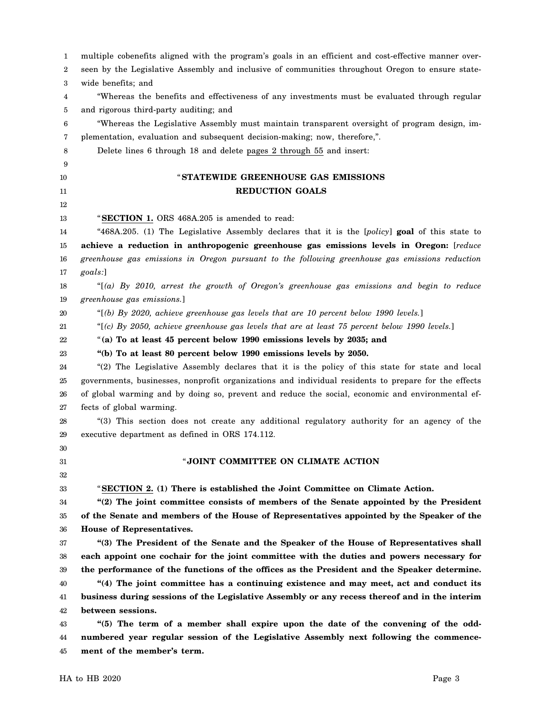| 1  | multiple cobenefits aligned with the program's goals in an efficient and cost-effective manner over- |
|----|------------------------------------------------------------------------------------------------------|
| 2  | seen by the Legislative Assembly and inclusive of communities throughout Oregon to ensure state-     |
| 3  | wide benefits; and                                                                                   |
| 4  | "Whereas the benefits and effectiveness of any investments must be evaluated through regular         |
| 5  | and rigorous third-party auditing; and                                                               |
| 6  | "Whereas the Legislative Assembly must maintain transparent oversight of program design, im-         |
| 7  | plementation, evaluation and subsequent decision-making; now, therefore,".                           |
| 8  | Delete lines 6 through 18 and delete pages 2 through 55 and insert:                                  |
| 9  |                                                                                                      |
| 10 | "STATEWIDE GREENHOUSE GAS EMISSIONS                                                                  |
| 11 | <b>REDUCTION GOALS</b>                                                                               |
| 12 |                                                                                                      |
| 13 | "SECTION 1. ORS 468A.205 is amended to read:                                                         |
| 14 | "468A.205. (1) The Legislative Assembly declares that it is the [policy] goal of this state to       |
| 15 | achieve a reduction in anthropogenic greenhouse gas emissions levels in Oregon: [reduce              |
| 16 | greenhouse gas emissions in Oregon pursuant to the following greenhouse gas emissions reduction      |
| 17 | goals:                                                                                               |
| 18 | "[(a) By 2010, arrest the growth of Oregon's greenhouse gas emissions and begin to reduce            |
| 19 | greenhouse gas emissions.]                                                                           |
| 20 | " $(6)$ By 2020, achieve greenhouse gas levels that are 10 percent below 1990 levels.]               |
| 21 | "[(c) By 2050, achieve greenhouse gas levels that are at least 75 percent below 1990 levels.]        |
| 22 | "(a) To at least 45 percent below 1990 emissions levels by 2035; and                                 |
| 23 | "(b) To at least 80 percent below 1990 emissions levels by 2050.                                     |
| 24 | "(2) The Legislative Assembly declares that it is the policy of this state for state and local       |
| 25 | governments, businesses, nonprofit organizations and individual residents to prepare for the effects |
| 26 | of global warming and by doing so, prevent and reduce the social, economic and environmental ef-     |
| 27 | fects of global warming.                                                                             |
| 28 | "(3) This section does not create any additional regulatory authority for an agency of the           |
| 29 | executive department as defined in ORS 174.112.                                                      |
| 30 |                                                                                                      |
| 31 | "JOINT COMMITTEE ON CLIMATE ACTION                                                                   |
| 32 |                                                                                                      |
| 33 | "SECTION 2. (1) There is established the Joint Committee on Climate Action.                          |
| 34 | "(2) The joint committee consists of members of the Senate appointed by the President                |
| 35 | of the Senate and members of the House of Representatives appointed by the Speaker of the            |
| 36 | House of Representatives.                                                                            |
| 37 | "(3) The President of the Senate and the Speaker of the House of Representatives shall               |
| 38 | each appoint one cochair for the joint committee with the duties and powers necessary for            |
| 39 | the performance of the functions of the offices as the President and the Speaker determine.          |
| 40 | "(4) The joint committee has a continuing existence and may meet, act and conduct its                |
| 41 | business during sessions of the Legislative Assembly or any recess thereof and in the interim        |
| 42 | between sessions.                                                                                    |
| 43 | "(5) The term of a member shall expire upon the date of the convening of the odd-                    |
| 44 | numbered year regular session of the Legislative Assembly next following the commence-               |
| 45 | ment of the member's term.                                                                           |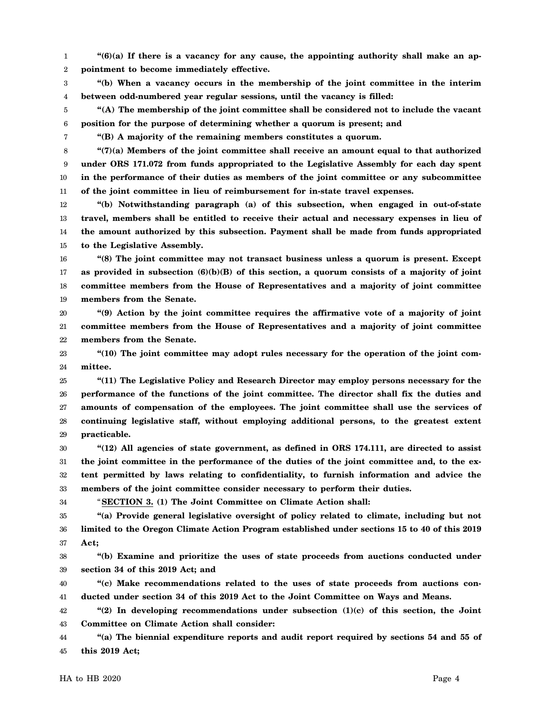1 2 **"(6)(a) If there is a vacancy for any cause, the appointing authority shall make an appointment to become immediately effective.**

3 4 **"(b) When a vacancy occurs in the membership of the joint committee in the interim between odd-numbered year regular sessions, until the vacancy is filled:**

5 6 **"(A) The membership of the joint committee shall be considered not to include the vacant position for the purpose of determining whether a quorum is present; and**

**"(B) A majority of the remaining members constitutes a quorum.**

8 9 10 11 **"(7)(a) Members of the joint committee shall receive an amount equal to that authorized under ORS 171.072 from funds appropriated to the Legislative Assembly for each day spent in the performance of their duties as members of the joint committee or any subcommittee of the joint committee in lieu of reimbursement for in-state travel expenses.**

12 13 14 15 **"(b) Notwithstanding paragraph (a) of this subsection, when engaged in out-of-state travel, members shall be entitled to receive their actual and necessary expenses in lieu of the amount authorized by this subsection. Payment shall be made from funds appropriated to the Legislative Assembly.**

16 17 18 19 **"(8) The joint committee may not transact business unless a quorum is present. Except as provided in subsection (6)(b)(B) of this section, a quorum consists of a majority of joint committee members from the House of Representatives and a majority of joint committee members from the Senate.**

20 21 22 **"(9) Action by the joint committee requires the affirmative vote of a majority of joint committee members from the House of Representatives and a majority of joint committee members from the Senate.**

23 24 **"(10) The joint committee may adopt rules necessary for the operation of the joint committee.**

25 26 27 28 29 **"(11) The Legislative Policy and Research Director may employ persons necessary for the performance of the functions of the joint committee. The director shall fix the duties and amounts of compensation of the employees. The joint committee shall use the services of continuing legislative staff, without employing additional persons, to the greatest extent practicable.**

30 31 32 33 **"(12) All agencies of state government, as defined in ORS 174.111, are directed to assist the joint committee in the performance of the duties of the joint committee and, to the extent permitted by laws relating to confidentiality, to furnish information and advice the members of the joint committee consider necessary to perform their duties.**

34

7

"**SECTION 3. (1) The Joint Committee on Climate Action shall:**

35 36 37 **"(a) Provide general legislative oversight of policy related to climate, including but not limited to the Oregon Climate Action Program established under sections 15 to 40 of this 2019 Act;**

38 39 **"(b) Examine and prioritize the uses of state proceeds from auctions conducted under section 34 of this 2019 Act; and**

40 41 **"(c) Make recommendations related to the uses of state proceeds from auctions conducted under section 34 of this 2019 Act to the Joint Committee on Ways and Means.**

42 43 **"(2) In developing recommendations under subsection (1)(c) of this section, the Joint Committee on Climate Action shall consider:**

44 45 **"(a) The biennial expenditure reports and audit report required by sections 54 and 55 of this 2019 Act;**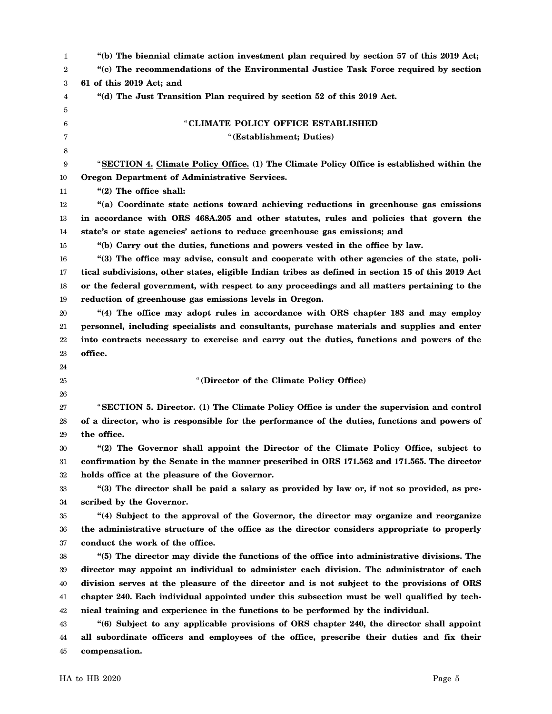1 2 3 4 5 6 7 8 9 10 11 12 13 14 15 16 17 18 19 20 21 22 23 24 25 26 27 28 29 30 31 32 33 34 35 36 37 38 39 40 41 42 43 44 **"(b) The biennial climate action investment plan required by section 57 of this 2019 Act; "(c) The recommendations of the Environmental Justice Task Force required by section 61 of this 2019 Act; and "(d) The Just Transition Plan required by section 52 of this 2019 Act.** "**CLIMATE POLICY OFFICE ESTABLISHED** "**(Establishment; Duties)** "**SECTION 4. Climate Policy Office. (1) The Climate Policy Office is established within the Oregon Department of Administrative Services. "(2) The office shall: "(a) Coordinate state actions toward achieving reductions in greenhouse gas emissions in accordance with ORS 468A.205 and other statutes, rules and policies that govern the state's or state agencies' actions to reduce greenhouse gas emissions; and "(b) Carry out the duties, functions and powers vested in the office by law. "(3) The office may advise, consult and cooperate with other agencies of the state, political subdivisions, other states, eligible Indian tribes as defined in section 15 of this 2019 Act or the federal government, with respect to any proceedings and all matters pertaining to the reduction of greenhouse gas emissions levels in Oregon. "(4) The office may adopt rules in accordance with ORS chapter 183 and may employ personnel, including specialists and consultants, purchase materials and supplies and enter into contracts necessary to exercise and carry out the duties, functions and powers of the office.** "**(Director of the Climate Policy Office)** "**SECTION 5. Director. (1) The Climate Policy Office is under the supervision and control of a director, who is responsible for the performance of the duties, functions and powers of the office. "(2) The Governor shall appoint the Director of the Climate Policy Office, subject to confirmation by the Senate in the manner prescribed in ORS 171.562 and 171.565. The director holds office at the pleasure of the Governor. "(3) The director shall be paid a salary as provided by law or, if not so provided, as prescribed by the Governor. "(4) Subject to the approval of the Governor, the director may organize and reorganize the administrative structure of the office as the director considers appropriate to properly conduct the work of the office. "(5) The director may divide the functions of the office into administrative divisions. The director may appoint an individual to administer each division. The administrator of each division serves at the pleasure of the director and is not subject to the provisions of ORS chapter 240. Each individual appointed under this subsection must be well qualified by technical training and experience in the functions to be performed by the individual. "(6) Subject to any applicable provisions of ORS chapter 240, the director shall appoint all subordinate officers and employees of the office, prescribe their duties and fix their**

**compensation.**

45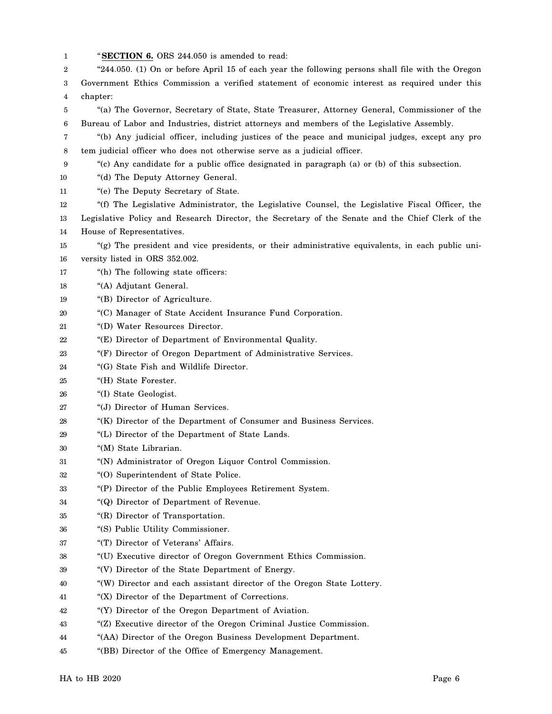1 "**SECTION 6.** ORS 244.050 is amended to read:

2 3 4 "244.050. (1) On or before April 15 of each year the following persons shall file with the Oregon Government Ethics Commission a verified statement of economic interest as required under this chapter:

- 5 6 "(a) The Governor, Secretary of State, State Treasurer, Attorney General, Commissioner of the Bureau of Labor and Industries, district attorneys and members of the Legislative Assembly.
- 7 8 "(b) Any judicial officer, including justices of the peace and municipal judges, except any pro tem judicial officer who does not otherwise serve as a judicial officer.
- 9 "(c) Any candidate for a public office designated in paragraph (a) or (b) of this subsection.
- 10 "(d) The Deputy Attorney General.
- 11 "(e) The Deputy Secretary of State.
- 12 13 14 "(f) The Legislative Administrator, the Legislative Counsel, the Legislative Fiscal Officer, the Legislative Policy and Research Director, the Secretary of the Senate and the Chief Clerk of the House of Representatives.
- 15 16  $(g)$  The president and vice presidents, or their administrative equivalents, in each public university listed in ORS 352.002.
- 17 "(h) The following state officers:
- 18 "(A) Adjutant General.
- 19 "(B) Director of Agriculture.
- 20 "(C) Manager of State Accident Insurance Fund Corporation.
- 21 "(D) Water Resources Director.
- 22 "(E) Director of Department of Environmental Quality.
- 23 "(F) Director of Oregon Department of Administrative Services.
- 24 "(G) State Fish and Wildlife Director.
- 25 "(H) State Forester.
- 26 "(I) State Geologist.
- 27 "(J) Director of Human Services.
- 28 "(K) Director of the Department of Consumer and Business Services.
- 29 "(L) Director of the Department of State Lands.
- 30 "(M) State Librarian.
- 31 "(N) Administrator of Oregon Liquor Control Commission.
- 32 "(O) Superintendent of State Police.
- 33 "(P) Director of the Public Employees Retirement System.
- 34 "(Q) Director of Department of Revenue.
- 35 "(R) Director of Transportation.
- 36 "(S) Public Utility Commissioner.
- 37 "(T) Director of Veterans' Affairs.
- 38 "(U) Executive director of Oregon Government Ethics Commission.
- 39 "(V) Director of the State Department of Energy.
- 40 "(W) Director and each assistant director of the Oregon State Lottery.
- 41 "(X) Director of the Department of Corrections.
- 42 "(Y) Director of the Oregon Department of Aviation.
- 43 "(Z) Executive director of the Oregon Criminal Justice Commission.
- 44 "(AA) Director of the Oregon Business Development Department.
- 45 "(BB) Director of the Office of Emergency Management.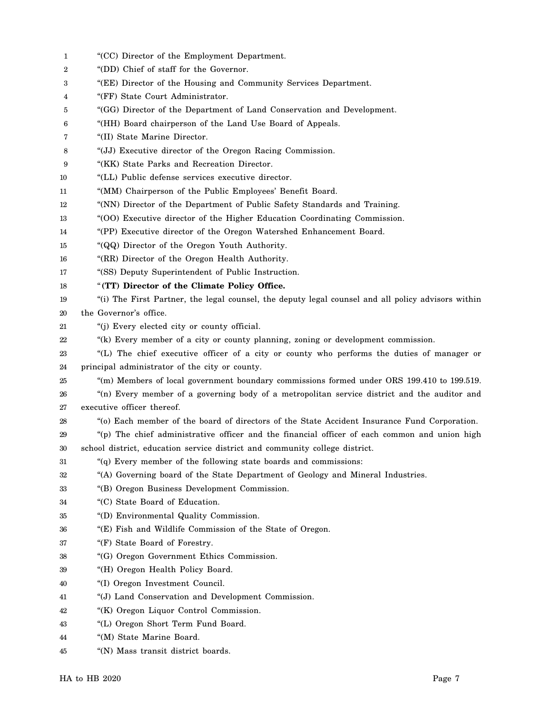| 1  | "(CC) Director of the Employment Department.                                                       |
|----|----------------------------------------------------------------------------------------------------|
| 2  | "(DD) Chief of staff for the Governor.                                                             |
| 3  | "(EE) Director of the Housing and Community Services Department.                                   |
| 4  | "(FF) State Court Administrator.                                                                   |
| 5  | "(GG) Director of the Department of Land Conservation and Development.                             |
| 6  | "(HH) Board chairperson of the Land Use Board of Appeals.                                          |
| 7  | "(II) State Marine Director.                                                                       |
| 8  | "(JJ) Executive director of the Oregon Racing Commission.                                          |
| 9  | "(KK) State Parks and Recreation Director.                                                         |
| 10 | "(LL) Public defense services executive director.                                                  |
| 11 | "(MM) Chairperson of the Public Employees' Benefit Board.                                          |
| 12 | "(NN) Director of the Department of Public Safety Standards and Training.                          |
| 13 | "(OO) Executive director of the Higher Education Coordinating Commission.                          |
| 14 | "(PP) Executive director of the Oregon Watershed Enhancement Board.                                |
| 15 | "(QQ) Director of the Oregon Youth Authority.                                                      |
| 16 | "(RR) Director of the Oregon Health Authority.                                                     |
| 17 | "(SS) Deputy Superintendent of Public Instruction.                                                 |
| 18 | "(TT) Director of the Climate Policy Office.                                                       |
| 19 | "(i) The First Partner, the legal counsel, the deputy legal counsel and all policy advisors within |
| 20 | the Governor's office.                                                                             |
| 21 | "(j) Every elected city or county official.                                                        |
| 22 | "(k) Every member of a city or county planning, zoning or development commission.                  |
| 23 | "(L) The chief executive officer of a city or county who performs the duties of manager or         |
| 24 | principal administrator of the city or county.                                                     |
| 25 | "(m) Members of local government boundary commissions formed under ORS 199.410 to 199.519.         |
| 26 | "(n) Every member of a governing body of a metropolitan service district and the auditor and       |
| 27 | executive officer thereof.                                                                         |
| 28 | "(o) Each member of the board of directors of the State Accident Insurance Fund Corporation.       |
| 29 | "(p) The chief administrative officer and the financial officer of each common and union high      |
| 30 | school district, education service district and community college district.                        |
| 31 | "(q) Every member of the following state boards and commissions:                                   |
| 32 | "(A) Governing board of the State Department of Geology and Mineral Industries.                    |
| 33 | "(B) Oregon Business Development Commission.                                                       |
| 34 | "(C) State Board of Education.                                                                     |
| 35 | "(D) Environmental Quality Commission.                                                             |
| 36 | "(E) Fish and Wildlife Commission of the State of Oregon.                                          |
| 37 | "(F) State Board of Forestry.                                                                      |
| 38 | "(G) Oregon Government Ethics Commission.                                                          |
| 39 | "(H) Oregon Health Policy Board.                                                                   |
| 40 | "(I) Oregon Investment Council.                                                                    |
| 41 | "(J) Land Conservation and Development Commission.                                                 |
| 42 | "(K) Oregon Liquor Control Commission.                                                             |
| 43 | "(L) Oregon Short Term Fund Board.                                                                 |
| 44 | "(M) State Marine Board.                                                                           |
| 45 | "(N) Mass transit district boards.                                                                 |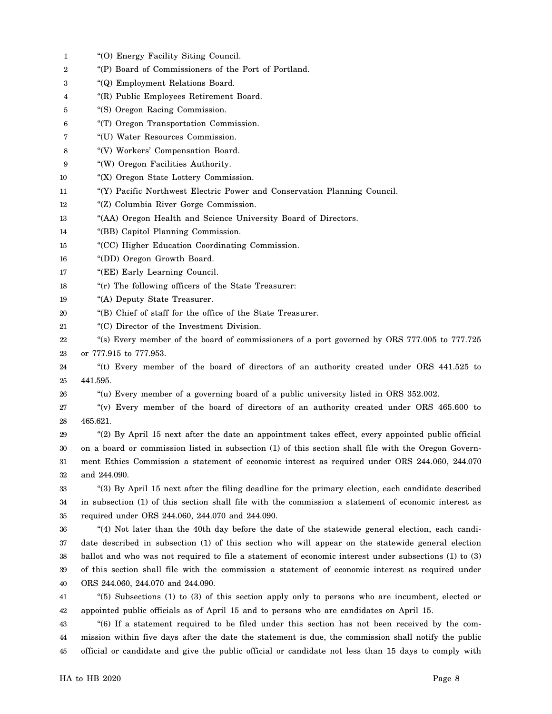| 1      | "(O) Energy Facility Siting Council.                                                                  |
|--------|-------------------------------------------------------------------------------------------------------|
| 2      | "(P) Board of Commissioners of the Port of Portland.                                                  |
| 3      | "(Q) Employment Relations Board.                                                                      |
| 4      | "(R) Public Employees Retirement Board.                                                               |
| 5      | "(S) Oregon Racing Commission.                                                                        |
| 6      | "(T) Oregon Transportation Commission.                                                                |
| 7      | "(U) Water Resources Commission.                                                                      |
| 8      | "(V) Workers' Compensation Board.                                                                     |
| 9      | "(W) Oregon Facilities Authority.                                                                     |
| 10     | "(X) Oregon State Lottery Commission.                                                                 |
| 11     | "(Y) Pacific Northwest Electric Power and Conservation Planning Council.                              |
| 12     | "(Z) Columbia River Gorge Commission.                                                                 |
| 13     | "(AA) Oregon Health and Science University Board of Directors.                                        |
| 14     | "(BB) Capitol Planning Commission.                                                                    |
| 15     | "(CC) Higher Education Coordinating Commission.                                                       |
| 16     | "(DD) Oregon Growth Board.                                                                            |
| 17     | "(EE) Early Learning Council.                                                                         |
| 18     | "(r) The following officers of the State Treasurer:                                                   |
| 19     | "(A) Deputy State Treasurer.                                                                          |
| 20     | "(B) Chief of staff for the office of the State Treasurer.                                            |
| 21     | "(C) Director of the Investment Division.                                                             |
| 22     | "(s) Every member of the board of commissioners of a port governed by ORS 777.005 to 777.725          |
| 23     | or 777.915 to 777.953.                                                                                |
| 24     | "(t) Every member of the board of directors of an authority created under ORS 441.525 to              |
| 25     | 441.595.                                                                                              |
| 26     | "(u) Every member of a governing board of a public university listed in ORS 352.002.                  |
| 27     | "(v) Every member of the board of directors of an authority created under ORS 465.600 to              |
| 28     | 465.621.                                                                                              |
| 29     | "(2) By April 15 next after the date an appointment takes effect, every appointed public official     |
| 30     | on a board or commission listed in subsection (1) of this section shall file with the Oregon Govern-  |
| 31     | ment Ethics Commission a statement of economic interest as required under ORS 244.060, 244.070        |
| $32\,$ | and 244.090.                                                                                          |
| 33     | "(3) By April 15 next after the filing deadline for the primary election, each candidate described    |
| 34     | in subsection (1) of this section shall file with the commission a statement of economic interest as  |
| 35     | required under ORS 244.060, 244.070 and 244.090.                                                      |
| 36     | "(4) Not later than the 40th day before the date of the statewide general election, each candi-       |
| 37     | date described in subsection (1) of this section who will appear on the statewide general election    |
| 38     | ballot and who was not required to file a statement of economic interest under subsections (1) to (3) |
| 39     | of this section shall file with the commission a statement of economic interest as required under     |
| 40     | ORS 244.060, 244.070 and 244.090.                                                                     |
| 41     | "(5) Subsections (1) to (3) of this section apply only to persons who are incumbent, elected or       |
| 42     | appointed public officials as of April 15 and to persons who are candidates on April 15.              |
| 43     | "(6) If a statement required to be filed under this section has not been received by the com-         |
| 44     | mission within five days after the date the statement is due, the commission shall notify the public  |
| 45     | official or candidate and give the public official or candidate not less than 15 days to comply with  |
|        |                                                                                                       |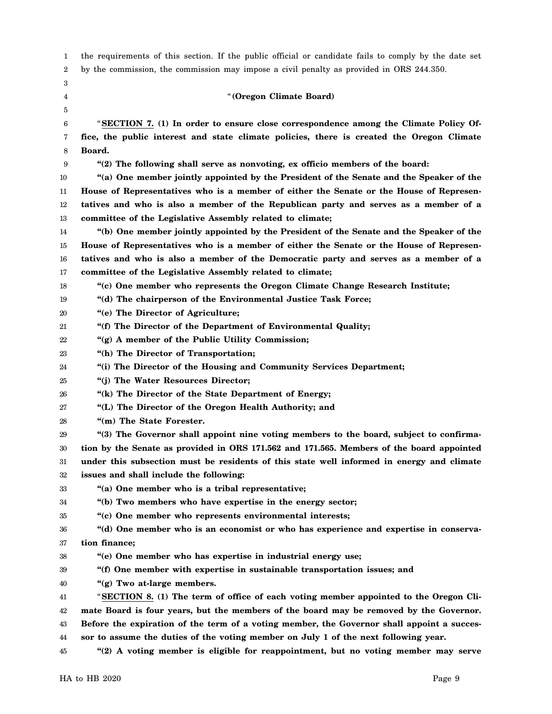1 2 3 4 5 6 7 8 9 10 11 12 13 14 15 16 17 18 19 20 21 22 23 24 25 26 27 28 29 30 31 32 33 34 35 36 37 38 39 40 41 42 43 44 45 the requirements of this section. If the public official or candidate fails to comply by the date set by the commission, the commission may impose a civil penalty as provided in ORS 244.350. "**(Oregon Climate Board)** "**SECTION 7. (1) In order to ensure close correspondence among the Climate Policy Office, the public interest and state climate policies, there is created the Oregon Climate Board. "(2) The following shall serve as nonvoting, ex officio members of the board: "(a) One member jointly appointed by the President of the Senate and the Speaker of the House of Representatives who is a member of either the Senate or the House of Representatives and who is also a member of the Republican party and serves as a member of a committee of the Legislative Assembly related to climate; "(b) One member jointly appointed by the President of the Senate and the Speaker of the House of Representatives who is a member of either the Senate or the House of Representatives and who is also a member of the Democratic party and serves as a member of a committee of the Legislative Assembly related to climate; "(c) One member who represents the Oregon Climate Change Research Institute; "(d) The chairperson of the Environmental Justice Task Force; "(e) The Director of Agriculture; "(f) The Director of the Department of Environmental Quality; "(g) A member of the Public Utility Commission; "(h) The Director of Transportation; "(i) The Director of the Housing and Community Services Department; "(j) The Water Resources Director; "(k) The Director of the State Department of Energy; "(L) The Director of the Oregon Health Authority; and "(m) The State Forester. "(3) The Governor shall appoint nine voting members to the board, subject to confirmation by the Senate as provided in ORS 171.562 and 171.565. Members of the board appointed under this subsection must be residents of this state well informed in energy and climate issues and shall include the following: "(a) One member who is a tribal representative; "(b) Two members who have expertise in the energy sector; "(c) One member who represents environmental interests; "(d) One member who is an economist or who has experience and expertise in conservation finance; "(e) One member who has expertise in industrial energy use; "(f) One member with expertise in sustainable transportation issues; and "(g) Two at-large members.** "**SECTION 8. (1) The term of office of each voting member appointed to the Oregon Climate Board is four years, but the members of the board may be removed by the Governor. Before the expiration of the term of a voting member, the Governor shall appoint a successor to assume the duties of the voting member on July 1 of the next following year. "(2) A voting member is eligible for reappointment, but no voting member may serve**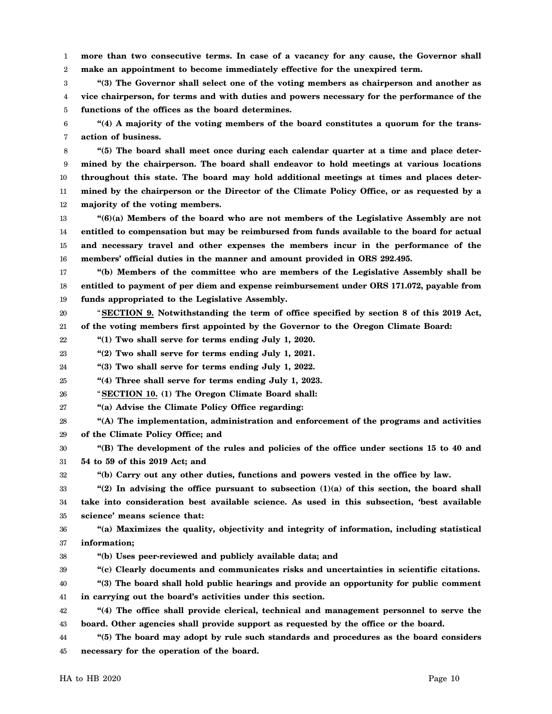1 2 **more than two consecutive terms. In case of a vacancy for any cause, the Governor shall make an appointment to become immediately effective for the unexpired term.**

3 4 5 **"(3) The Governor shall select one of the voting members as chairperson and another as vice chairperson, for terms and with duties and powers necessary for the performance of the functions of the offices as the board determines.**

6 7 **"(4) A majority of the voting members of the board constitutes a quorum for the transaction of business.**

8 9 10 11 12 **"(5) The board shall meet once during each calendar quarter at a time and place determined by the chairperson. The board shall endeavor to hold meetings at various locations throughout this state. The board may hold additional meetings at times and places determined by the chairperson or the Director of the Climate Policy Office, or as requested by a majority of the voting members.**

13 14 15 16 **"(6)(a) Members of the board who are not members of the Legislative Assembly are not entitled to compensation but may be reimbursed from funds available to the board for actual and necessary travel and other expenses the members incur in the performance of the members' official duties in the manner and amount provided in ORS 292.495.**

17 18 19 **"(b) Members of the committee who are members of the Legislative Assembly shall be entitled to payment of per diem and expense reimbursement under ORS 171.072, payable from funds appropriated to the Legislative Assembly.**

20 21 "**SECTION 9. Notwithstanding the term of office specified by section 8 of this 2019 Act, of the voting members first appointed by the Governor to the Oregon Climate Board:**

22 **"(1) Two shall serve for terms ending July 1, 2020.**

23 **"(2) Two shall serve for terms ending July 1, 2021.**

24 **"(3) Two shall serve for terms ending July 1, 2022.**

25 **"(4) Three shall serve for terms ending July 1, 2023.**

26 "**SECTION 10. (1) The Oregon Climate Board shall:**

27 **"(a) Advise the Climate Policy Office regarding:**

28 29 **"(A) The implementation, administration and enforcement of the programs and activities of the Climate Policy Office; and**

30 31 **"(B) The development of the rules and policies of the office under sections 15 to 40 and 54 to 59 of this 2019 Act; and**

32

**"(b) Carry out any other duties, functions and powers vested in the office by law.**

33 34 35 **"(2) In advising the office pursuant to subsection (1)(a) of this section, the board shall take into consideration best available science. As used in this subsection, 'best available science' means science that:**

36 37 **"(a) Maximizes the quality, objectivity and integrity of information, including statistical information;**

38 **"(b) Uses peer-reviewed and publicly available data; and**

39 **"(c) Clearly documents and communicates risks and uncertainties in scientific citations.**

40 41 **"(3) The board shall hold public hearings and provide an opportunity for public comment in carrying out the board's activities under this section.**

42 43 **"(4) The office shall provide clerical, technical and management personnel to serve the board. Other agencies shall provide support as requested by the office or the board.**

44 45 **"(5) The board may adopt by rule such standards and procedures as the board considers necessary for the operation of the board.**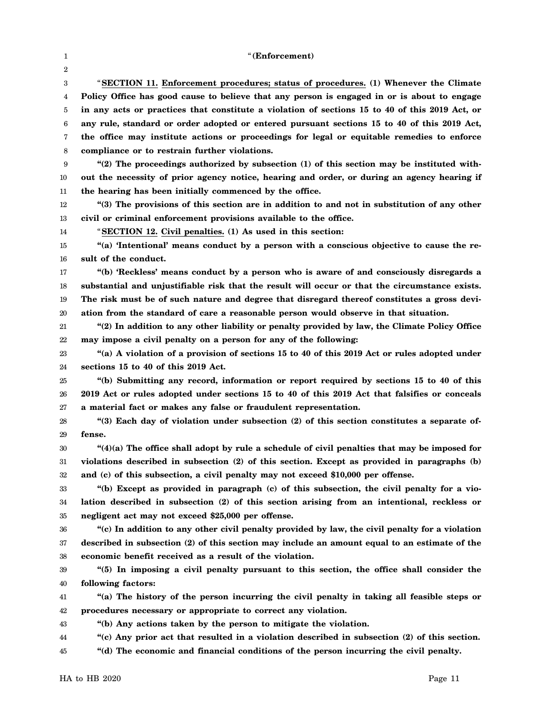| 1  | "(Enforcement)                                                                                  |
|----|-------------------------------------------------------------------------------------------------|
| 2  |                                                                                                 |
| 3  | "SECTION 11. Enforcement procedures; status of procedures. (1) Whenever the Climate             |
| 4  | Policy Office has good cause to believe that any person is engaged in or is about to engage     |
| 5  | in any acts or practices that constitute a violation of sections 15 to 40 of this 2019 Act, or  |
| 6  | any rule, standard or order adopted or entered pursuant sections 15 to 40 of this 2019 Act,     |
| 7  | the office may institute actions or proceedings for legal or equitable remedies to enforce      |
| 8  | compliance or to restrain further violations.                                                   |
| 9  | " $(2)$ The proceedings authorized by subsection $(1)$ of this section may be instituted with-  |
| 10 | out the necessity of prior agency notice, hearing and order, or during an agency hearing if     |
| 11 | the hearing has been initially commenced by the office.                                         |
| 12 | "(3) The provisions of this section are in addition to and not in substitution of any other     |
| 13 | civil or criminal enforcement provisions available to the office.                               |
| 14 | "SECTION 12. Civil penalties. (1) As used in this section:                                      |
| 15 | "(a) 'Intentional' means conduct by a person with a conscious objective to cause the re-        |
| 16 | sult of the conduct.                                                                            |
| 17 | "(b) 'Reckless' means conduct by a person who is aware of and consciously disregards a          |
| 18 | substantial and unjustifiable risk that the result will occur or that the circumstance exists.  |
| 19 | The risk must be of such nature and degree that disregard thereof constitutes a gross devi-     |
| 20 | ation from the standard of care a reasonable person would observe in that situation.            |
| 21 | "(2) In addition to any other liability or penalty provided by law, the Climate Policy Office   |
| 22 | may impose a civil penalty on a person for any of the following:                                |
| 23 | "(a) A violation of a provision of sections 15 to 40 of this 2019 Act or rules adopted under    |
| 24 | sections 15 to 40 of this 2019 Act.                                                             |
| 25 | "(b) Submitting any record, information or report required by sections 15 to 40 of this         |
| 26 | 2019 Act or rules adopted under sections 15 to 40 of this 2019 Act that falsifies or conceals   |
| 27 | a material fact or makes any false or fraudulent representation.                                |
| 28 | "(3) Each day of violation under subsection (2) of this section constitutes a separate of-      |
| 29 | fense.                                                                                          |
| 30 | " $(4)(a)$ The office shall adopt by rule a schedule of civil penalties that may be imposed for |
| 31 | violations described in subsection (2) of this section. Except as provided in paragraphs (b)    |
| 32 | and (c) of this subsection, a civil penalty may not exceed \$10,000 per offense.                |
| 33 | "(b) Except as provided in paragraph (c) of this subsection, the civil penalty for a vio-       |
| 34 | lation described in subsection (2) of this section arising from an intentional, reckless or     |
| 35 | negligent act may not exceed \$25,000 per offense.                                              |
| 36 | "(c) In addition to any other civil penalty provided by law, the civil penalty for a violation  |
| 37 | described in subsection (2) of this section may include an amount equal to an estimate of the   |
| 38 | economic benefit received as a result of the violation.                                         |
| 39 | "(5) In imposing a civil penalty pursuant to this section, the office shall consider the        |
| 40 | following factors:                                                                              |
| 41 | "(a) The history of the person incurring the civil penalty in taking all feasible steps or      |
| 42 | procedures necessary or appropriate to correct any violation.                                   |
| 43 | "(b) Any actions taken by the person to mitigate the violation.                                 |
| 44 | "(c) Any prior act that resulted in a violation described in subsection (2) of this section.    |
| 45 | "(d) The economic and financial conditions of the person incurring the civil penalty.           |
|    |                                                                                                 |
|    | HA to HB 2020<br>Page 11                                                                        |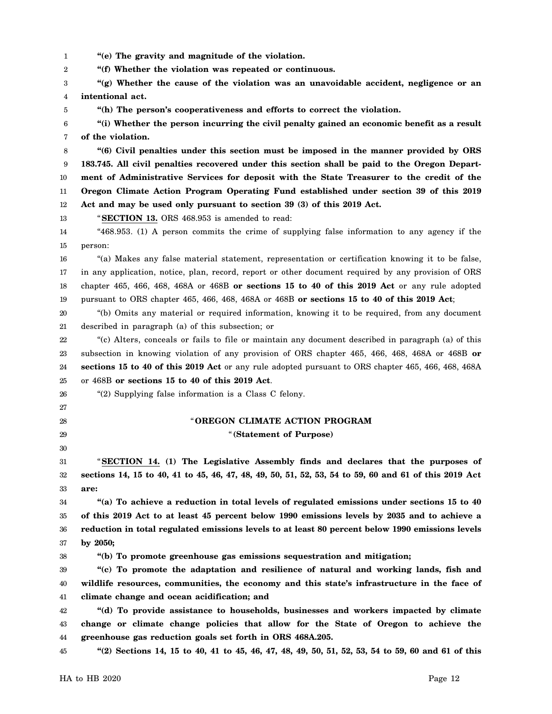| 1  | "(e) The gravity and magnitude of the violation.                                                      |
|----|-------------------------------------------------------------------------------------------------------|
| 2  | "(f) Whether the violation was repeated or continuous.                                                |
| 3  | "(g) Whether the cause of the violation was an unavoidable accident, negligence or an                 |
| 4  | intentional act.                                                                                      |
| 5  | "(h) The person's cooperativeness and efforts to correct the violation.                               |
| 6  | "(i) Whether the person incurring the civil penalty gained an economic benefit as a result            |
| 7  | of the violation.                                                                                     |
| 8  | "(6) Civil penalties under this section must be imposed in the manner provided by ORS                 |
| 9  | 183.745. All civil penalties recovered under this section shall be paid to the Oregon Depart-         |
| 10 | ment of Administrative Services for deposit with the State Treasurer to the credit of the             |
| 11 | Oregon Climate Action Program Operating Fund established under section 39 of this 2019                |
| 12 | Act and may be used only pursuant to section 39 (3) of this 2019 Act.                                 |
| 13 | "SECTION 13. ORS 468.953 is amended to read:                                                          |
| 14 | "468.953. (1) A person commits the crime of supplying false information to any agency if the          |
| 15 | person:                                                                                               |
| 16 | "(a) Makes any false material statement, representation or certification knowing it to be false,      |
| 17 | in any application, notice, plan, record, report or other document required by any provision of ORS   |
| 18 | chapter 465, 466, 468, 468A or 468B or sections 15 to 40 of this 2019 Act or any rule adopted         |
| 19 | pursuant to ORS chapter 465, 466, 468, 468A or 468B or sections 15 to 40 of this 2019 Act;            |
| 20 | "(b) Omits any material or required information, knowing it to be required, from any document         |
| 21 | described in paragraph (a) of this subsection; or                                                     |
| 22 | "(c) Alters, conceals or fails to file or maintain any document described in paragraph (a) of this    |
| 23 | subsection in knowing violation of any provision of ORS chapter 465, 466, 468, 468A or 468B or        |
| 24 | sections 15 to 40 of this 2019 Act or any rule adopted pursuant to ORS chapter 465, 466, 468, 468A    |
| 25 | or 468B or sections 15 to 40 of this 2019 Act.                                                        |
| 26 | "(2) Supplying false information is a Class C felony.                                                 |
| 27 |                                                                                                       |
| 28 | "OREGON CLIMATE ACTION PROGRAM                                                                        |
| 29 | "(Statement of Purpose)                                                                               |
| 30 |                                                                                                       |
| 31 | "SECTION 14. (1) The Legislative Assembly finds and declares that the purposes of                     |
| 32 | sections 14, 15 to 40, 41 to 45, 46, 47, 48, 49, 50, 51, 52, 53, 54 to 59, 60 and 61 of this 2019 Act |
| 33 | are:                                                                                                  |
| 34 | "(a) To achieve a reduction in total levels of regulated emissions under sections 15 to 40            |
| 35 | of this 2019 Act to at least 45 percent below 1990 emissions levels by 2035 and to achieve a          |
| 36 | reduction in total regulated emissions levels to at least 80 percent below 1990 emissions levels      |
| 37 | by 2050;                                                                                              |
| 38 | "(b) To promote greenhouse gas emissions sequestration and mitigation;                                |
| 39 | "(c) To promote the adaptation and resilience of natural and working lands, fish and                  |
| 40 | wildlife resources, communities, the economy and this state's infrastructure in the face of           |
| 41 | climate change and ocean acidification; and                                                           |
| 42 | "(d) To provide assistance to households, businesses and workers impacted by climate                  |
| 43 | change or climate change policies that allow for the State of Oregon to achieve the                   |
| 44 | greenhouse gas reduction goals set forth in ORS 468A.205.                                             |
|    | "(2) Sections 14, 15 to 40, 41 to 45, 46, 47, 48, 49, 50, 51, 52, 53, 54 to 59, 60 and 61 of this     |
| 45 |                                                                                                       |
|    | HA to HB 2020<br>Page 12                                                                              |
|    |                                                                                                       |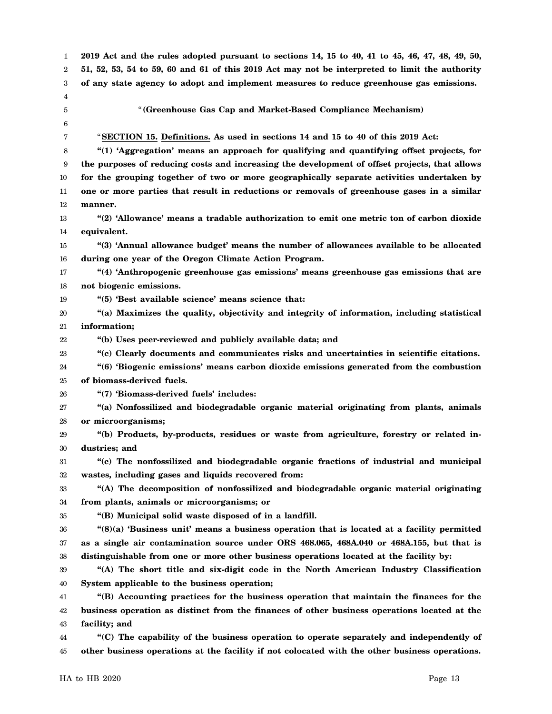1 2 3 4 5 6 7 8 9 10 11 12 13 14 15 16 17 18 19 20 21 22 23 24 25 26 27 28 29 30 31 32 33 34 35 36 37 38 39 40 41 42 43 44 45 **2019 Act and the rules adopted pursuant to sections 14, 15 to 40, 41 to 45, 46, 47, 48, 49, 50, 51, 52, 53, 54 to 59, 60 and 61 of this 2019 Act may not be interpreted to limit the authority of any state agency to adopt and implement measures to reduce greenhouse gas emissions.** "**(Greenhouse Gas Cap and Market-Based Compliance Mechanism)** "**SECTION 15. Definitions. As used in sections 14 and 15 to 40 of this 2019 Act: "(1) 'Aggregation' means an approach for qualifying and quantifying offset projects, for the purposes of reducing costs and increasing the development of offset projects, that allows for the grouping together of two or more geographically separate activities undertaken by one or more parties that result in reductions or removals of greenhouse gases in a similar manner. "(2) 'Allowance' means a tradable authorization to emit one metric ton of carbon dioxide equivalent. "(3) 'Annual allowance budget' means the number of allowances available to be allocated during one year of the Oregon Climate Action Program. "(4) 'Anthropogenic greenhouse gas emissions' means greenhouse gas emissions that are not biogenic emissions. "(5) 'Best available science' means science that: "(a) Maximizes the quality, objectivity and integrity of information, including statistical information; "(b) Uses peer-reviewed and publicly available data; and "(c) Clearly documents and communicates risks and uncertainties in scientific citations. "(6) 'Biogenic emissions' means carbon dioxide emissions generated from the combustion of biomass-derived fuels. "(7) 'Biomass-derived fuels' includes: "(a) Nonfossilized and biodegradable organic material originating from plants, animals or microorganisms; "(b) Products, by-products, residues or waste from agriculture, forestry or related industries; and "(c) The nonfossilized and biodegradable organic fractions of industrial and municipal wastes, including gases and liquids recovered from: "(A) The decomposition of nonfossilized and biodegradable organic material originating from plants, animals or microorganisms; or "(B) Municipal solid waste disposed of in a landfill. "(8)(a) 'Business unit' means a business operation that is located at a facility permitted as a single air contamination source under ORS 468.065, 468A.040 or 468A.155, but that is distinguishable from one or more other business operations located at the facility by: "(A) The short title and six-digit code in the North American Industry Classification System applicable to the business operation; "(B) Accounting practices for the business operation that maintain the finances for the business operation as distinct from the finances of other business operations located at the facility; and "(C) The capability of the business operation to operate separately and independently of other business operations at the facility if not colocated with the other business operations.**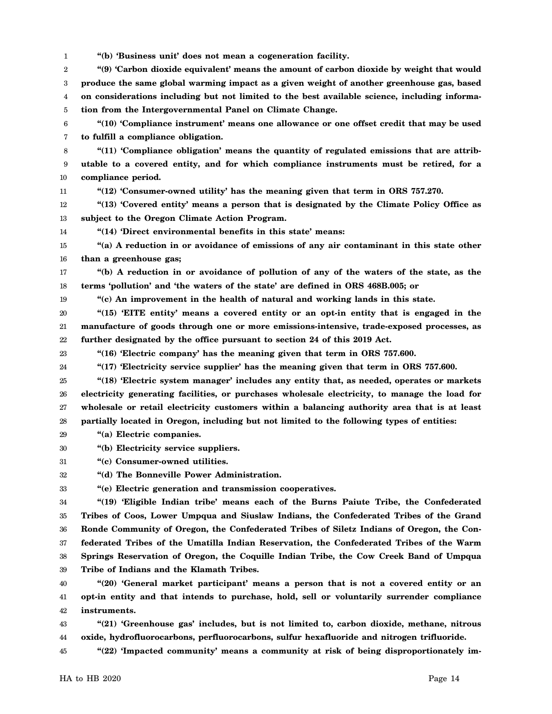1 **"(b) 'Business unit' does not mean a cogeneration facility.**

2 3 4 5 **"(9) 'Carbon dioxide equivalent' means the amount of carbon dioxide by weight that would produce the same global warming impact as a given weight of another greenhouse gas, based on considerations including but not limited to the best available science, including information from the Intergovernmental Panel on Climate Change.**

6 7 **"(10) 'Compliance instrument' means one allowance or one offset credit that may be used to fulfill a compliance obligation.**

8 9 10 **"(11) 'Compliance obligation' means the quantity of regulated emissions that are attributable to a covered entity, and for which compliance instruments must be retired, for a compliance period.**

11 **"(12) 'Consumer-owned utility' has the meaning given that term in ORS 757.270.**

12 13 **"(13) 'Covered entity' means a person that is designated by the Climate Policy Office as subject to the Oregon Climate Action Program.**

14 **"(14) 'Direct environmental benefits in this state' means:**

15 16 **"(a) A reduction in or avoidance of emissions of any air contaminant in this state other than a greenhouse gas;**

17 18 **"(b) A reduction in or avoidance of pollution of any of the waters of the state, as the terms 'pollution' and 'the waters of the state' are defined in ORS 468B.005; or**

**"(c) An improvement in the health of natural and working lands in this state.**

20 21 22 **"(15) 'EITE entity' means a covered entity or an opt-in entity that is engaged in the manufacture of goods through one or more emissions-intensive, trade-exposed processes, as further designated by the office pursuant to section 24 of this 2019 Act.**

23 **"(16) 'Electric company' has the meaning given that term in ORS 757.600.**

24 **"(17) 'Electricity service supplier' has the meaning given that term in ORS 757.600.**

25 26 27 28 **"(18) 'Electric system manager' includes any entity that, as needed, operates or markets electricity generating facilities, or purchases wholesale electricity, to manage the load for wholesale or retail electricity customers within a balancing authority area that is at least partially located in Oregon, including but not limited to the following types of entities:**

29 **"(a) Electric companies.**

19

30 **"(b) Electricity service suppliers.**

31 **"(c) Consumer-owned utilities.**

32 **"(d) The Bonneville Power Administration.**

33 **"(e) Electric generation and transmission cooperatives.**

34 35 36 37 38 39 **"(19) 'Eligible Indian tribe' means each of the Burns Paiute Tribe, the Confederated Tribes of Coos, Lower Umpqua and Siuslaw Indians, the Confederated Tribes of the Grand Ronde Community of Oregon, the Confederated Tribes of Siletz Indians of Oregon, the Confederated Tribes of the Umatilla Indian Reservation, the Confederated Tribes of the Warm Springs Reservation of Oregon, the Coquille Indian Tribe, the Cow Creek Band of Umpqua Tribe of Indians and the Klamath Tribes.**

40 41 42 **"(20) 'General market participant' means a person that is not a covered entity or an opt-in entity and that intends to purchase, hold, sell or voluntarily surrender compliance instruments.**

43 44 **"(21) 'Greenhouse gas' includes, but is not limited to, carbon dioxide, methane, nitrous oxide, hydrofluorocarbons, perfluorocarbons, sulfur hexafluoride and nitrogen trifluoride.**

45 **"(22) 'Impacted community' means a community at risk of being disproportionately im-**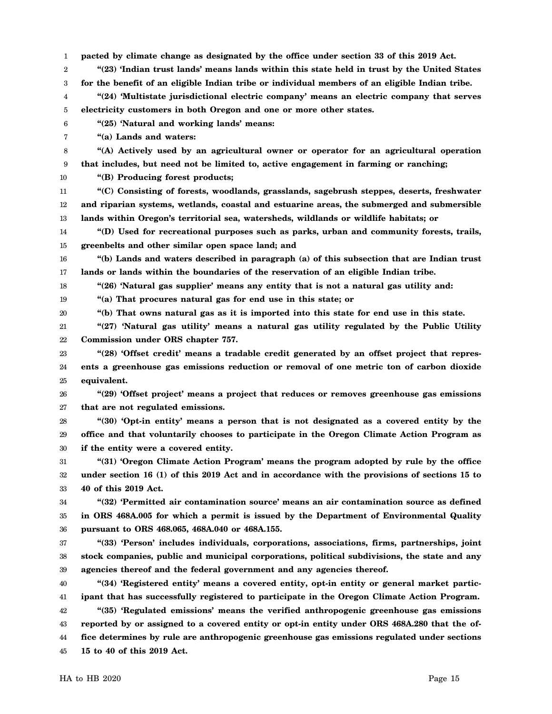1 2 3 4 5 6 7 8 9 10 11 12 13 14 15 16 17 18 19 20 21 22 23 24 25 26 27 28 29 30 31 32 33 34 35 36 37 38 39 40 41 42 43 44 45 **pacted by climate change as designated by the office under section 33 of this 2019 Act. "(23) 'Indian trust lands' means lands within this state held in trust by the United States for the benefit of an eligible Indian tribe or individual members of an eligible Indian tribe. "(24) 'Multistate jurisdictional electric company' means an electric company that serves electricity customers in both Oregon and one or more other states. "(25) 'Natural and working lands' means: "(a) Lands and waters: "(A) Actively used by an agricultural owner or operator for an agricultural operation that includes, but need not be limited to, active engagement in farming or ranching; "(B) Producing forest products; "(C) Consisting of forests, woodlands, grasslands, sagebrush steppes, deserts, freshwater and riparian systems, wetlands, coastal and estuarine areas, the submerged and submersible lands within Oregon's territorial sea, watersheds, wildlands or wildlife habitats; or "(D) Used for recreational purposes such as parks, urban and community forests, trails, greenbelts and other similar open space land; and "(b) Lands and waters described in paragraph (a) of this subsection that are Indian trust lands or lands within the boundaries of the reservation of an eligible Indian tribe. "(26) 'Natural gas supplier' means any entity that is not a natural gas utility and: "(a) That procures natural gas for end use in this state; or "(b) That owns natural gas as it is imported into this state for end use in this state. "(27) 'Natural gas utility' means a natural gas utility regulated by the Public Utility Commission under ORS chapter 757. "(28) 'Offset credit' means a tradable credit generated by an offset project that represents a greenhouse gas emissions reduction or removal of one metric ton of carbon dioxide equivalent. "(29) 'Offset project' means a project that reduces or removes greenhouse gas emissions that are not regulated emissions. "(30) 'Opt-in entity' means a person that is not designated as a covered entity by the office and that voluntarily chooses to participate in the Oregon Climate Action Program as if the entity were a covered entity. "(31) 'Oregon Climate Action Program' means the program adopted by rule by the office under section 16 (1) of this 2019 Act and in accordance with the provisions of sections 15 to 40 of this 2019 Act. "(32) 'Permitted air contamination source' means an air contamination source as defined in ORS 468A.005 for which a permit is issued by the Department of Environmental Quality pursuant to ORS 468.065, 468A.040 or 468A.155. "(33) 'Person' includes individuals, corporations, associations, firms, partnerships, joint stock companies, public and municipal corporations, political subdivisions, the state and any agencies thereof and the federal government and any agencies thereof. "(34) 'Registered entity' means a covered entity, opt-in entity or general market participant that has successfully registered to participate in the Oregon Climate Action Program. "(35) 'Regulated emissions' means the verified anthropogenic greenhouse gas emissions reported by or assigned to a covered entity or opt-in entity under ORS 468A.280 that the office determines by rule are anthropogenic greenhouse gas emissions regulated under sections 15 to 40 of this 2019 Act.**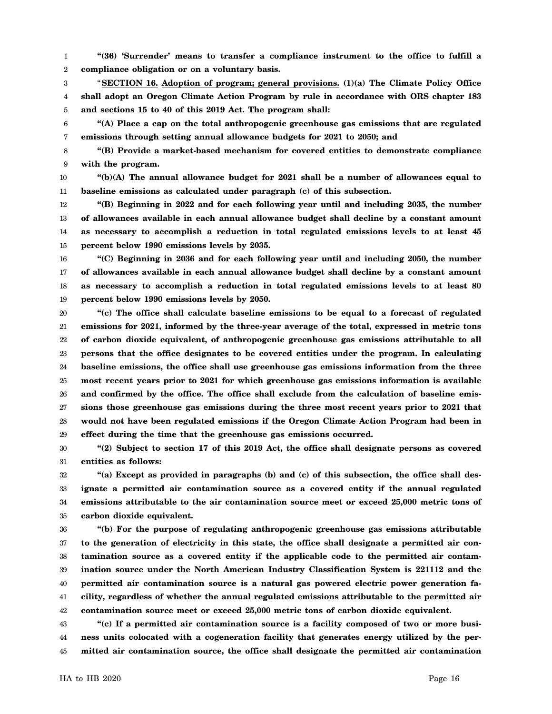1 2 **"(36) 'Surrender' means to transfer a compliance instrument to the office to fulfill a compliance obligation or on a voluntary basis.**

3 4 5 "**SECTION 16. Adoption of program; general provisions. (1)(a) The Climate Policy Office shall adopt an Oregon Climate Action Program by rule in accordance with ORS chapter 183 and sections 15 to 40 of this 2019 Act. The program shall:**

6 7 **"(A) Place a cap on the total anthropogenic greenhouse gas emissions that are regulated emissions through setting annual allowance budgets for 2021 to 2050; and**

8 9 **"(B) Provide a market-based mechanism for covered entities to demonstrate compliance with the program.**

10 11 **"(b)(A) The annual allowance budget for 2021 shall be a number of allowances equal to baseline emissions as calculated under paragraph (c) of this subsection.**

12 13 14 15 **"(B) Beginning in 2022 and for each following year until and including 2035, the number of allowances available in each annual allowance budget shall decline by a constant amount as necessary to accomplish a reduction in total regulated emissions levels to at least 45 percent below 1990 emissions levels by 2035.**

16 17 18 19 **"(C) Beginning in 2036 and for each following year until and including 2050, the number of allowances available in each annual allowance budget shall decline by a constant amount as necessary to accomplish a reduction in total regulated emissions levels to at least 80 percent below 1990 emissions levels by 2050.**

20 21 22 23 24 25 26 27 28 29 **"(c) The office shall calculate baseline emissions to be equal to a forecast of regulated emissions for 2021, informed by the three-year average of the total, expressed in metric tons of carbon dioxide equivalent, of anthropogenic greenhouse gas emissions attributable to all persons that the office designates to be covered entities under the program. In calculating baseline emissions, the office shall use greenhouse gas emissions information from the three most recent years prior to 2021 for which greenhouse gas emissions information is available and confirmed by the office. The office shall exclude from the calculation of baseline emissions those greenhouse gas emissions during the three most recent years prior to 2021 that would not have been regulated emissions if the Oregon Climate Action Program had been in effect during the time that the greenhouse gas emissions occurred.**

30 31 **"(2) Subject to section 17 of this 2019 Act, the office shall designate persons as covered entities as follows:**

32 33 34 35 **"(a) Except as provided in paragraphs (b) and (c) of this subsection, the office shall designate a permitted air contamination source as a covered entity if the annual regulated emissions attributable to the air contamination source meet or exceed 25,000 metric tons of carbon dioxide equivalent.**

36 37 38 39 40 41 42 **"(b) For the purpose of regulating anthropogenic greenhouse gas emissions attributable to the generation of electricity in this state, the office shall designate a permitted air contamination source as a covered entity if the applicable code to the permitted air contamination source under the North American Industry Classification System is 221112 and the permitted air contamination source is a natural gas powered electric power generation facility, regardless of whether the annual regulated emissions attributable to the permitted air contamination source meet or exceed 25,000 metric tons of carbon dioxide equivalent.**

43 44 45 **"(c) If a permitted air contamination source is a facility composed of two or more business units colocated with a cogeneration facility that generates energy utilized by the permitted air contamination source, the office shall designate the permitted air contamination**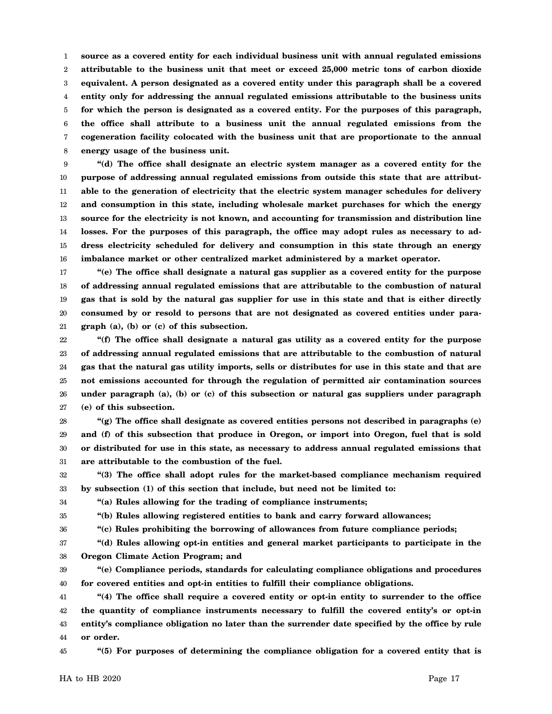1 2 3 4 5 6 7 8 **source as a covered entity for each individual business unit with annual regulated emissions attributable to the business unit that meet or exceed 25,000 metric tons of carbon dioxide equivalent. A person designated as a covered entity under this paragraph shall be a covered entity only for addressing the annual regulated emissions attributable to the business units for which the person is designated as a covered entity. For the purposes of this paragraph, the office shall attribute to a business unit the annual regulated emissions from the cogeneration facility colocated with the business unit that are proportionate to the annual energy usage of the business unit.**

9 10 11 12 13 14 15 16 **"(d) The office shall designate an electric system manager as a covered entity for the purpose of addressing annual regulated emissions from outside this state that are attributable to the generation of electricity that the electric system manager schedules for delivery and consumption in this state, including wholesale market purchases for which the energy source for the electricity is not known, and accounting for transmission and distribution line losses. For the purposes of this paragraph, the office may adopt rules as necessary to address electricity scheduled for delivery and consumption in this state through an energy imbalance market or other centralized market administered by a market operator.**

17 18 19 20 21 **"(e) The office shall designate a natural gas supplier as a covered entity for the purpose of addressing annual regulated emissions that are attributable to the combustion of natural gas that is sold by the natural gas supplier for use in this state and that is either directly consumed by or resold to persons that are not designated as covered entities under paragraph (a), (b) or (c) of this subsection.**

22 23 24 25 26 27 **"(f) The office shall designate a natural gas utility as a covered entity for the purpose of addressing annual regulated emissions that are attributable to the combustion of natural gas that the natural gas utility imports, sells or distributes for use in this state and that are not emissions accounted for through the regulation of permitted air contamination sources under paragraph (a), (b) or (c) of this subsection or natural gas suppliers under paragraph (e) of this subsection.**

28 29 30 31 **"(g) The office shall designate as covered entities persons not described in paragraphs (e) and (f) of this subsection that produce in Oregon, or import into Oregon, fuel that is sold or distributed for use in this state, as necessary to address annual regulated emissions that are attributable to the combustion of the fuel.**

32 33 **"(3) The office shall adopt rules for the market-based compliance mechanism required by subsection (1) of this section that include, but need not be limited to:**

34

**"(a) Rules allowing for the trading of compliance instruments;**

35 36 **"(b) Rules allowing registered entities to bank and carry forward allowances;**

**"(c) Rules prohibiting the borrowing of allowances from future compliance periods;**

37 38 **"(d) Rules allowing opt-in entities and general market participants to participate in the Oregon Climate Action Program; and**

39 40 **"(e) Compliance periods, standards for calculating compliance obligations and procedures for covered entities and opt-in entities to fulfill their compliance obligations.**

41 42 43 44 **"(4) The office shall require a covered entity or opt-in entity to surrender to the office the quantity of compliance instruments necessary to fulfill the covered entity's or opt-in entity's compliance obligation no later than the surrender date specified by the office by rule or order.**

45

**"(5) For purposes of determining the compliance obligation for a covered entity that is**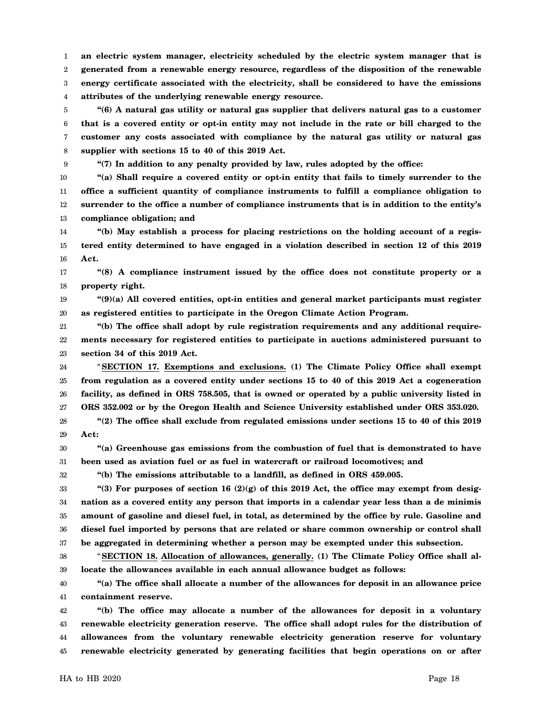1 2 3 4 **an electric system manager, electricity scheduled by the electric system manager that is generated from a renewable energy resource, regardless of the disposition of the renewable energy certificate associated with the electricity, shall be considered to have the emissions attributes of the underlying renewable energy resource.**

5 6 7 8 **"(6) A natural gas utility or natural gas supplier that delivers natural gas to a customer that is a covered entity or opt-in entity may not include in the rate or bill charged to the customer any costs associated with compliance by the natural gas utility or natural gas supplier with sections 15 to 40 of this 2019 Act.**

9

32

**"(7) In addition to any penalty provided by law, rules adopted by the office:**

10 11 12 13 **"(a) Shall require a covered entity or opt-in entity that fails to timely surrender to the office a sufficient quantity of compliance instruments to fulfill a compliance obligation to surrender to the office a number of compliance instruments that is in addition to the entity's compliance obligation; and**

14 15 16 **"(b) May establish a process for placing restrictions on the holding account of a registered entity determined to have engaged in a violation described in section 12 of this 2019 Act.**

17 18 **"(8) A compliance instrument issued by the office does not constitute property or a property right.**

19 20 **"(9)(a) All covered entities, opt-in entities and general market participants must register as registered entities to participate in the Oregon Climate Action Program.**

21 22 23 **"(b) The office shall adopt by rule registration requirements and any additional requirements necessary for registered entities to participate in auctions administered pursuant to section 34 of this 2019 Act.**

24 25 26 27 "**SECTION 17. Exemptions and exclusions. (1) The Climate Policy Office shall exempt from regulation as a covered entity under sections 15 to 40 of this 2019 Act a cogeneration facility, as defined in ORS 758.505, that is owned or operated by a public university listed in ORS 352.002 or by the Oregon Health and Science University established under ORS 353.020.**

28 29 **"(2) The office shall exclude from regulated emissions under sections 15 to 40 of this 2019 Act:**

30 31 **"(a) Greenhouse gas emissions from the combustion of fuel that is demonstrated to have been used as aviation fuel or as fuel in watercraft or railroad locomotives; and**

**"(b) The emissions attributable to a landfill, as defined in ORS 459.005.**

33 34 35 36 37 **"(3) For purposes of section 16 (2)(g) of this 2019 Act, the office may exempt from designation as a covered entity any person that imports in a calendar year less than a de minimis amount of gasoline and diesel fuel, in total, as determined by the office by rule. Gasoline and diesel fuel imported by persons that are related or share common ownership or control shall be aggregated in determining whether a person may be exempted under this subsection.**

38 39 "**SECTION 18. Allocation of allowances, generally. (1) The Climate Policy Office shall allocate the allowances available in each annual allowance budget as follows:**

40 41 **"(a) The office shall allocate a number of the allowances for deposit in an allowance price containment reserve.**

42 43 44 45 **"(b) The office may allocate a number of the allowances for deposit in a voluntary renewable electricity generation reserve. The office shall adopt rules for the distribution of allowances from the voluntary renewable electricity generation reserve for voluntary renewable electricity generated by generating facilities that begin operations on or after**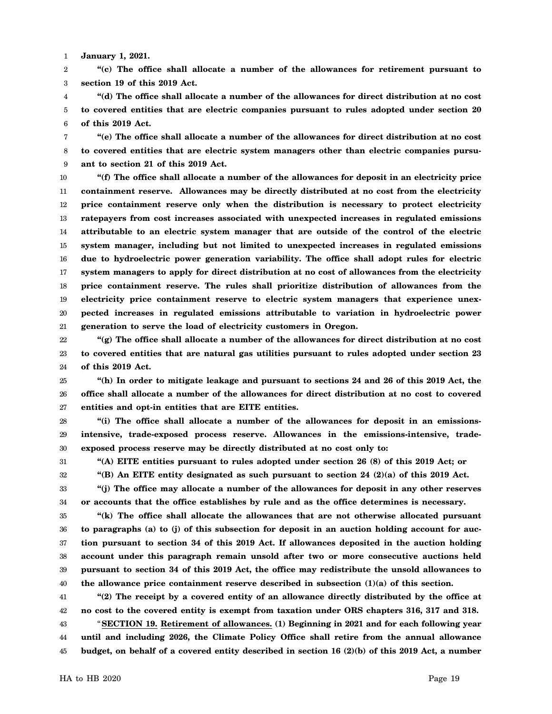1 **January 1, 2021.**

2 3 **"(c) The office shall allocate a number of the allowances for retirement pursuant to section 19 of this 2019 Act.**

4 5 6 **"(d) The office shall allocate a number of the allowances for direct distribution at no cost to covered entities that are electric companies pursuant to rules adopted under section 20 of this 2019 Act.**

7 8 9 **"(e) The office shall allocate a number of the allowances for direct distribution at no cost to covered entities that are electric system managers other than electric companies pursuant to section 21 of this 2019 Act.**

10 11 12 13 14 15 16 17 18 19 20 21 **"(f) The office shall allocate a number of the allowances for deposit in an electricity price containment reserve. Allowances may be directly distributed at no cost from the electricity price containment reserve only when the distribution is necessary to protect electricity ratepayers from cost increases associated with unexpected increases in regulated emissions attributable to an electric system manager that are outside of the control of the electric system manager, including but not limited to unexpected increases in regulated emissions due to hydroelectric power generation variability. The office shall adopt rules for electric system managers to apply for direct distribution at no cost of allowances from the electricity price containment reserve. The rules shall prioritize distribution of allowances from the electricity price containment reserve to electric system managers that experience unexpected increases in regulated emissions attributable to variation in hydroelectric power generation to serve the load of electricity customers in Oregon.**

22 23 24 **"(g) The office shall allocate a number of the allowances for direct distribution at no cost to covered entities that are natural gas utilities pursuant to rules adopted under section 23 of this 2019 Act.**

25 26 27 **"(h) In order to mitigate leakage and pursuant to sections 24 and 26 of this 2019 Act, the office shall allocate a number of the allowances for direct distribution at no cost to covered entities and opt-in entities that are EITE entities.**

28 29 30 **"(i) The office shall allocate a number of the allowances for deposit in an emissionsintensive, trade-exposed process reserve. Allowances in the emissions-intensive, tradeexposed process reserve may be directly distributed at no cost only to:**

31 32 **"(A) EITE entities pursuant to rules adopted under section 26 (8) of this 2019 Act; or**

**"(B) An EITE entity designated as such pursuant to section 24 (2)(a) of this 2019 Act.**

33 34 **"(j) The office may allocate a number of the allowances for deposit in any other reserves or accounts that the office establishes by rule and as the office determines is necessary.**

35 36 37 38 39 40 **"(k) The office shall allocate the allowances that are not otherwise allocated pursuant to paragraphs (a) to (j) of this subsection for deposit in an auction holding account for auction pursuant to section 34 of this 2019 Act. If allowances deposited in the auction holding account under this paragraph remain unsold after two or more consecutive auctions held pursuant to section 34 of this 2019 Act, the office may redistribute the unsold allowances to the allowance price containment reserve described in subsection (1)(a) of this section.**

41 42 **"(2) The receipt by a covered entity of an allowance directly distributed by the office at no cost to the covered entity is exempt from taxation under ORS chapters 316, 317 and 318.**

43 44 45 "**SECTION 19. Retirement of allowances. (1) Beginning in 2021 and for each following year until and including 2026, the Climate Policy Office shall retire from the annual allowance budget, on behalf of a covered entity described in section 16 (2)(b) of this 2019 Act, a number**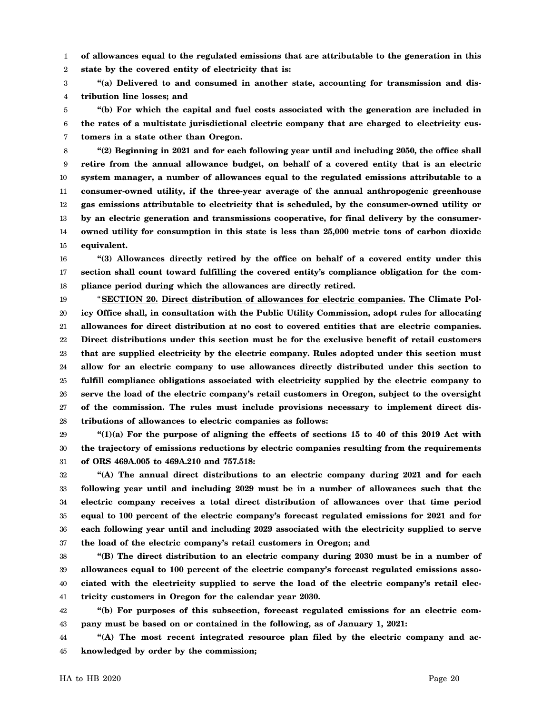1 2 **of allowances equal to the regulated emissions that are attributable to the generation in this state by the covered entity of electricity that is:**

3 4 **"(a) Delivered to and consumed in another state, accounting for transmission and distribution line losses; and**

5 6 7 **"(b) For which the capital and fuel costs associated with the generation are included in the rates of a multistate jurisdictional electric company that are charged to electricity customers in a state other than Oregon.**

8 9 10 11 12 13 14 15 **"(2) Beginning in 2021 and for each following year until and including 2050, the office shall retire from the annual allowance budget, on behalf of a covered entity that is an electric system manager, a number of allowances equal to the regulated emissions attributable to a consumer-owned utility, if the three-year average of the annual anthropogenic greenhouse gas emissions attributable to electricity that is scheduled, by the consumer-owned utility or by an electric generation and transmissions cooperative, for final delivery by the consumerowned utility for consumption in this state is less than 25,000 metric tons of carbon dioxide equivalent.**

16 17 18 **"(3) Allowances directly retired by the office on behalf of a covered entity under this section shall count toward fulfilling the covered entity's compliance obligation for the compliance period during which the allowances are directly retired.**

19 20 21 22 23 24 25 26 27 28 "**SECTION 20. Direct distribution of allowances for electric companies. The Climate Policy Office shall, in consultation with the Public Utility Commission, adopt rules for allocating allowances for direct distribution at no cost to covered entities that are electric companies. Direct distributions under this section must be for the exclusive benefit of retail customers that are supplied electricity by the electric company. Rules adopted under this section must allow for an electric company to use allowances directly distributed under this section to fulfill compliance obligations associated with electricity supplied by the electric company to serve the load of the electric company's retail customers in Oregon, subject to the oversight of the commission. The rules must include provisions necessary to implement direct distributions of allowances to electric companies as follows:**

29 30 31 **"(1)(a) For the purpose of aligning the effects of sections 15 to 40 of this 2019 Act with the trajectory of emissions reductions by electric companies resulting from the requirements of ORS 469A.005 to 469A.210 and 757.518:**

32 33 34 35 36 37 **"(A) The annual direct distributions to an electric company during 2021 and for each following year until and including 2029 must be in a number of allowances such that the electric company receives a total direct distribution of allowances over that time period equal to 100 percent of the electric company's forecast regulated emissions for 2021 and for each following year until and including 2029 associated with the electricity supplied to serve the load of the electric company's retail customers in Oregon; and**

38 39 40 41 **"(B) The direct distribution to an electric company during 2030 must be in a number of allowances equal to 100 percent of the electric company's forecast regulated emissions associated with the electricity supplied to serve the load of the electric company's retail electricity customers in Oregon for the calendar year 2030.**

42 43 **"(b) For purposes of this subsection, forecast regulated emissions for an electric company must be based on or contained in the following, as of January 1, 2021:**

44 45 **"(A) The most recent integrated resource plan filed by the electric company and acknowledged by order by the commission;**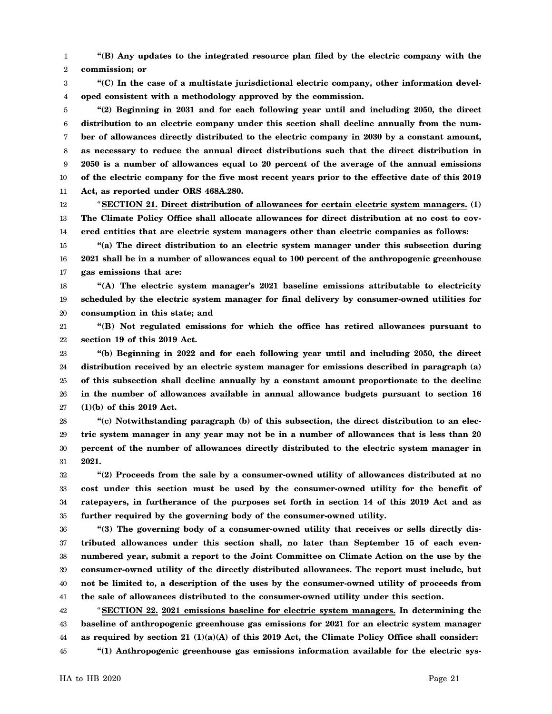1 2 **"(B) Any updates to the integrated resource plan filed by the electric company with the commission; or**

3 4 **"(C) In the case of a multistate jurisdictional electric company, other information developed consistent with a methodology approved by the commission.**

5 6 7 8 9 10 11 **"(2) Beginning in 2031 and for each following year until and including 2050, the direct distribution to an electric company under this section shall decline annually from the number of allowances directly distributed to the electric company in 2030 by a constant amount, as necessary to reduce the annual direct distributions such that the direct distribution in 2050 is a number of allowances equal to 20 percent of the average of the annual emissions of the electric company for the five most recent years prior to the effective date of this 2019 Act, as reported under ORS 468A.280.**

12 13 14 "**SECTION 21. Direct distribution of allowances for certain electric system managers. (1) The Climate Policy Office shall allocate allowances for direct distribution at no cost to covered entities that are electric system managers other than electric companies as follows:**

15 16 17 **"(a) The direct distribution to an electric system manager under this subsection during 2021 shall be in a number of allowances equal to 100 percent of the anthropogenic greenhouse gas emissions that are:**

18 19 20 **"(A) The electric system manager's 2021 baseline emissions attributable to electricity scheduled by the electric system manager for final delivery by consumer-owned utilities for consumption in this state; and**

21 22 **"(B) Not regulated emissions for which the office has retired allowances pursuant to section 19 of this 2019 Act.**

23 24 25 26 27 **"(b) Beginning in 2022 and for each following year until and including 2050, the direct distribution received by an electric system manager for emissions described in paragraph (a) of this subsection shall decline annually by a constant amount proportionate to the decline in the number of allowances available in annual allowance budgets pursuant to section 16 (1)(b) of this 2019 Act.**

28 29 30 31 **"(c) Notwithstanding paragraph (b) of this subsection, the direct distribution to an electric system manager in any year may not be in a number of allowances that is less than 20 percent of the number of allowances directly distributed to the electric system manager in 2021.**

32 33 34 35 **"(2) Proceeds from the sale by a consumer-owned utility of allowances distributed at no cost under this section must be used by the consumer-owned utility for the benefit of ratepayers, in furtherance of the purposes set forth in section 14 of this 2019 Act and as further required by the governing body of the consumer-owned utility.**

36 37 38 39 40 41 **"(3) The governing body of a consumer-owned utility that receives or sells directly distributed allowances under this section shall, no later than September 15 of each evennumbered year, submit a report to the Joint Committee on Climate Action on the use by the consumer-owned utility of the directly distributed allowances. The report must include, but not be limited to, a description of the uses by the consumer-owned utility of proceeds from the sale of allowances distributed to the consumer-owned utility under this section.**

42 43 44 45 "**SECTION 22. 2021 emissions baseline for electric system managers. In determining the baseline of anthropogenic greenhouse gas emissions for 2021 for an electric system manager as required by section 21 (1)(a)(A) of this 2019 Act, the Climate Policy Office shall consider: "(1) Anthropogenic greenhouse gas emissions information available for the electric sys-**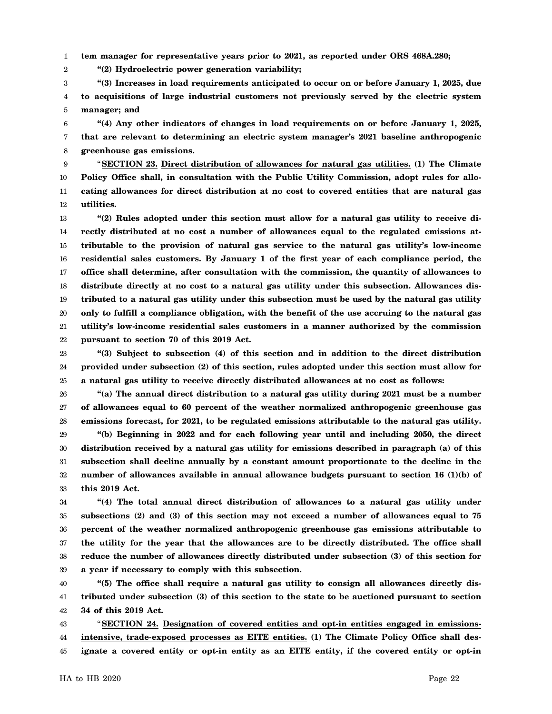1 **tem manager for representative years prior to 2021, as reported under ORS 468A.280;**

**"(2) Hydroelectric power generation variability;**

2

3 4 5 **"(3) Increases in load requirements anticipated to occur on or before January 1, 2025, due to acquisitions of large industrial customers not previously served by the electric system manager; and**

6 7 8 **"(4) Any other indicators of changes in load requirements on or before January 1, 2025, that are relevant to determining an electric system manager's 2021 baseline anthropogenic greenhouse gas emissions.**

9 10 11 12 "**SECTION 23. Direct distribution of allowances for natural gas utilities. (1) The Climate Policy Office shall, in consultation with the Public Utility Commission, adopt rules for allocating allowances for direct distribution at no cost to covered entities that are natural gas utilities.**

13 14 15 16 17 18 19 20 21 22 **"(2) Rules adopted under this section must allow for a natural gas utility to receive directly distributed at no cost a number of allowances equal to the regulated emissions attributable to the provision of natural gas service to the natural gas utility's low-income residential sales customers. By January 1 of the first year of each compliance period, the office shall determine, after consultation with the commission, the quantity of allowances to distribute directly at no cost to a natural gas utility under this subsection. Allowances distributed to a natural gas utility under this subsection must be used by the natural gas utility only to fulfill a compliance obligation, with the benefit of the use accruing to the natural gas utility's low-income residential sales customers in a manner authorized by the commission pursuant to section 70 of this 2019 Act.**

23 24 25 **"(3) Subject to subsection (4) of this section and in addition to the direct distribution provided under subsection (2) of this section, rules adopted under this section must allow for a natural gas utility to receive directly distributed allowances at no cost as follows:**

26 27 28 **"(a) The annual direct distribution to a natural gas utility during 2021 must be a number of allowances equal to 60 percent of the weather normalized anthropogenic greenhouse gas emissions forecast, for 2021, to be regulated emissions attributable to the natural gas utility.**

29 30 31 32 33 **"(b) Beginning in 2022 and for each following year until and including 2050, the direct distribution received by a natural gas utility for emissions described in paragraph (a) of this subsection shall decline annually by a constant amount proportionate to the decline in the number of allowances available in annual allowance budgets pursuant to section 16 (1)(b) of this 2019 Act.**

34 35 36 37 38 39 **"(4) The total annual direct distribution of allowances to a natural gas utility under subsections (2) and (3) of this section may not exceed a number of allowances equal to 75 percent of the weather normalized anthropogenic greenhouse gas emissions attributable to the utility for the year that the allowances are to be directly distributed. The office shall reduce the number of allowances directly distributed under subsection (3) of this section for a year if necessary to comply with this subsection.**

40 41 42 **"(5) The office shall require a natural gas utility to consign all allowances directly distributed under subsection (3) of this section to the state to be auctioned pursuant to section 34 of this 2019 Act.**

43 44 45 "**SECTION 24. Designation of covered entities and opt-in entities engaged in emissionsintensive, trade-exposed processes as EITE entities. (1) The Climate Policy Office shall designate a covered entity or opt-in entity as an EITE entity, if the covered entity or opt-in**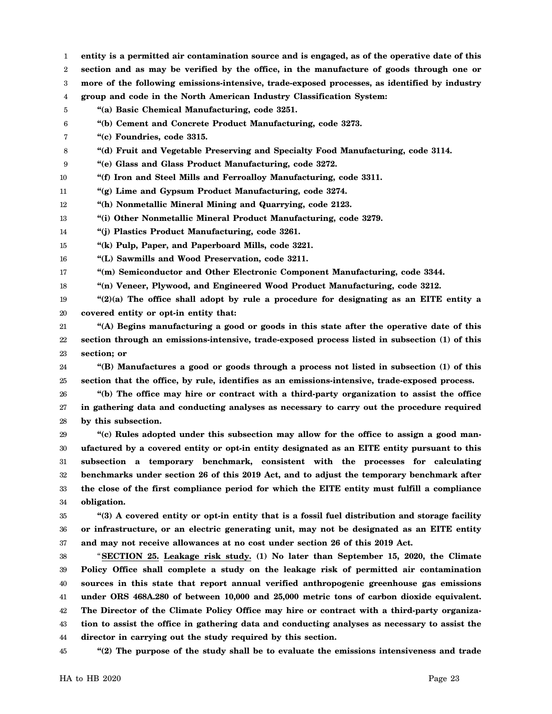- 1 **entity is a permitted air contamination source and is engaged, as of the operative date of this**
- 2 **section and as may be verified by the office, in the manufacture of goods through one or**
- 3 **more of the following emissions-intensive, trade-exposed processes, as identified by industry**
- 4 **group and code in the North American Industry Classification System:**
- 5 **"(a) Basic Chemical Manufacturing, code 3251.**
- 6 **"(b) Cement and Concrete Product Manufacturing, code 3273.**
- 7 **"(c) Foundries, code 3315.**
- 8 **"(d) Fruit and Vegetable Preserving and Specialty Food Manufacturing, code 3114.**
- 9 **"(e) Glass and Glass Product Manufacturing, code 3272.**
- 10 **"(f) Iron and Steel Mills and Ferroalloy Manufacturing, code 3311.**
- 11 **"(g) Lime and Gypsum Product Manufacturing, code 3274.**
- 12 **"(h) Nonmetallic Mineral Mining and Quarrying, code 2123.**
- 13 **"(i) Other Nonmetallic Mineral Product Manufacturing, code 3279.**
- 14 **"(j) Plastics Product Manufacturing, code 3261.**
- 15 **"(k) Pulp, Paper, and Paperboard Mills, code 3221.**
- 16 **"(L) Sawmills and Wood Preservation, code 3211.**
- 17 **"(m) Semiconductor and Other Electronic Component Manufacturing, code 3344.**
- 18 **"(n) Veneer, Plywood, and Engineered Wood Product Manufacturing, code 3212.**
- 19 20 **"(2)(a) The office shall adopt by rule a procedure for designating as an EITE entity a covered entity or opt-in entity that:**
- 21 22 23 **"(A) Begins manufacturing a good or goods in this state after the operative date of this section through an emissions-intensive, trade-exposed process listed in subsection (1) of this section; or**
- 24 25 **"(B) Manufactures a good or goods through a process not listed in subsection (1) of this section that the office, by rule, identifies as an emissions-intensive, trade-exposed process.**
- 26 27 28 **"(b) The office may hire or contract with a third-party organization to assist the office in gathering data and conducting analyses as necessary to carry out the procedure required by this subsection.**
- 29 30 31 32 33 34 **"(c) Rules adopted under this subsection may allow for the office to assign a good manufactured by a covered entity or opt-in entity designated as an EITE entity pursuant to this subsection a temporary benchmark, consistent with the processes for calculating benchmarks under section 26 of this 2019 Act, and to adjust the temporary benchmark after the close of the first compliance period for which the EITE entity must fulfill a compliance obligation.**
- 35 36 37 **"(3) A covered entity or opt-in entity that is a fossil fuel distribution and storage facility or infrastructure, or an electric generating unit, may not be designated as an EITE entity and may not receive allowances at no cost under section 26 of this 2019 Act.**
- 38 39 40 41 42 43 44 "**SECTION 25. Leakage risk study. (1) No later than September 15, 2020, the Climate Policy Office shall complete a study on the leakage risk of permitted air contamination sources in this state that report annual verified anthropogenic greenhouse gas emissions under ORS 468A.280 of between 10,000 and 25,000 metric tons of carbon dioxide equivalent. The Director of the Climate Policy Office may hire or contract with a third-party organization to assist the office in gathering data and conducting analyses as necessary to assist the director in carrying out the study required by this section.**
- 45 **"(2) The purpose of the study shall be to evaluate the emissions intensiveness and trade**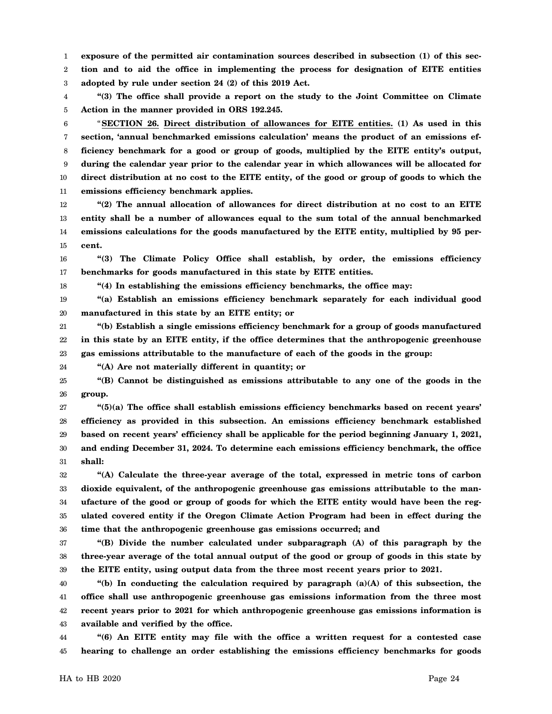1 2 3 **exposure of the permitted air contamination sources described in subsection (1) of this section and to aid the office in implementing the process for designation of EITE entities adopted by rule under section 24 (2) of this 2019 Act.**

4 5 **"(3) The office shall provide a report on the study to the Joint Committee on Climate Action in the manner provided in ORS 192.245.**

6 7 8 9 10 11 "**SECTION 26. Direct distribution of allowances for EITE entities. (1) As used in this section, 'annual benchmarked emissions calculation' means the product of an emissions efficiency benchmark for a good or group of goods, multiplied by the EITE entity's output, during the calendar year prior to the calendar year in which allowances will be allocated for direct distribution at no cost to the EITE entity, of the good or group of goods to which the emissions efficiency benchmark applies.**

12 13 14 15 **"(2) The annual allocation of allowances for direct distribution at no cost to an EITE entity shall be a number of allowances equal to the sum total of the annual benchmarked emissions calculations for the goods manufactured by the EITE entity, multiplied by 95 percent.**

16 17 **"(3) The Climate Policy Office shall establish, by order, the emissions efficiency benchmarks for goods manufactured in this state by EITE entities.**

**"(4) In establishing the emissions efficiency benchmarks, the office may:**

19 20 **"(a) Establish an emissions efficiency benchmark separately for each individual good manufactured in this state by an EITE entity; or**

21 22 23 **"(b) Establish a single emissions efficiency benchmark for a group of goods manufactured in this state by an EITE entity, if the office determines that the anthropogenic greenhouse gas emissions attributable to the manufacture of each of the goods in the group:**

24 **"(A) Are not materially different in quantity; or**

25 26 **"(B) Cannot be distinguished as emissions attributable to any one of the goods in the group.**

27 28 29 30 31 **"(5)(a) The office shall establish emissions efficiency benchmarks based on recent years' efficiency as provided in this subsection. An emissions efficiency benchmark established based on recent years' efficiency shall be applicable for the period beginning January 1, 2021, and ending December 31, 2024. To determine each emissions efficiency benchmark, the office shall:**

32 33 34 35 36 **"(A) Calculate the three-year average of the total, expressed in metric tons of carbon dioxide equivalent, of the anthropogenic greenhouse gas emissions attributable to the manufacture of the good or group of goods for which the EITE entity would have been the regulated covered entity if the Oregon Climate Action Program had been in effect during the time that the anthropogenic greenhouse gas emissions occurred; and**

37 38 39 **"(B) Divide the number calculated under subparagraph (A) of this paragraph by the three-year average of the total annual output of the good or group of goods in this state by the EITE entity, using output data from the three most recent years prior to 2021.**

40 41 42 43 **"(b) In conducting the calculation required by paragraph (a)(A) of this subsection, the office shall use anthropogenic greenhouse gas emissions information from the three most recent years prior to 2021 for which anthropogenic greenhouse gas emissions information is available and verified by the office.**

44 45 **"(6) An EITE entity may file with the office a written request for a contested case hearing to challenge an order establishing the emissions efficiency benchmarks for goods**

18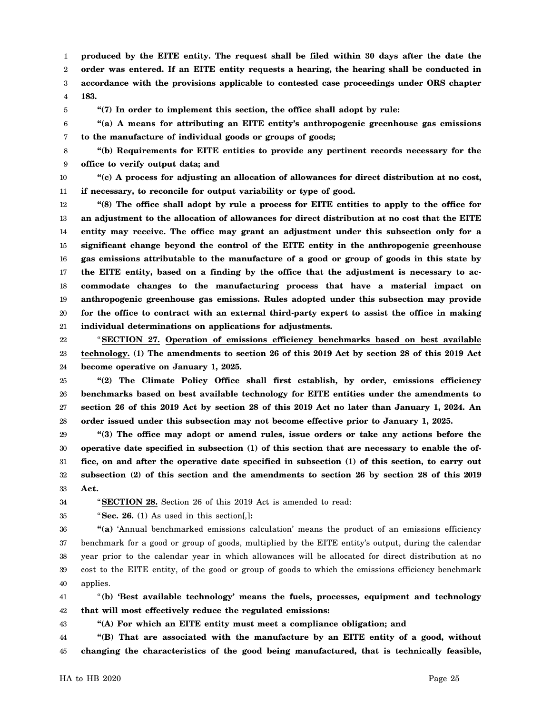1 **produced by the EITE entity. The request shall be filed within 30 days after the date the**

2 **order was entered. If an EITE entity requests a hearing, the hearing shall be conducted in**

3 4 **accordance with the provisions applicable to contested case proceedings under ORS chapter 183.**

5

**"(7) In order to implement this section, the office shall adopt by rule:**

6 7 **"(a) A means for attributing an EITE entity's anthropogenic greenhouse gas emissions to the manufacture of individual goods or groups of goods;**

8 9 **"(b) Requirements for EITE entities to provide any pertinent records necessary for the office to verify output data; and**

10 11 **"(c) A process for adjusting an allocation of allowances for direct distribution at no cost, if necessary, to reconcile for output variability or type of good.**

12 13 14 15 16 17 18 19 20 21 **"(8) The office shall adopt by rule a process for EITE entities to apply to the office for an adjustment to the allocation of allowances for direct distribution at no cost that the EITE entity may receive. The office may grant an adjustment under this subsection only for a significant change beyond the control of the EITE entity in the anthropogenic greenhouse gas emissions attributable to the manufacture of a good or group of goods in this state by the EITE entity, based on a finding by the office that the adjustment is necessary to accommodate changes to the manufacturing process that have a material impact on anthropogenic greenhouse gas emissions. Rules adopted under this subsection may provide for the office to contract with an external third-party expert to assist the office in making individual determinations on applications for adjustments.**

22 23 24 "**SECTION 27. Operation of emissions efficiency benchmarks based on best available technology. (1) The amendments to section 26 of this 2019 Act by section 28 of this 2019 Act become operative on January 1, 2025.**

25 26 27 28 **"(2) The Climate Policy Office shall first establish, by order, emissions efficiency benchmarks based on best available technology for EITE entities under the amendments to section 26 of this 2019 Act by section 28 of this 2019 Act no later than January 1, 2024. An order issued under this subsection may not become effective prior to January 1, 2025.**

29 30 31 32 33 **"(3) The office may adopt or amend rules, issue orders or take any actions before the operative date specified in subsection (1) of this section that are necessary to enable the office, on and after the operative date specified in subsection (1) of this section, to carry out subsection (2) of this section and the amendments to section 26 by section 28 of this 2019 Act.**

34

35

"**SECTION 28.** Section 26 of this 2019 Act is amended to read:

"**Sec. 26.** (1) As used in this section[*,*]**:**

36 37 38 39 40 **"(a)** 'Annual benchmarked emissions calculation' means the product of an emissions efficiency benchmark for a good or group of goods, multiplied by the EITE entity's output, during the calendar year prior to the calendar year in which allowances will be allocated for direct distribution at no cost to the EITE entity, of the good or group of goods to which the emissions efficiency benchmark applies.

41 42 "**(b) 'Best available technology' means the fuels, processes, equipment and technology that will most effectively reduce the regulated emissions:**

43

**"(A) For which an EITE entity must meet a compliance obligation; and**

44 45 **"(B) That are associated with the manufacture by an EITE entity of a good, without changing the characteristics of the good being manufactured, that is technically feasible,**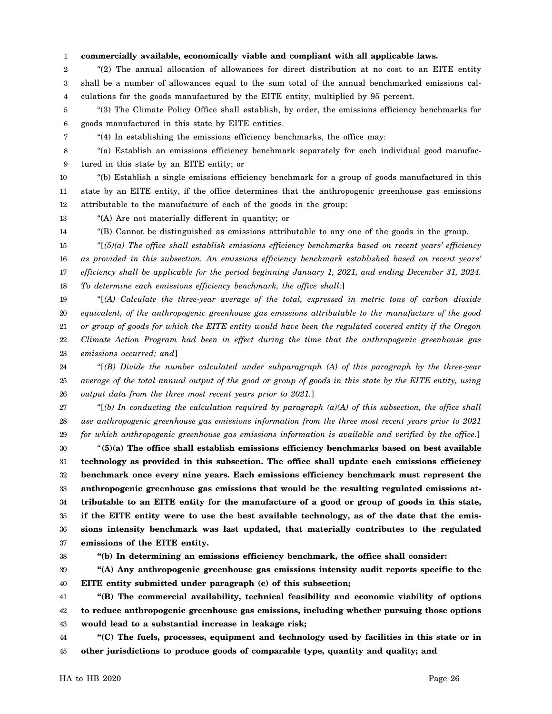## 1 **commercially available, economically viable and compliant with all applicable laws.**

2 3 4 "(2) The annual allocation of allowances for direct distribution at no cost to an EITE entity shall be a number of allowances equal to the sum total of the annual benchmarked emissions calculations for the goods manufactured by the EITE entity, multiplied by 95 percent.

5 6 "(3) The Climate Policy Office shall establish, by order, the emissions efficiency benchmarks for goods manufactured in this state by EITE entities.

7

"(4) In establishing the emissions efficiency benchmarks, the office may:

8 9 "(a) Establish an emissions efficiency benchmark separately for each individual good manufactured in this state by an EITE entity; or

10 11 12 "(b) Establish a single emissions efficiency benchmark for a group of goods manufactured in this state by an EITE entity, if the office determines that the anthropogenic greenhouse gas emissions attributable to the manufacture of each of the goods in the group:

13 "(A) Are not materially different in quantity; or

14 "(B) Cannot be distinguished as emissions attributable to any one of the goods in the group.

15 16 17 18 "[*(5)(a) The office shall establish emissions efficiency benchmarks based on recent years' efficiency as provided in this subsection. An emissions efficiency benchmark established based on recent years' efficiency shall be applicable for the period beginning January 1, 2021, and ending December 31, 2024. To determine each emissions efficiency benchmark, the office shall:*]

19 20 21 22 23 "[*(A) Calculate the three-year average of the total, expressed in metric tons of carbon dioxide equivalent, of the anthropogenic greenhouse gas emissions attributable to the manufacture of the good or group of goods for which the EITE entity would have been the regulated covered entity if the Oregon Climate Action Program had been in effect during the time that the anthropogenic greenhouse gas emissions occurred; and*]

24 25 26 "[*(B) Divide the number calculated under subparagraph (A) of this paragraph by the three-year average of the total annual output of the good or group of goods in this state by the EITE entity, using output data from the three most recent years prior to 2021.*]

27 28 29 "[*(b) In conducting the calculation required by paragraph (a)(A) of this subsection, the office shall use anthropogenic greenhouse gas emissions information from the three most recent years prior to 2021 for which anthropogenic greenhouse gas emissions information is available and verified by the office.*]

30 31 32 33 34 35 36 37 "**(5)(a) The office shall establish emissions efficiency benchmarks based on best available technology as provided in this subsection. The office shall update each emissions efficiency benchmark once every nine years. Each emissions efficiency benchmark must represent the anthropogenic greenhouse gas emissions that would be the resulting regulated emissions attributable to an EITE entity for the manufacture of a good or group of goods in this state, if the EITE entity were to use the best available technology, as of the date that the emissions intensity benchmark was last updated, that materially contributes to the regulated emissions of the EITE entity.**

38

**"(b) In determining an emissions efficiency benchmark, the office shall consider:**

39 40 **"(A) Any anthropogenic greenhouse gas emissions intensity audit reports specific to the EITE entity submitted under paragraph (c) of this subsection;**

41 42 43 **"(B) The commercial availability, technical feasibility and economic viability of options to reduce anthropogenic greenhouse gas emissions, including whether pursuing those options would lead to a substantial increase in leakage risk;**

44 45 **"(C) The fuels, processes, equipment and technology used by facilities in this state or in other jurisdictions to produce goods of comparable type, quantity and quality; and**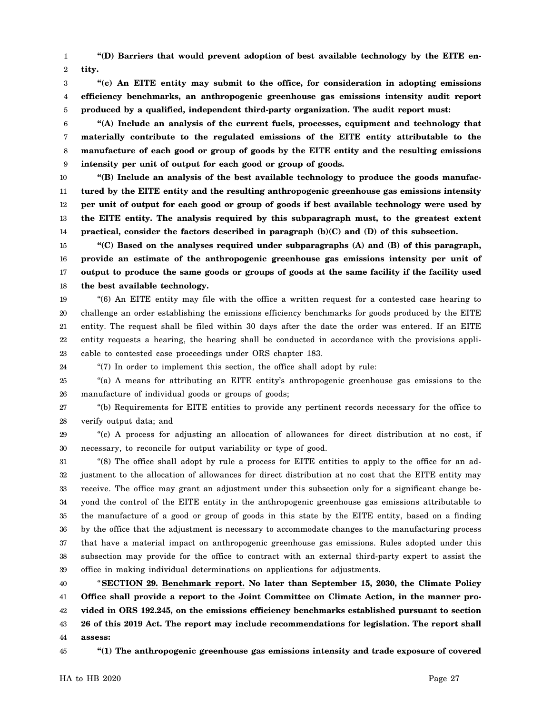1 2 **"(D) Barriers that would prevent adoption of best available technology by the EITE entity.**

3 4 5 **"(c) An EITE entity may submit to the office, for consideration in adopting emissions efficiency benchmarks, an anthropogenic greenhouse gas emissions intensity audit report produced by a qualified, independent third-party organization. The audit report must:**

6 7 8 9 **"(A) Include an analysis of the current fuels, processes, equipment and technology that materially contribute to the regulated emissions of the EITE entity attributable to the manufacture of each good or group of goods by the EITE entity and the resulting emissions intensity per unit of output for each good or group of goods.**

10 11 12 13 14 **"(B) Include an analysis of the best available technology to produce the goods manufactured by the EITE entity and the resulting anthropogenic greenhouse gas emissions intensity per unit of output for each good or group of goods if best available technology were used by the EITE entity. The analysis required by this subparagraph must, to the greatest extent practical, consider the factors described in paragraph (b)(C) and (D) of this subsection.**

15 16 17 18 **"(C) Based on the analyses required under subparagraphs (A) and (B) of this paragraph, provide an estimate of the anthropogenic greenhouse gas emissions intensity per unit of output to produce the same goods or groups of goods at the same facility if the facility used the best available technology.**

19 20 21 22 23 "(6) An EITE entity may file with the office a written request for a contested case hearing to challenge an order establishing the emissions efficiency benchmarks for goods produced by the EITE entity. The request shall be filed within 30 days after the date the order was entered. If an EITE entity requests a hearing, the hearing shall be conducted in accordance with the provisions applicable to contested case proceedings under ORS chapter 183.

24 "(7) In order to implement this section, the office shall adopt by rule:

25 26 "(a) A means for attributing an EITE entity's anthropogenic greenhouse gas emissions to the manufacture of individual goods or groups of goods;

27 28 "(b) Requirements for EITE entities to provide any pertinent records necessary for the office to verify output data; and

29 30 "(c) A process for adjusting an allocation of allowances for direct distribution at no cost, if necessary, to reconcile for output variability or type of good.

31 32 33 34 35 36 37 38 39 "(8) The office shall adopt by rule a process for EITE entities to apply to the office for an adjustment to the allocation of allowances for direct distribution at no cost that the EITE entity may receive. The office may grant an adjustment under this subsection only for a significant change beyond the control of the EITE entity in the anthropogenic greenhouse gas emissions attributable to the manufacture of a good or group of goods in this state by the EITE entity, based on a finding by the office that the adjustment is necessary to accommodate changes to the manufacturing process that have a material impact on anthropogenic greenhouse gas emissions. Rules adopted under this subsection may provide for the office to contract with an external third-party expert to assist the office in making individual determinations on applications for adjustments.

40 41 42 43 44 "**SECTION 29. Benchmark report. No later than September 15, 2030, the Climate Policy Office shall provide a report to the Joint Committee on Climate Action, in the manner provided in ORS 192.245, on the emissions efficiency benchmarks established pursuant to section 26 of this 2019 Act. The report may include recommendations for legislation. The report shall assess:**

45 **"(1) The anthropogenic greenhouse gas emissions intensity and trade exposure of covered**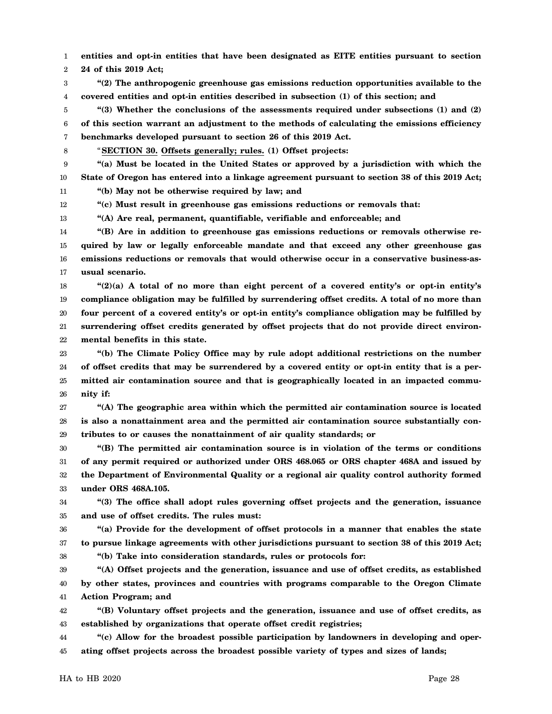1 2 **entities and opt-in entities that have been designated as EITE entities pursuant to section 24 of this 2019 Act;**

3 4 **"(2) The anthropogenic greenhouse gas emissions reduction opportunities available to the covered entities and opt-in entities described in subsection (1) of this section; and**

5 6 7 **"(3) Whether the conclusions of the assessments required under subsections (1) and (2) of this section warrant an adjustment to the methods of calculating the emissions efficiency benchmarks developed pursuant to section 26 of this 2019 Act.**

8

"**SECTION 30. Offsets generally; rules. (1) Offset projects:**

9 10 11 **"(a) Must be located in the United States or approved by a jurisdiction with which the State of Oregon has entered into a linkage agreement pursuant to section 38 of this 2019 Act; "(b) May not be otherwise required by law; and**

12

**"(c) Must result in greenhouse gas emissions reductions or removals that:**

13 **"(A) Are real, permanent, quantifiable, verifiable and enforceable; and**

14 15 16 17 **"(B) Are in addition to greenhouse gas emissions reductions or removals otherwise required by law or legally enforceable mandate and that exceed any other greenhouse gas emissions reductions or removals that would otherwise occur in a conservative business-asusual scenario.**

18 19 20 21 22 **"(2)(a) A total of no more than eight percent of a covered entity's or opt-in entity's compliance obligation may be fulfilled by surrendering offset credits. A total of no more than four percent of a covered entity's or opt-in entity's compliance obligation may be fulfilled by surrendering offset credits generated by offset projects that do not provide direct environmental benefits in this state.**

23 24 25 26 **"(b) The Climate Policy Office may by rule adopt additional restrictions on the number of offset credits that may be surrendered by a covered entity or opt-in entity that is a permitted air contamination source and that is geographically located in an impacted community if:**

27 28 29 **"(A) The geographic area within which the permitted air contamination source is located is also a nonattainment area and the permitted air contamination source substantially contributes to or causes the nonattainment of air quality standards; or**

30 31 32 33 **"(B) The permitted air contamination source is in violation of the terms or conditions of any permit required or authorized under ORS 468.065 or ORS chapter 468A and issued by the Department of Environmental Quality or a regional air quality control authority formed under ORS 468A.105.**

34 35 **"(3) The office shall adopt rules governing offset projects and the generation, issuance and use of offset credits. The rules must:**

36 37 **"(a) Provide for the development of offset protocols in a manner that enables the state to pursue linkage agreements with other jurisdictions pursuant to section 38 of this 2019 Act;**

38

**"(b) Take into consideration standards, rules or protocols for:**

39 40 41 **"(A) Offset projects and the generation, issuance and use of offset credits, as established by other states, provinces and countries with programs comparable to the Oregon Climate Action Program; and**

42 43 **"(B) Voluntary offset projects and the generation, issuance and use of offset credits, as established by organizations that operate offset credit registries;**

44 45 **"(c) Allow for the broadest possible participation by landowners in developing and operating offset projects across the broadest possible variety of types and sizes of lands;**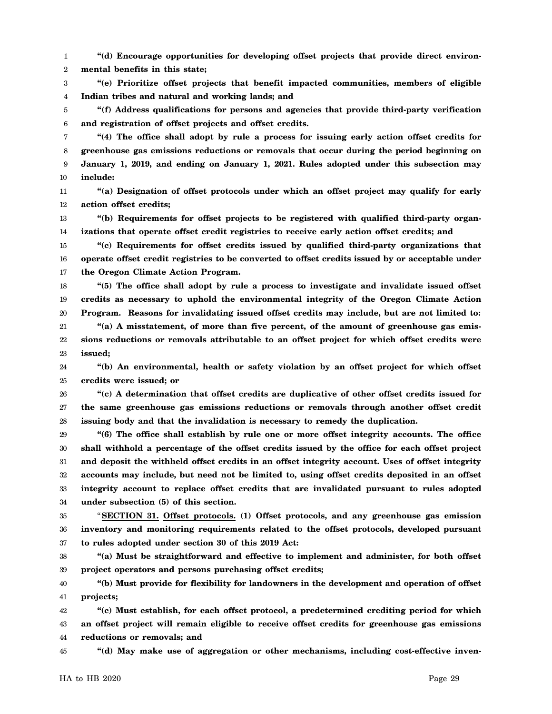1 2 **"(d) Encourage opportunities for developing offset projects that provide direct environmental benefits in this state;**

3 4 **"(e) Prioritize offset projects that benefit impacted communities, members of eligible Indian tribes and natural and working lands; and**

5 6 **"(f) Address qualifications for persons and agencies that provide third-party verification and registration of offset projects and offset credits.**

7 8 9 10 **"(4) The office shall adopt by rule a process for issuing early action offset credits for greenhouse gas emissions reductions or removals that occur during the period beginning on January 1, 2019, and ending on January 1, 2021. Rules adopted under this subsection may include:**

11

12 **"(a) Designation of offset protocols under which an offset project may qualify for early action offset credits;**

13 14 **"(b) Requirements for offset projects to be registered with qualified third-party organizations that operate offset credit registries to receive early action offset credits; and**

15 16 17 **"(c) Requirements for offset credits issued by qualified third-party organizations that operate offset credit registries to be converted to offset credits issued by or acceptable under the Oregon Climate Action Program.**

18 19 20 **"(5) The office shall adopt by rule a process to investigate and invalidate issued offset credits as necessary to uphold the environmental integrity of the Oregon Climate Action Program. Reasons for invalidating issued offset credits may include, but are not limited to:**

21 22 23 **"(a) A misstatement, of more than five percent, of the amount of greenhouse gas emissions reductions or removals attributable to an offset project for which offset credits were issued;**

24 25 **"(b) An environmental, health or safety violation by an offset project for which offset credits were issued; or**

26 27 28 **"(c) A determination that offset credits are duplicative of other offset credits issued for the same greenhouse gas emissions reductions or removals through another offset credit issuing body and that the invalidation is necessary to remedy the duplication.**

29 30 31 32 33 34 **"(6) The office shall establish by rule one or more offset integrity accounts. The office shall withhold a percentage of the offset credits issued by the office for each offset project and deposit the withheld offset credits in an offset integrity account. Uses of offset integrity accounts may include, but need not be limited to, using offset credits deposited in an offset integrity account to replace offset credits that are invalidated pursuant to rules adopted under subsection (5) of this section.**

35 36 37 "**SECTION 31. Offset protocols. (1) Offset protocols, and any greenhouse gas emission inventory and monitoring requirements related to the offset protocols, developed pursuant to rules adopted under section 30 of this 2019 Act:**

38 39 **"(a) Must be straightforward and effective to implement and administer, for both offset project operators and persons purchasing offset credits;**

40 41 **"(b) Must provide for flexibility for landowners in the development and operation of offset projects;**

42 43 44 **"(c) Must establish, for each offset protocol, a predetermined crediting period for which an offset project will remain eligible to receive offset credits for greenhouse gas emissions reductions or removals; and**

45 **"(d) May make use of aggregation or other mechanisms, including cost-effective inven-**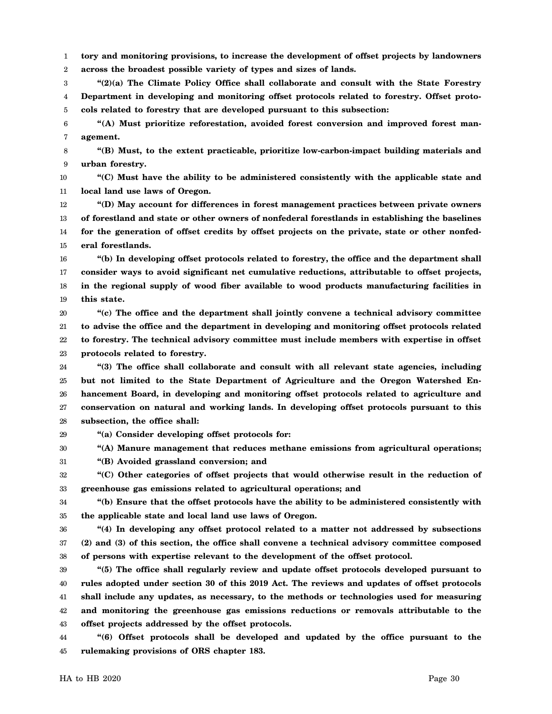1 2 **tory and monitoring provisions, to increase the development of offset projects by landowners across the broadest possible variety of types and sizes of lands.**

3 4 5 **"(2)(a) The Climate Policy Office shall collaborate and consult with the State Forestry Department in developing and monitoring offset protocols related to forestry. Offset protocols related to forestry that are developed pursuant to this subsection:**

6 7 **"(A) Must prioritize reforestation, avoided forest conversion and improved forest management.**

8 9 **"(B) Must, to the extent practicable, prioritize low-carbon-impact building materials and urban forestry.**

10 11 **"(C) Must have the ability to be administered consistently with the applicable state and local land use laws of Oregon.**

12 13 14 15 **"(D) May account for differences in forest management practices between private owners of forestland and state or other owners of nonfederal forestlands in establishing the baselines for the generation of offset credits by offset projects on the private, state or other nonfederal forestlands.**

16 17 18 19 **"(b) In developing offset protocols related to forestry, the office and the department shall consider ways to avoid significant net cumulative reductions, attributable to offset projects, in the regional supply of wood fiber available to wood products manufacturing facilities in this state.**

20 21 22 23 **"(c) The office and the department shall jointly convene a technical advisory committee to advise the office and the department in developing and monitoring offset protocols related to forestry. The technical advisory committee must include members with expertise in offset protocols related to forestry.**

24 25 26 27 28 **"(3) The office shall collaborate and consult with all relevant state agencies, including but not limited to the State Department of Agriculture and the Oregon Watershed Enhancement Board, in developing and monitoring offset protocols related to agriculture and conservation on natural and working lands. In developing offset protocols pursuant to this subsection, the office shall:**

29 **"(a) Consider developing offset protocols for:**

30 **"(A) Manure management that reduces methane emissions from agricultural operations;**

31 **"(B) Avoided grassland conversion; and**

32 33 **"(C) Other categories of offset projects that would otherwise result in the reduction of greenhouse gas emissions related to agricultural operations; and**

34 35 **"(b) Ensure that the offset protocols have the ability to be administered consistently with the applicable state and local land use laws of Oregon.**

36 37 38 **"(4) In developing any offset protocol related to a matter not addressed by subsections (2) and (3) of this section, the office shall convene a technical advisory committee composed of persons with expertise relevant to the development of the offset protocol.**

39 40 41 42 43 **"(5) The office shall regularly review and update offset protocols developed pursuant to rules adopted under section 30 of this 2019 Act. The reviews and updates of offset protocols shall include any updates, as necessary, to the methods or technologies used for measuring and monitoring the greenhouse gas emissions reductions or removals attributable to the offset projects addressed by the offset protocols.**

44 45 **"(6) Offset protocols shall be developed and updated by the office pursuant to the rulemaking provisions of ORS chapter 183.**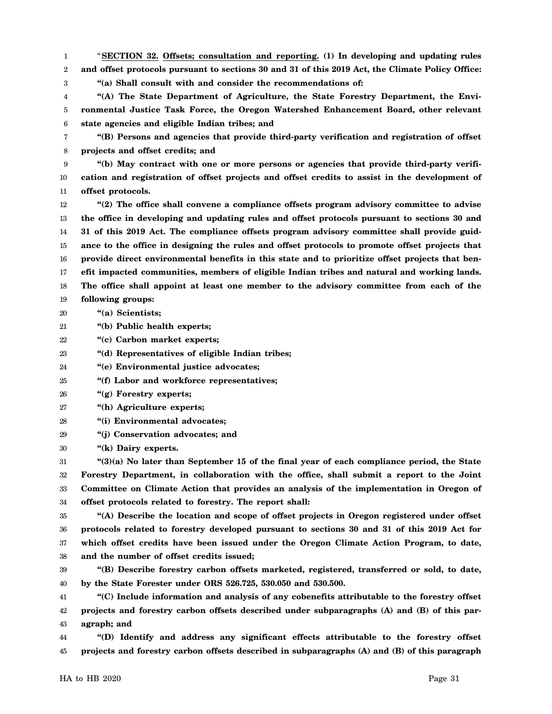1 2 3 "**SECTION 32. Offsets; consultation and reporting. (1) In developing and updating rules and offset protocols pursuant to sections 30 and 31 of this 2019 Act, the Climate Policy Office: "(a) Shall consult with and consider the recommendations of:**

4 5 6 **"(A) The State Department of Agriculture, the State Forestry Department, the Environmental Justice Task Force, the Oregon Watershed Enhancement Board, other relevant state agencies and eligible Indian tribes; and**

7 8 **"(B) Persons and agencies that provide third-party verification and registration of offset projects and offset credits; and**

9 10 11 **"(b) May contract with one or more persons or agencies that provide third-party verification and registration of offset projects and offset credits to assist in the development of offset protocols.**

12 13 14 15 16 17 18 19 **"(2) The office shall convene a compliance offsets program advisory committee to advise the office in developing and updating rules and offset protocols pursuant to sections 30 and 31 of this 2019 Act. The compliance offsets program advisory committee shall provide guidance to the office in designing the rules and offset protocols to promote offset projects that provide direct environmental benefits in this state and to prioritize offset projects that benefit impacted communities, members of eligible Indian tribes and natural and working lands. The office shall appoint at least one member to the advisory committee from each of the following groups:**

20 **"(a) Scientists;**

21 **"(b) Public health experts;**

22 **"(c) Carbon market experts;**

23 **"(d) Representatives of eligible Indian tribes;**

24 **"(e) Environmental justice advocates;**

25 **"(f) Labor and workforce representatives;**

26 **"(g) Forestry experts;**

27 **"(h) Agriculture experts;**

28 **"(i) Environmental advocates;**

29 **"(j) Conservation advocates; and**

30 **"(k) Dairy experts.**

31 32 33 34 **"(3)(a) No later than September 15 of the final year of each compliance period, the State Forestry Department, in collaboration with the office, shall submit a report to the Joint Committee on Climate Action that provides an analysis of the implementation in Oregon of offset protocols related to forestry. The report shall:**

35 36 37 38 **"(A) Describe the location and scope of offset projects in Oregon registered under offset protocols related to forestry developed pursuant to sections 30 and 31 of this 2019 Act for which offset credits have been issued under the Oregon Climate Action Program, to date, and the number of offset credits issued;**

39 40 **"(B) Describe forestry carbon offsets marketed, registered, transferred or sold, to date, by the State Forester under ORS 526.725, 530.050 and 530.500.**

41 42 43 **"(C) Include information and analysis of any cobenefits attributable to the forestry offset projects and forestry carbon offsets described under subparagraphs (A) and (B) of this paragraph; and**

44 45 **"(D) Identify and address any significant effects attributable to the forestry offset projects and forestry carbon offsets described in subparagraphs (A) and (B) of this paragraph**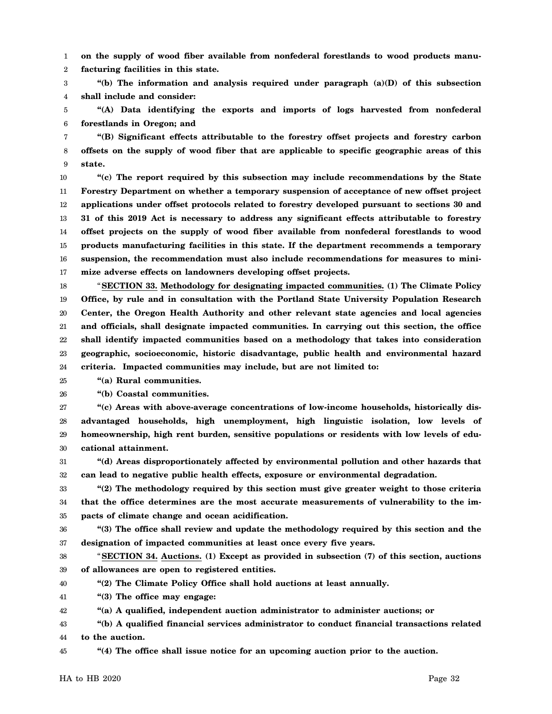1 2 **on the supply of wood fiber available from nonfederal forestlands to wood products manufacturing facilities in this state.**

3 4 **"(b) The information and analysis required under paragraph (a)(D) of this subsection shall include and consider:**

5 6 **"(A) Data identifying the exports and imports of logs harvested from nonfederal forestlands in Oregon; and**

7 8 9 **"(B) Significant effects attributable to the forestry offset projects and forestry carbon offsets on the supply of wood fiber that are applicable to specific geographic areas of this state.**

10 11 12 13 14 15 16 17 **"(c) The report required by this subsection may include recommendations by the State Forestry Department on whether a temporary suspension of acceptance of new offset project applications under offset protocols related to forestry developed pursuant to sections 30 and 31 of this 2019 Act is necessary to address any significant effects attributable to forestry offset projects on the supply of wood fiber available from nonfederal forestlands to wood products manufacturing facilities in this state. If the department recommends a temporary suspension, the recommendation must also include recommendations for measures to minimize adverse effects on landowners developing offset projects.**

18 19 20 21 22 23 24 "**SECTION 33. Methodology for designating impacted communities. (1) The Climate Policy Office, by rule and in consultation with the Portland State University Population Research Center, the Oregon Health Authority and other relevant state agencies and local agencies and officials, shall designate impacted communities. In carrying out this section, the office shall identify impacted communities based on a methodology that takes into consideration geographic, socioeconomic, historic disadvantage, public health and environmental hazard criteria. Impacted communities may include, but are not limited to:**

25 **"(a) Rural communities.**

26 **"(b) Coastal communities.**

27 28 29 30 **"(c) Areas with above-average concentrations of low-income households, historically disadvantaged households, high unemployment, high linguistic isolation, low levels of homeownership, high rent burden, sensitive populations or residents with low levels of educational attainment.**

31 32 **"(d) Areas disproportionately affected by environmental pollution and other hazards that can lead to negative public health effects, exposure or environmental degradation.**

33 34 35 **"(2) The methodology required by this section must give greater weight to those criteria that the office determines are the most accurate measurements of vulnerability to the impacts of climate change and ocean acidification.**

36 37 **"(3) The office shall review and update the methodology required by this section and the designation of impacted communities at least once every five years.**

38 39 "**SECTION 34. Auctions. (1) Except as provided in subsection (7) of this section, auctions of allowances are open to registered entities.**

40 **"(2) The Climate Policy Office shall hold auctions at least annually.**

41 **"(3) The office may engage:**

42 **"(a) A qualified, independent auction administrator to administer auctions; or**

43 44 **"(b) A qualified financial services administrator to conduct financial transactions related to the auction.**

45 **"(4) The office shall issue notice for an upcoming auction prior to the auction.**

HA to HB 2020 Page 32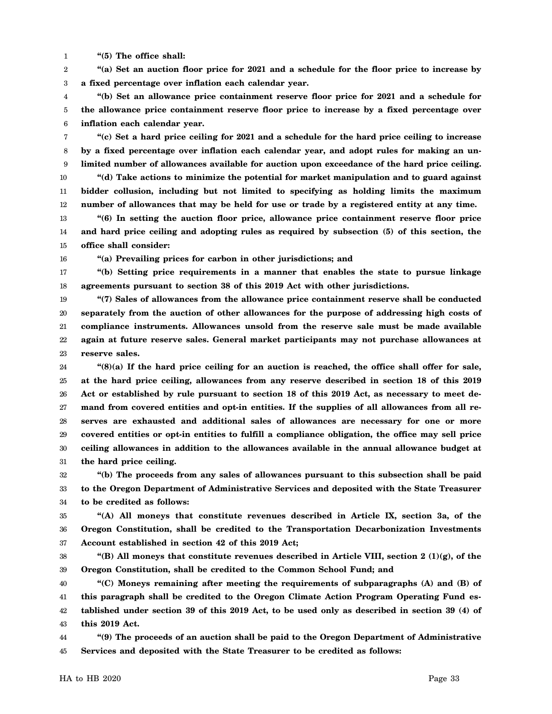1 **"(5) The office shall:**

16

2 3 **"(a) Set an auction floor price for 2021 and a schedule for the floor price to increase by a fixed percentage over inflation each calendar year.**

4 5 6 **"(b) Set an allowance price containment reserve floor price for 2021 and a schedule for the allowance price containment reserve floor price to increase by a fixed percentage over inflation each calendar year.**

7 8 9 10 11 12 **"(c) Set a hard price ceiling for 2021 and a schedule for the hard price ceiling to increase by a fixed percentage over inflation each calendar year, and adopt rules for making an unlimited number of allowances available for auction upon exceedance of the hard price ceiling. "(d) Take actions to minimize the potential for market manipulation and to guard against bidder collusion, including but not limited to specifying as holding limits the maximum number of allowances that may be held for use or trade by a registered entity at any time.**

13 14 15 **"(6) In setting the auction floor price, allowance price containment reserve floor price and hard price ceiling and adopting rules as required by subsection (5) of this section, the office shall consider:**

**"(a) Prevailing prices for carbon in other jurisdictions; and**

17 18 **"(b) Setting price requirements in a manner that enables the state to pursue linkage agreements pursuant to section 38 of this 2019 Act with other jurisdictions.**

19 20 21 22 23 **"(7) Sales of allowances from the allowance price containment reserve shall be conducted separately from the auction of other allowances for the purpose of addressing high costs of compliance instruments. Allowances unsold from the reserve sale must be made available again at future reserve sales. General market participants may not purchase allowances at reserve sales.**

24 25 26 27 28 29 30 31 **"(8)(a) If the hard price ceiling for an auction is reached, the office shall offer for sale, at the hard price ceiling, allowances from any reserve described in section 18 of this 2019 Act or established by rule pursuant to section 18 of this 2019 Act, as necessary to meet demand from covered entities and opt-in entities. If the supplies of all allowances from all reserves are exhausted and additional sales of allowances are necessary for one or more covered entities or opt-in entities to fulfill a compliance obligation, the office may sell price ceiling allowances in addition to the allowances available in the annual allowance budget at the hard price ceiling.**

32 33 34 **"(b) The proceeds from any sales of allowances pursuant to this subsection shall be paid to the Oregon Department of Administrative Services and deposited with the State Treasurer to be credited as follows:**

35 36 37 **"(A) All moneys that constitute revenues described in Article IX, section 3a, of the Oregon Constitution, shall be credited to the Transportation Decarbonization Investments Account established in section 42 of this 2019 Act;**

38 39 "(B) All moneys that constitute revenues described in Article VIII, section  $2 \left(1\right)$  (g), of the **Oregon Constitution, shall be credited to the Common School Fund; and**

40 41 42 43 **"(C) Moneys remaining after meeting the requirements of subparagraphs (A) and (B) of this paragraph shall be credited to the Oregon Climate Action Program Operating Fund established under section 39 of this 2019 Act, to be used only as described in section 39 (4) of this 2019 Act.**

44 45 **"(9) The proceeds of an auction shall be paid to the Oregon Department of Administrative Services and deposited with the State Treasurer to be credited as follows:**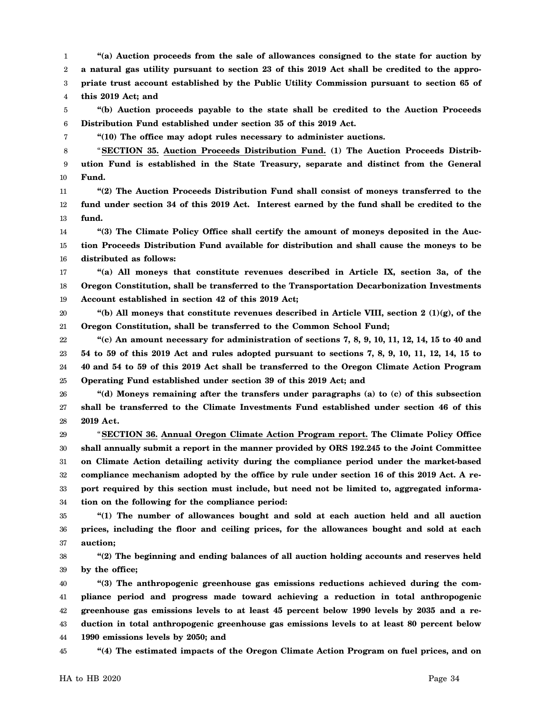1 2 3 4 **"(a) Auction proceeds from the sale of allowances consigned to the state for auction by a natural gas utility pursuant to section 23 of this 2019 Act shall be credited to the appropriate trust account established by the Public Utility Commission pursuant to section 65 of this 2019 Act; and**

5 6 **"(b) Auction proceeds payable to the state shall be credited to the Auction Proceeds Distribution Fund established under section 35 of this 2019 Act.**

**"(10) The office may adopt rules necessary to administer auctions.**

8 9 10 "**SECTION 35. Auction Proceeds Distribution Fund. (1) The Auction Proceeds Distribution Fund is established in the State Treasury, separate and distinct from the General Fund.**

11 12 13 **"(2) The Auction Proceeds Distribution Fund shall consist of moneys transferred to the fund under section 34 of this 2019 Act. Interest earned by the fund shall be credited to the fund.**

14 15 16 **"(3) The Climate Policy Office shall certify the amount of moneys deposited in the Auction Proceeds Distribution Fund available for distribution and shall cause the moneys to be distributed as follows:**

17 18 19 **"(a) All moneys that constitute revenues described in Article IX, section 3a, of the Oregon Constitution, shall be transferred to the Transportation Decarbonization Investments Account established in section 42 of this 2019 Act;**

20 21 **"(b) All moneys that constitute revenues described in Article VIII, section 2 (1)(g), of the Oregon Constitution, shall be transferred to the Common School Fund;**

22 23 24 25 **"(c) An amount necessary for administration of sections 7, 8, 9, 10, 11, 12, 14, 15 to 40 and 54 to 59 of this 2019 Act and rules adopted pursuant to sections 7, 8, 9, 10, 11, 12, 14, 15 to 40 and 54 to 59 of this 2019 Act shall be transferred to the Oregon Climate Action Program Operating Fund established under section 39 of this 2019 Act; and**

26 27 28 **"(d) Moneys remaining after the transfers under paragraphs (a) to (c) of this subsection shall be transferred to the Climate Investments Fund established under section 46 of this 2019 Act.**

29 30 31 32 33 34 "**SECTION 36. Annual Oregon Climate Action Program report. The Climate Policy Office shall annually submit a report in the manner provided by ORS 192.245 to the Joint Committee on Climate Action detailing activity during the compliance period under the market-based compliance mechanism adopted by the office by rule under section 16 of this 2019 Act. A report required by this section must include, but need not be limited to, aggregated information on the following for the compliance period:**

35 36 37 **"(1) The number of allowances bought and sold at each auction held and all auction prices, including the floor and ceiling prices, for the allowances bought and sold at each auction;**

38 39 **"(2) The beginning and ending balances of all auction holding accounts and reserves held by the office;**

40 41 42 43 44 **"(3) The anthropogenic greenhouse gas emissions reductions achieved during the compliance period and progress made toward achieving a reduction in total anthropogenic greenhouse gas emissions levels to at least 45 percent below 1990 levels by 2035 and a reduction in total anthropogenic greenhouse gas emissions levels to at least 80 percent below 1990 emissions levels by 2050; and**

45 **"(4) The estimated impacts of the Oregon Climate Action Program on fuel prices, and on**

HA to HB 2020 Page 34

7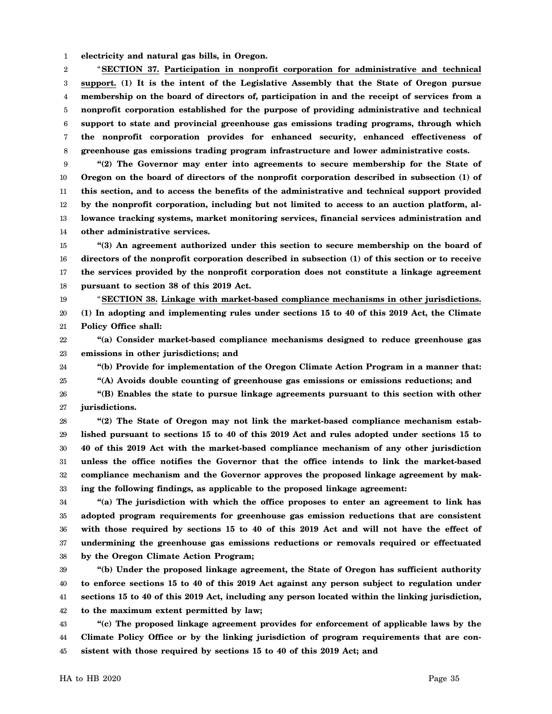1 **electricity and natural gas bills, in Oregon.**

2 3 4 5 6 7 8 "**SECTION 37. Participation in nonprofit corporation for administrative and technical support. (1) It is the intent of the Legislative Assembly that the State of Oregon pursue membership on the board of directors of, participation in and the receipt of services from a nonprofit corporation established for the purpose of providing administrative and technical support to state and provincial greenhouse gas emissions trading programs, through which the nonprofit corporation provides for enhanced security, enhanced effectiveness of greenhouse gas emissions trading program infrastructure and lower administrative costs.**

9 10 11 12 13 14 **"(2) The Governor may enter into agreements to secure membership for the State of Oregon on the board of directors of the nonprofit corporation described in subsection (1) of this section, and to access the benefits of the administrative and technical support provided by the nonprofit corporation, including but not limited to access to an auction platform, allowance tracking systems, market monitoring services, financial services administration and other administrative services.**

15 16 17 18 **"(3) An agreement authorized under this section to secure membership on the board of directors of the nonprofit corporation described in subsection (1) of this section or to receive the services provided by the nonprofit corporation does not constitute a linkage agreement pursuant to section 38 of this 2019 Act.**

19 20 21 "**SECTION 38. Linkage with market-based compliance mechanisms in other jurisdictions. (1) In adopting and implementing rules under sections 15 to 40 of this 2019 Act, the Climate Policy Office shall:**

22 23 **"(a) Consider market-based compliance mechanisms designed to reduce greenhouse gas emissions in other jurisdictions; and**

24 **"(b) Provide for implementation of the Oregon Climate Action Program in a manner that:**

25 **"(A) Avoids double counting of greenhouse gas emissions or emissions reductions; and**

26 27 **"(B) Enables the state to pursue linkage agreements pursuant to this section with other jurisdictions.**

28 29 30 31 32 33 **"(2) The State of Oregon may not link the market-based compliance mechanism established pursuant to sections 15 to 40 of this 2019 Act and rules adopted under sections 15 to 40 of this 2019 Act with the market-based compliance mechanism of any other jurisdiction unless the office notifies the Governor that the office intends to link the market-based compliance mechanism and the Governor approves the proposed linkage agreement by making the following findings, as applicable to the proposed linkage agreement:**

34 35 36 37 38 **"(a) The jurisdiction with which the office proposes to enter an agreement to link has adopted program requirements for greenhouse gas emission reductions that are consistent with those required by sections 15 to 40 of this 2019 Act and will not have the effect of undermining the greenhouse gas emissions reductions or removals required or effectuated by the Oregon Climate Action Program;**

39 40 41 42 **"(b) Under the proposed linkage agreement, the State of Oregon has sufficient authority to enforce sections 15 to 40 of this 2019 Act against any person subject to regulation under sections 15 to 40 of this 2019 Act, including any person located within the linking jurisdiction, to the maximum extent permitted by law;**

43 44 45 **"(c) The proposed linkage agreement provides for enforcement of applicable laws by the Climate Policy Office or by the linking jurisdiction of program requirements that are consistent with those required by sections 15 to 40 of this 2019 Act; and**

HA to HB 2020 Page 35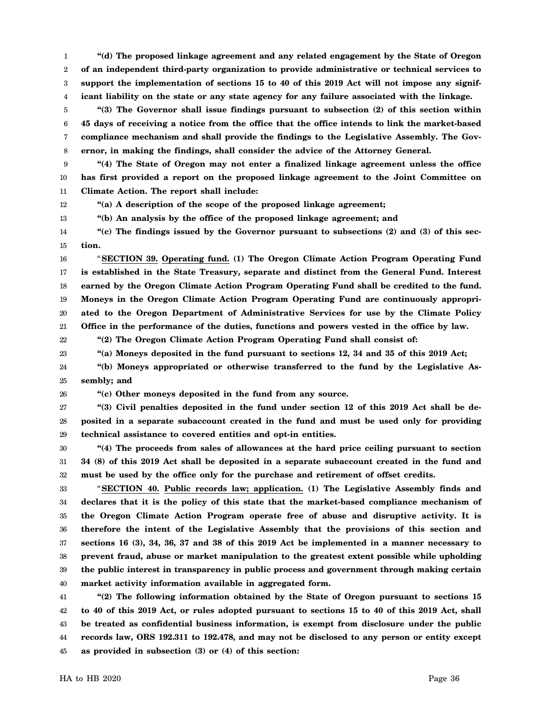1 2 3 4 **"(d) The proposed linkage agreement and any related engagement by the State of Oregon of an independent third-party organization to provide administrative or technical services to support the implementation of sections 15 to 40 of this 2019 Act will not impose any significant liability on the state or any state agency for any failure associated with the linkage.**

5 6 7 8 **"(3) The Governor shall issue findings pursuant to subsection (2) of this section within 45 days of receiving a notice from the office that the office intends to link the market-based compliance mechanism and shall provide the findings to the Legislative Assembly. The Governor, in making the findings, shall consider the advice of the Attorney General.**

9 10 11 **"(4) The State of Oregon may not enter a finalized linkage agreement unless the office has first provided a report on the proposed linkage agreement to the Joint Committee on Climate Action. The report shall include:**

12 **"(a) A description of the scope of the proposed linkage agreement;**

13 **"(b) An analysis by the office of the proposed linkage agreement; and**

14 15 **"(c) The findings issued by the Governor pursuant to subsections (2) and (3) of this section.**

16 17 18 19 20 21 "**SECTION 39. Operating fund. (1) The Oregon Climate Action Program Operating Fund is established in the State Treasury, separate and distinct from the General Fund. Interest earned by the Oregon Climate Action Program Operating Fund shall be credited to the fund. Moneys in the Oregon Climate Action Program Operating Fund are continuously appropriated to the Oregon Department of Administrative Services for use by the Climate Policy Office in the performance of the duties, functions and powers vested in the office by law.**

22 **"(2) The Oregon Climate Action Program Operating Fund shall consist of:**

23 **"(a) Moneys deposited in the fund pursuant to sections 12, 34 and 35 of this 2019 Act;**

24 25 **"(b) Moneys appropriated or otherwise transferred to the fund by the Legislative Assembly; and**

26

**"(c) Other moneys deposited in the fund from any source.**

27 28 29 **"(3) Civil penalties deposited in the fund under section 12 of this 2019 Act shall be deposited in a separate subaccount created in the fund and must be used only for providing technical assistance to covered entities and opt-in entities.**

30 31 32 **"(4) The proceeds from sales of allowances at the hard price ceiling pursuant to section 34 (8) of this 2019 Act shall be deposited in a separate subaccount created in the fund and must be used by the office only for the purchase and retirement of offset credits.**

33 34 35 36 37 38 39 40 "**SECTION 40. Public records law; application. (1) The Legislative Assembly finds and declares that it is the policy of this state that the market-based compliance mechanism of the Oregon Climate Action Program operate free of abuse and disruptive activity. It is therefore the intent of the Legislative Assembly that the provisions of this section and sections 16 (3), 34, 36, 37 and 38 of this 2019 Act be implemented in a manner necessary to prevent fraud, abuse or market manipulation to the greatest extent possible while upholding the public interest in transparency in public process and government through making certain market activity information available in aggregated form.**

41 42 43 44 45 **"(2) The following information obtained by the State of Oregon pursuant to sections 15 to 40 of this 2019 Act, or rules adopted pursuant to sections 15 to 40 of this 2019 Act, shall be treated as confidential business information, is exempt from disclosure under the public records law, ORS 192.311 to 192.478, and may not be disclosed to any person or entity except as provided in subsection (3) or (4) of this section:**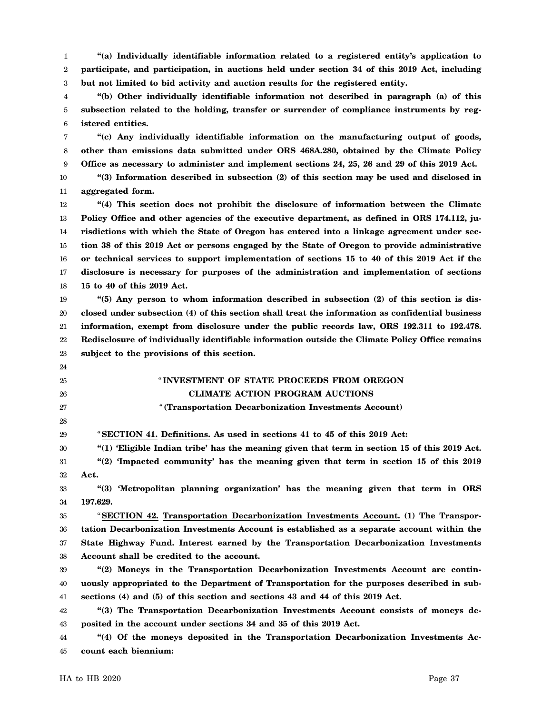1 2 3 **"(a) Individually identifiable information related to a registered entity's application to participate, and participation, in auctions held under section 34 of this 2019 Act, including but not limited to bid activity and auction results for the registered entity.**

4 5 6 **"(b) Other individually identifiable information not described in paragraph (a) of this subsection related to the holding, transfer or surrender of compliance instruments by registered entities.**

7 8 9 **"(c) Any individually identifiable information on the manufacturing output of goods, other than emissions data submitted under ORS 468A.280, obtained by the Climate Policy Office as necessary to administer and implement sections 24, 25, 26 and 29 of this 2019 Act.**

10 11 **"(3) Information described in subsection (2) of this section may be used and disclosed in aggregated form.**

12 13 14 15 16 17 18 **"(4) This section does not prohibit the disclosure of information between the Climate Policy Office and other agencies of the executive department, as defined in ORS 174.112, jurisdictions with which the State of Oregon has entered into a linkage agreement under section 38 of this 2019 Act or persons engaged by the State of Oregon to provide administrative or technical services to support implementation of sections 15 to 40 of this 2019 Act if the disclosure is necessary for purposes of the administration and implementation of sections 15 to 40 of this 2019 Act.**

19 20 21 22 23 **"(5) Any person to whom information described in subsection (2) of this section is disclosed under subsection (4) of this section shall treat the information as confidential business information, exempt from disclosure under the public records law, ORS 192.311 to 192.478. Redisclosure of individually identifiable information outside the Climate Policy Office remains subject to the provisions of this section.**

# " **INVESTMENT OF STATE PROCEEDS FROM OREGON CLIMATE ACTION PROGRAM AUCTIONS**

"**(Transportation Decarbonization Investments Account)**

29 "**SECTION 41. Definitions. As used in sections 41 to 45 of this 2019 Act:**

**"(1) 'Eligible Indian tribe' has the meaning given that term in section 15 of this 2019 Act.**

31 32 **"(2) 'Impacted community' has the meaning given that term in section 15 of this 2019 Act.**

33 34 **"(3) 'Metropolitan planning organization' has the meaning given that term in ORS 197.629.**

35 36 37 38 "**SECTION 42. Transportation Decarbonization Investments Account. (1) The Transportation Decarbonization Investments Account is established as a separate account within the State Highway Fund. Interest earned by the Transportation Decarbonization Investments Account shall be credited to the account.**

39 40 41 **"(2) Moneys in the Transportation Decarbonization Investments Account are continuously appropriated to the Department of Transportation for the purposes described in subsections (4) and (5) of this section and sections 43 and 44 of this 2019 Act.**

42 43 **"(3) The Transportation Decarbonization Investments Account consists of moneys deposited in the account under sections 34 and 35 of this 2019 Act.**

44 45 **"(4) Of the moneys deposited in the Transportation Decarbonization Investments Account each biennium:**

30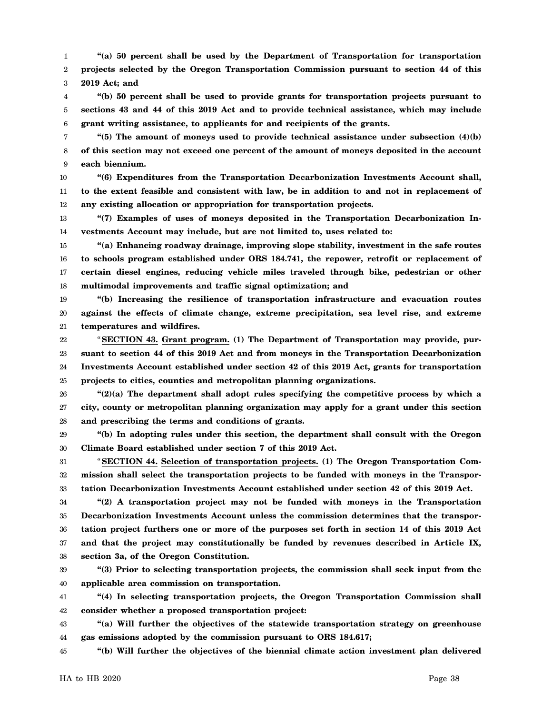1 2 3 **"(a) 50 percent shall be used by the Department of Transportation for transportation projects selected by the Oregon Transportation Commission pursuant to section 44 of this 2019 Act; and**

4 5 6 **"(b) 50 percent shall be used to provide grants for transportation projects pursuant to sections 43 and 44 of this 2019 Act and to provide technical assistance, which may include grant writing assistance, to applicants for and recipients of the grants.**

7 8 9 **"(5) The amount of moneys used to provide technical assistance under subsection (4)(b) of this section may not exceed one percent of the amount of moneys deposited in the account each biennium.**

10 11 12 **"(6) Expenditures from the Transportation Decarbonization Investments Account shall, to the extent feasible and consistent with law, be in addition to and not in replacement of any existing allocation or appropriation for transportation projects.**

13 14 **"(7) Examples of uses of moneys deposited in the Transportation Decarbonization Investments Account may include, but are not limited to, uses related to:**

15 16 17 18 **"(a) Enhancing roadway drainage, improving slope stability, investment in the safe routes to schools program established under ORS 184.741, the repower, retrofit or replacement of certain diesel engines, reducing vehicle miles traveled through bike, pedestrian or other multimodal improvements and traffic signal optimization; and**

19 20 21 **"(b) Increasing the resilience of transportation infrastructure and evacuation routes against the effects of climate change, extreme precipitation, sea level rise, and extreme temperatures and wildfires.**

22 23 24 25 "**SECTION 43. Grant program. (1) The Department of Transportation may provide, pursuant to section 44 of this 2019 Act and from moneys in the Transportation Decarbonization Investments Account established under section 42 of this 2019 Act, grants for transportation projects to cities, counties and metropolitan planning organizations.**

26 27 28 **"(2)(a) The department shall adopt rules specifying the competitive process by which a city, county or metropolitan planning organization may apply for a grant under this section and prescribing the terms and conditions of grants.**

29 30 **"(b) In adopting rules under this section, the department shall consult with the Oregon Climate Board established under section 7 of this 2019 Act.**

31 32 33 "**SECTION 44. Selection of transportation projects. (1) The Oregon Transportation Commission shall select the transportation projects to be funded with moneys in the Transportation Decarbonization Investments Account established under section 42 of this 2019 Act.**

34 35 36 37 38 **"(2) A transportation project may not be funded with moneys in the Transportation Decarbonization Investments Account unless the commission determines that the transportation project furthers one or more of the purposes set forth in section 14 of this 2019 Act and that the project may constitutionally be funded by revenues described in Article IX, section 3a, of the Oregon Constitution.**

39 40 **"(3) Prior to selecting transportation projects, the commission shall seek input from the applicable area commission on transportation.**

41 42 **"(4) In selecting transportation projects, the Oregon Transportation Commission shall consider whether a proposed transportation project:**

43 44 **"(a) Will further the objectives of the statewide transportation strategy on greenhouse gas emissions adopted by the commission pursuant to ORS 184.617;**

45 **"(b) Will further the objectives of the biennial climate action investment plan delivered**

HA to HB 2020 Page 38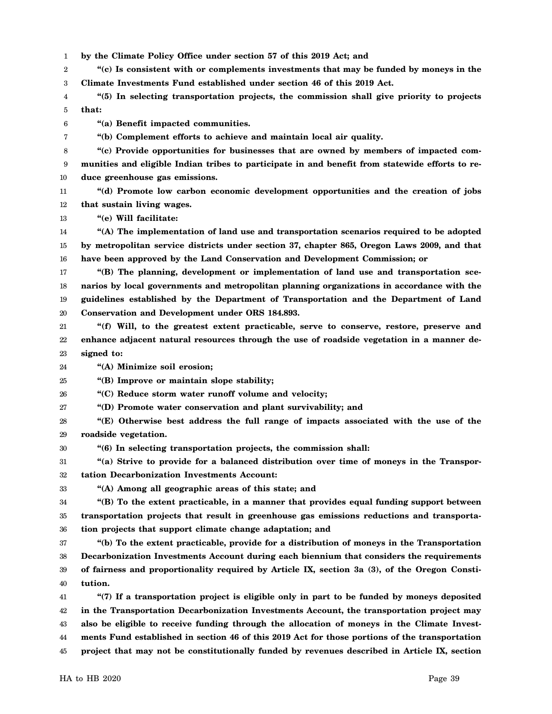1 **by the Climate Policy Office under section 57 of this 2019 Act; and**

2 3 **"(c) Is consistent with or complements investments that may be funded by moneys in the Climate Investments Fund established under section 46 of this 2019 Act.**

4 5 **"(5) In selecting transportation projects, the commission shall give priority to projects that:**

**"(a) Benefit impacted communities.**

**"(b) Complement efforts to achieve and maintain local air quality.**

8 9 10 **"(c) Provide opportunities for businesses that are owned by members of impacted communities and eligible Indian tribes to participate in and benefit from statewide efforts to reduce greenhouse gas emissions.**

11 12 **"(d) Promote low carbon economic development opportunities and the creation of jobs that sustain living wages.**

13 **"(e) Will facilitate:**

6 7

14 15 16 **"(A) The implementation of land use and transportation scenarios required to be adopted by metropolitan service districts under section 37, chapter 865, Oregon Laws 2009, and that have been approved by the Land Conservation and Development Commission; or**

17 18 19 20 **"(B) The planning, development or implementation of land use and transportation scenarios by local governments and metropolitan planning organizations in accordance with the guidelines established by the Department of Transportation and the Department of Land Conservation and Development under ORS 184.893.**

21 22 23 **"(f) Will, to the greatest extent practicable, serve to conserve, restore, preserve and enhance adjacent natural resources through the use of roadside vegetation in a manner designed to:**

24 **"(A) Minimize soil erosion;**

25 **"(B) Improve or maintain slope stability;**

26 **"(C) Reduce storm water runoff volume and velocity;**

27 **"(D) Promote water conservation and plant survivability; and**

28 29 **"(E) Otherwise best address the full range of impacts associated with the use of the roadside vegetation.**

30 **"(6) In selecting transportation projects, the commission shall:**

31 32 **"(a) Strive to provide for a balanced distribution over time of moneys in the Transportation Decarbonization Investments Account:**

**"(A) Among all geographic areas of this state; and**

34 35 36 **"(B) To the extent practicable, in a manner that provides equal funding support between transportation projects that result in greenhouse gas emissions reductions and transportation projects that support climate change adaptation; and**

37 38 39 40 **"(b) To the extent practicable, provide for a distribution of moneys in the Transportation Decarbonization Investments Account during each biennium that considers the requirements of fairness and proportionality required by Article IX, section 3a (3), of the Oregon Constitution.**

41 42 43 44 45 **"(7) If a transportation project is eligible only in part to be funded by moneys deposited in the Transportation Decarbonization Investments Account, the transportation project may also be eligible to receive funding through the allocation of moneys in the Climate Investments Fund established in section 46 of this 2019 Act for those portions of the transportation project that may not be constitutionally funded by revenues described in Article IX, section**

33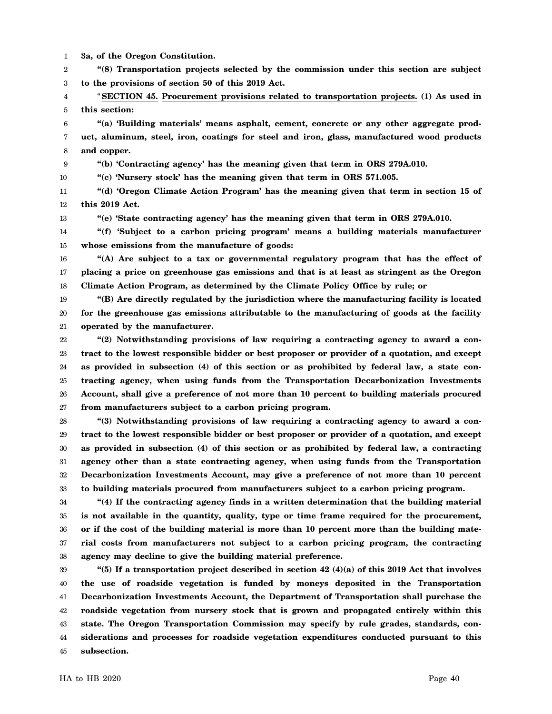1 **3a, of the Oregon Constitution.**

2 3 **"(8) Transportation projects selected by the commission under this section are subject to the provisions of section 50 of this 2019 Act.**

4 5 "**SECTION 45. Procurement provisions related to transportation projects. (1) As used in this section:**

6 7 8 **"(a) 'Building materials' means asphalt, cement, concrete or any other aggregate product, aluminum, steel, iron, coatings for steel and iron, glass, manufactured wood products and copper.**

9 **"(b) 'Contracting agency' has the meaning given that term in ORS 279A.010.**

10 **"(c) 'Nursery stock' has the meaning given that term in ORS 571.005.**

11 12 **"(d) 'Oregon Climate Action Program' has the meaning given that term in section 15 of this 2019 Act.**

13 **"(e) 'State contracting agency' has the meaning given that term in ORS 279A.010.**

14 15 **"(f) 'Subject to a carbon pricing program' means a building materials manufacturer whose emissions from the manufacture of goods:**

16 17 18 **"(A) Are subject to a tax or governmental regulatory program that has the effect of placing a price on greenhouse gas emissions and that is at least as stringent as the Oregon Climate Action Program, as determined by the Climate Policy Office by rule; or**

19 20 21 **"(B) Are directly regulated by the jurisdiction where the manufacturing facility is located for the greenhouse gas emissions attributable to the manufacturing of goods at the facility operated by the manufacturer.**

22 23 24 25 26 27 **"(2) Notwithstanding provisions of law requiring a contracting agency to award a contract to the lowest responsible bidder or best proposer or provider of a quotation, and except as provided in subsection (4) of this section or as prohibited by federal law, a state contracting agency, when using funds from the Transportation Decarbonization Investments Account, shall give a preference of not more than 10 percent to building materials procured from manufacturers subject to a carbon pricing program.**

28 29 30 31 32 33 **"(3) Notwithstanding provisions of law requiring a contracting agency to award a contract to the lowest responsible bidder or best proposer or provider of a quotation, and except as provided in subsection (4) of this section or as prohibited by federal law, a contracting agency other than a state contracting agency, when using funds from the Transportation Decarbonization Investments Account, may give a preference of not more than 10 percent to building materials procured from manufacturers subject to a carbon pricing program.**

34 35 36 37 38 **"(4) If the contracting agency finds in a written determination that the building material is not available in the quantity, quality, type or time frame required for the procurement, or if the cost of the building material is more than 10 percent more than the building material costs from manufacturers not subject to a carbon pricing program, the contracting agency may decline to give the building material preference.**

39 40 41 42 43 44 45 **"(5) If a transportation project described in section 42 (4)(a) of this 2019 Act that involves the use of roadside vegetation is funded by moneys deposited in the Transportation Decarbonization Investments Account, the Department of Transportation shall purchase the roadside vegetation from nursery stock that is grown and propagated entirely within this state. The Oregon Transportation Commission may specify by rule grades, standards, considerations and processes for roadside vegetation expenditures conducted pursuant to this subsection.**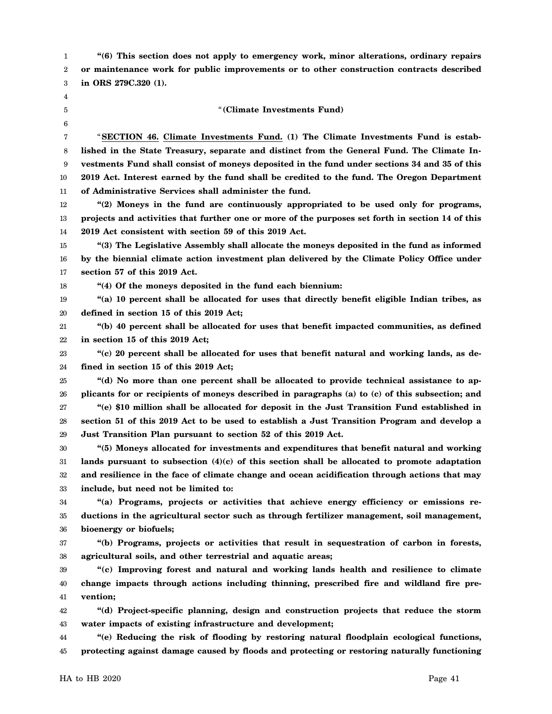1 2 3 **"(6) This section does not apply to emergency work, minor alterations, ordinary repairs or maintenance work for public improvements or to other construction contracts described in ORS 279C.320 (1).**

- 4 5
- 6

### "**(Climate Investments Fund)**

7 8 9 10 11 "**SECTION 46. Climate Investments Fund. (1) The Climate Investments Fund is established in the State Treasury, separate and distinct from the General Fund. The Climate Investments Fund shall consist of moneys deposited in the fund under sections 34 and 35 of this 2019 Act. Interest earned by the fund shall be credited to the fund. The Oregon Department of Administrative Services shall administer the fund.**

12 13 14 **"(2) Moneys in the fund are continuously appropriated to be used only for programs, projects and activities that further one or more of the purposes set forth in section 14 of this 2019 Act consistent with section 59 of this 2019 Act.**

15 16 17 **"(3) The Legislative Assembly shall allocate the moneys deposited in the fund as informed by the biennial climate action investment plan delivered by the Climate Policy Office under section 57 of this 2019 Act.**

18

# **"(4) Of the moneys deposited in the fund each biennium:**

19 20 **"(a) 10 percent shall be allocated for uses that directly benefit eligible Indian tribes, as defined in section 15 of this 2019 Act;**

21 22 **"(b) 40 percent shall be allocated for uses that benefit impacted communities, as defined in section 15 of this 2019 Act;**

23 24 **"(c) 20 percent shall be allocated for uses that benefit natural and working lands, as defined in section 15 of this 2019 Act;**

25 26 27 28 **"(d) No more than one percent shall be allocated to provide technical assistance to applicants for or recipients of moneys described in paragraphs (a) to (c) of this subsection; and "(e) \$10 million shall be allocated for deposit in the Just Transition Fund established in section 51 of this 2019 Act to be used to establish a Just Transition Program and develop a**

29 **Just Transition Plan pursuant to section 52 of this 2019 Act.**

30 31 32 33 **"(5) Moneys allocated for investments and expenditures that benefit natural and working lands pursuant to subsection (4)(c) of this section shall be allocated to promote adaptation and resilience in the face of climate change and ocean acidification through actions that may include, but need not be limited to:**

34 35 36 **"(a) Programs, projects or activities that achieve energy efficiency or emissions reductions in the agricultural sector such as through fertilizer management, soil management, bioenergy or biofuels;**

37 38 **"(b) Programs, projects or activities that result in sequestration of carbon in forests, agricultural soils, and other terrestrial and aquatic areas;**

39 40 41 **"(c) Improving forest and natural and working lands health and resilience to climate change impacts through actions including thinning, prescribed fire and wildland fire prevention;**

42 43 **"(d) Project-specific planning, design and construction projects that reduce the storm water impacts of existing infrastructure and development;**

44 45 **"(e) Reducing the risk of flooding by restoring natural floodplain ecological functions, protecting against damage caused by floods and protecting or restoring naturally functioning**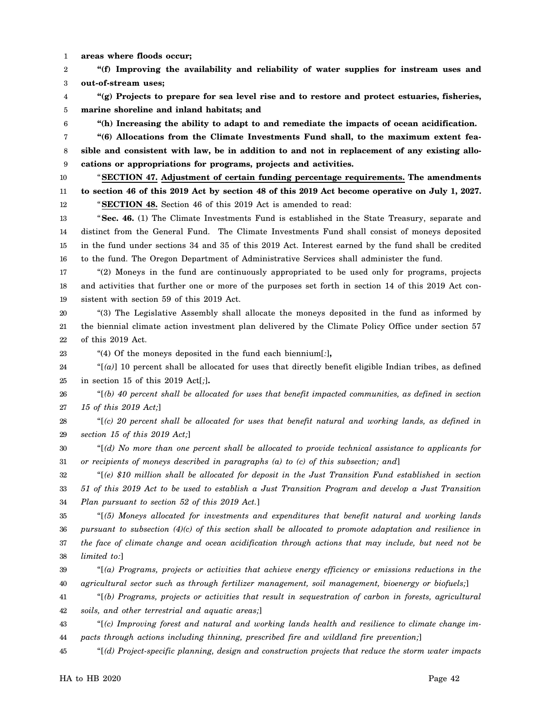1 **areas where floods occur;**

6

2 3 **"(f) Improving the availability and reliability of water supplies for instream uses and out-of-stream uses;**

4 5 **"(g) Projects to prepare for sea level rise and to restore and protect estuaries, fisheries, marine shoreline and inland habitats; and**

**"(h) Increasing the ability to adapt to and remediate the impacts of ocean acidification.**

7 8 9 **"(6) Allocations from the Climate Investments Fund shall, to the maximum extent feasible and consistent with law, be in addition to and not in replacement of any existing allocations or appropriations for programs, projects and activities.**

10 11 12 "**SECTION 47. Adjustment of certain funding percentage requirements. The amendments to section 46 of this 2019 Act by section 48 of this 2019 Act become operative on July 1, 2027.** "**SECTION 48.** Section 46 of this 2019 Act is amended to read:

13 14 15 16 "**Sec. 46.** (1) The Climate Investments Fund is established in the State Treasury, separate and distinct from the General Fund. The Climate Investments Fund shall consist of moneys deposited in the fund under sections 34 and 35 of this 2019 Act. Interest earned by the fund shall be credited to the fund. The Oregon Department of Administrative Services shall administer the fund.

17 18 19 "(2) Moneys in the fund are continuously appropriated to be used only for programs, projects and activities that further one or more of the purposes set forth in section 14 of this 2019 Act consistent with section 59 of this 2019 Act.

20 21 22 "(3) The Legislative Assembly shall allocate the moneys deposited in the fund as informed by the biennial climate action investment plan delivered by the Climate Policy Office under section 57 of this 2019 Act.

23 "(4) Of the moneys deposited in the fund each biennium[*:*]**,**

24 25 " $[$ (a)] 10 percent shall be allocated for uses that directly benefit eligible Indian tribes, as defined in section 15 of this 2019 Act[*;*]**.**

26 27 "[*(b) 40 percent shall be allocated for uses that benefit impacted communities, as defined in section 15 of this 2019 Act;*]

28 29 "[*(c) 20 percent shall be allocated for uses that benefit natural and working lands, as defined in section 15 of this 2019 Act;*]

30 31 "[*(d) No more than one percent shall be allocated to provide technical assistance to applicants for or recipients of moneys described in paragraphs (a) to (c) of this subsection; and*]

32 33 34 "[*(e) \$10 million shall be allocated for deposit in the Just Transition Fund established in section 51 of this 2019 Act to be used to establish a Just Transition Program and develop a Just Transition Plan pursuant to section 52 of this 2019 Act.*]

35 36 37 38 "[*(5) Moneys allocated for investments and expenditures that benefit natural and working lands pursuant to subsection (4)(c) of this section shall be allocated to promote adaptation and resilience in the face of climate change and ocean acidification through actions that may include, but need not be limited to:*]

39 40 "[*(a) Programs, projects or activities that achieve energy efficiency or emissions reductions in the agricultural sector such as through fertilizer management, soil management, bioenergy or biofuels;*]

41 42 "[*(b) Programs, projects or activities that result in sequestration of carbon in forests, agricultural soils, and other terrestrial and aquatic areas;*]

43 44 "[*(c) Improving forest and natural and working lands health and resilience to climate change impacts through actions including thinning, prescribed fire and wildland fire prevention;*]

45 "[*(d) Project-specific planning, design and construction projects that reduce the storm water impacts*

HA to HB 2020 Page 42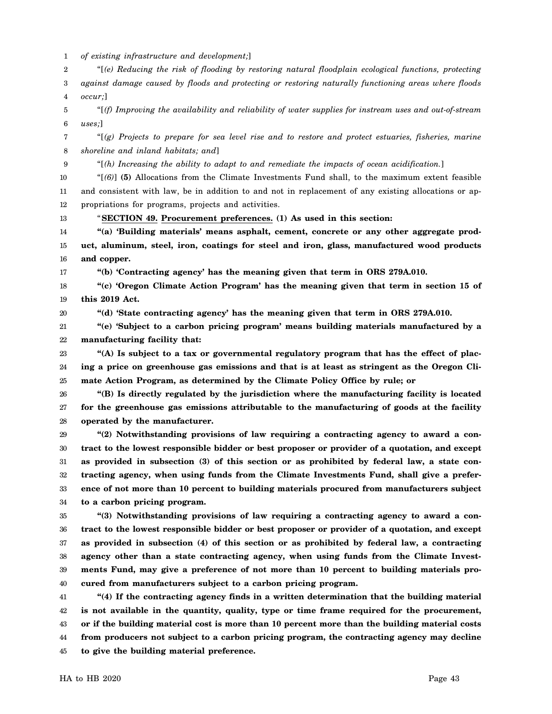1 *of existing infrastructure and development;*]

9

13

2 3 4 "[*(e) Reducing the risk of flooding by restoring natural floodplain ecological functions, protecting against damage caused by floods and protecting or restoring naturally functioning areas where floods occur;*]

5 6 "[*(f) Improving the availability and reliability of water supplies for instream uses and out-of-stream uses;*]

7 8 "[*(g) Projects to prepare for sea level rise and to restore and protect estuaries, fisheries, marine shoreline and inland habitats; and*]

"[*(h) Increasing the ability to adapt to and remediate the impacts of ocean acidification.*]

10 11 12 "[*(6)*] **(5)** Allocations from the Climate Investments Fund shall, to the maximum extent feasible and consistent with law, be in addition to and not in replacement of any existing allocations or appropriations for programs, projects and activities.

"**SECTION 49. Procurement preferences. (1) As used in this section:**

14 15 16 **"(a) 'Building materials' means asphalt, cement, concrete or any other aggregate product, aluminum, steel, iron, coatings for steel and iron, glass, manufactured wood products and copper.**

17 **"(b) 'Contracting agency' has the meaning given that term in ORS 279A.010.**

18 19 **"(c) 'Oregon Climate Action Program' has the meaning given that term in section 15 of this 2019 Act.**

20 **"(d) 'State contracting agency' has the meaning given that term in ORS 279A.010.**

21 22 **"(e) 'Subject to a carbon pricing program' means building materials manufactured by a manufacturing facility that:**

23 24 25 **"(A) Is subject to a tax or governmental regulatory program that has the effect of placing a price on greenhouse gas emissions and that is at least as stringent as the Oregon Climate Action Program, as determined by the Climate Policy Office by rule; or**

26 27 28 **"(B) Is directly regulated by the jurisdiction where the manufacturing facility is located for the greenhouse gas emissions attributable to the manufacturing of goods at the facility operated by the manufacturer.**

29 30 31 32 33 34 **"(2) Notwithstanding provisions of law requiring a contracting agency to award a contract to the lowest responsible bidder or best proposer or provider of a quotation, and except as provided in subsection (3) of this section or as prohibited by federal law, a state contracting agency, when using funds from the Climate Investments Fund, shall give a preference of not more than 10 percent to building materials procured from manufacturers subject to a carbon pricing program.**

35 36 37 38 39 40 **"(3) Notwithstanding provisions of law requiring a contracting agency to award a contract to the lowest responsible bidder or best proposer or provider of a quotation, and except as provided in subsection (4) of this section or as prohibited by federal law, a contracting agency other than a state contracting agency, when using funds from the Climate Investments Fund, may give a preference of not more than 10 percent to building materials procured from manufacturers subject to a carbon pricing program.**

41 42 43 44 45 **"(4) If the contracting agency finds in a written determination that the building material is not available in the quantity, quality, type or time frame required for the procurement, or if the building material cost is more than 10 percent more than the building material costs from producers not subject to a carbon pricing program, the contracting agency may decline to give the building material preference.**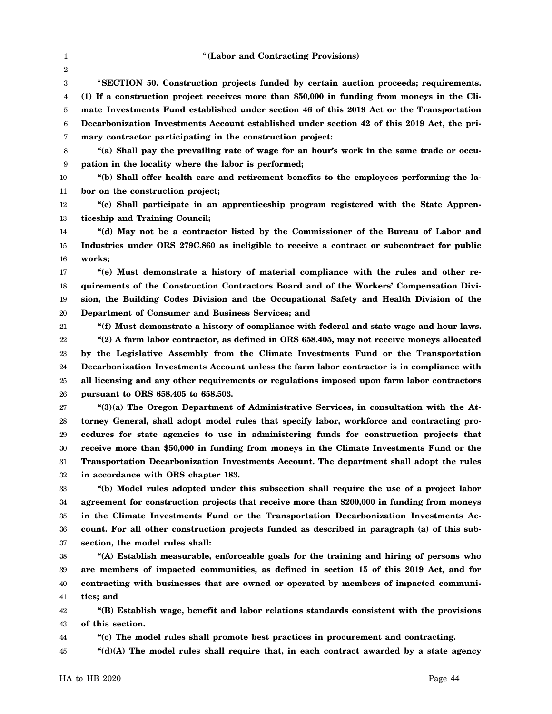1 2 3 4 5 6 7 8 9 10 11 12 13 14 15 16 17 18 19 20 21 22 23 24 25 26 27 28 29 30 31 32 33 34 35 36 37 38 39 40 41 42 43 44 45 "**(Labor and Contracting Provisions)** "**SECTION 50. Construction projects funded by certain auction proceeds; requirements. (1) If a construction project receives more than \$50,000 in funding from moneys in the Climate Investments Fund established under section 46 of this 2019 Act or the Transportation Decarbonization Investments Account established under section 42 of this 2019 Act, the primary contractor participating in the construction project: "(a) Shall pay the prevailing rate of wage for an hour's work in the same trade or occupation in the locality where the labor is performed; "(b) Shall offer health care and retirement benefits to the employees performing the labor on the construction project; "(c) Shall participate in an apprenticeship program registered with the State Apprenticeship and Training Council; "(d) May not be a contractor listed by the Commissioner of the Bureau of Labor and Industries under ORS 279C.860 as ineligible to receive a contract or subcontract for public works; "(e) Must demonstrate a history of material compliance with the rules and other requirements of the Construction Contractors Board and of the Workers' Compensation Division, the Building Codes Division and the Occupational Safety and Health Division of the Department of Consumer and Business Services; and "(f) Must demonstrate a history of compliance with federal and state wage and hour laws. "(2) A farm labor contractor, as defined in ORS 658.405, may not receive moneys allocated by the Legislative Assembly from the Climate Investments Fund or the Transportation Decarbonization Investments Account unless the farm labor contractor is in compliance with all licensing and any other requirements or regulations imposed upon farm labor contractors pursuant to ORS 658.405 to 658.503. "(3)(a) The Oregon Department of Administrative Services, in consultation with the Attorney General, shall adopt model rules that specify labor, workforce and contracting procedures for state agencies to use in administering funds for construction projects that receive more than \$50,000 in funding from moneys in the Climate Investments Fund or the Transportation Decarbonization Investments Account. The department shall adopt the rules in accordance with ORS chapter 183. "(b) Model rules adopted under this subsection shall require the use of a project labor agreement for construction projects that receive more than \$200,000 in funding from moneys in the Climate Investments Fund or the Transportation Decarbonization Investments Account. For all other construction projects funded as described in paragraph (a) of this subsection, the model rules shall: "(A) Establish measurable, enforceable goals for the training and hiring of persons who are members of impacted communities, as defined in section 15 of this 2019 Act, and for contracting with businesses that are owned or operated by members of impacted communities; and "(B) Establish wage, benefit and labor relations standards consistent with the provisions of this section. "(c) The model rules shall promote best practices in procurement and contracting. "(d)(A) The model rules shall require that, in each contract awarded by a state agency**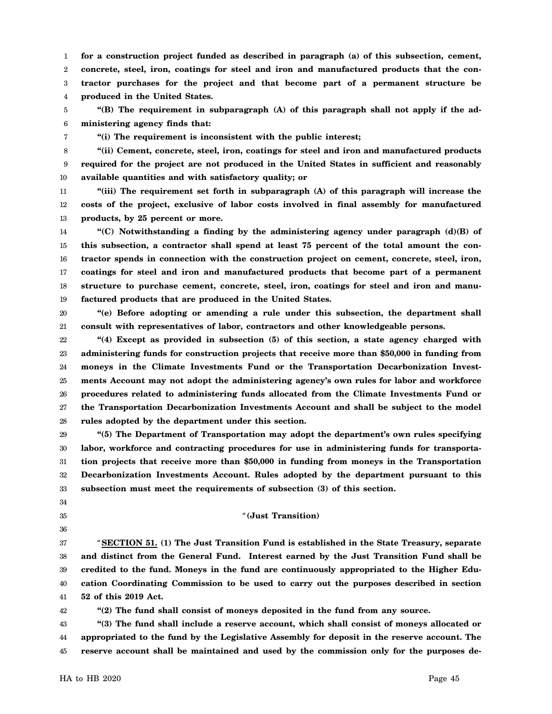1 2 3 4 **for a construction project funded as described in paragraph (a) of this subsection, cement, concrete, steel, iron, coatings for steel and iron and manufactured products that the contractor purchases for the project and that become part of a permanent structure be produced in the United States.**

5 6 **"(B) The requirement in subparagraph (A) of this paragraph shall not apply if the administering agency finds that:**

7

**"(i) The requirement is inconsistent with the public interest;**

8 9 10 **"(ii) Cement, concrete, steel, iron, coatings for steel and iron and manufactured products required for the project are not produced in the United States in sufficient and reasonably available quantities and with satisfactory quality; or**

11 12 13 **"(iii) The requirement set forth in subparagraph (A) of this paragraph will increase the costs of the project, exclusive of labor costs involved in final assembly for manufactured products, by 25 percent or more.**

14 15 16 17 18 19 **"(C) Notwithstanding a finding by the administering agency under paragraph (d)(B) of this subsection, a contractor shall spend at least 75 percent of the total amount the contractor spends in connection with the construction project on cement, concrete, steel, iron, coatings for steel and iron and manufactured products that become part of a permanent structure to purchase cement, concrete, steel, iron, coatings for steel and iron and manufactured products that are produced in the United States.**

20 21 **"(e) Before adopting or amending a rule under this subsection, the department shall consult with representatives of labor, contractors and other knowledgeable persons.**

22 23 24 25 26 27 28 **"(4) Except as provided in subsection (5) of this section, a state agency charged with administering funds for construction projects that receive more than \$50,000 in funding from moneys in the Climate Investments Fund or the Transportation Decarbonization Investments Account may not adopt the administering agency's own rules for labor and workforce procedures related to administering funds allocated from the Climate Investments Fund or the Transportation Decarbonization Investments Account and shall be subject to the model rules adopted by the department under this section.**

29 30 31 32 33 **"(5) The Department of Transportation may adopt the department's own rules specifying labor, workforce and contracting procedures for use in administering funds for transportation projects that receive more than \$50,000 in funding from moneys in the Transportation Decarbonization Investments Account. Rules adopted by the department pursuant to this subsection must meet the requirements of subsection (3) of this section.**

- 34 35
- 36

"**(Just Transition)**

37 38 39 40 41 "**SECTION 51. (1) The Just Transition Fund is established in the State Treasury, separate and distinct from the General Fund. Interest earned by the Just Transition Fund shall be credited to the fund. Moneys in the fund are continuously appropriated to the Higher Education Coordinating Commission to be used to carry out the purposes described in section 52 of this 2019 Act.**

42

**"(2) The fund shall consist of moneys deposited in the fund from any source.**

43 44 45 **"(3) The fund shall include a reserve account, which shall consist of moneys allocated or appropriated to the fund by the Legislative Assembly for deposit in the reserve account. The reserve account shall be maintained and used by the commission only for the purposes de-**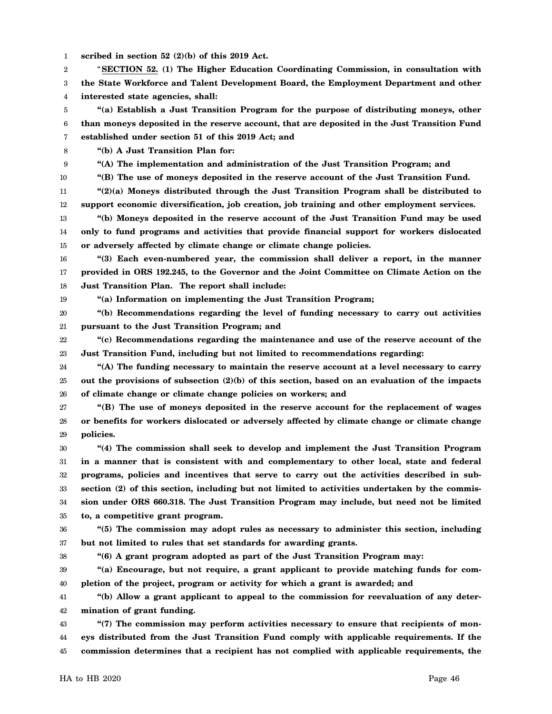1 **scribed in section 52 (2)(b) of this 2019 Act.**

2 "**SECTION 52. (1) The Higher Education Coordinating Commission, in consultation with**

3 4 **the State Workforce and Talent Development Board, the Employment Department and other interested state agencies, shall:**

5 6 7 **"(a) Establish a Just Transition Program for the purpose of distributing moneys, other than moneys deposited in the reserve account, that are deposited in the Just Transition Fund established under section 51 of this 2019 Act; and**

8 **"(b) A Just Transition Plan for:**

9 **"(A) The implementation and administration of the Just Transition Program; and**

10

19

**"(B) The use of moneys deposited in the reserve account of the Just Transition Fund.**

11 12 **"(2)(a) Moneys distributed through the Just Transition Program shall be distributed to support economic diversification, job creation, job training and other employment services.**

13 14 15 **"(b) Moneys deposited in the reserve account of the Just Transition Fund may be used only to fund programs and activities that provide financial support for workers dislocated or adversely affected by climate change or climate change policies.**

16 17 18 **"(3) Each even-numbered year, the commission shall deliver a report, in the manner provided in ORS 192.245, to the Governor and the Joint Committee on Climate Action on the Just Transition Plan. The report shall include:**

**"(a) Information on implementing the Just Transition Program;**

20 21 **"(b) Recommendations regarding the level of funding necessary to carry out activities pursuant to the Just Transition Program; and**

22 23 **"(c) Recommendations regarding the maintenance and use of the reserve account of the Just Transition Fund, including but not limited to recommendations regarding:**

24 25 26 **"(A) The funding necessary to maintain the reserve account at a level necessary to carry out the provisions of subsection (2)(b) of this section, based on an evaluation of the impacts of climate change or climate change policies on workers; and**

27 28 29 **"(B) The use of moneys deposited in the reserve account for the replacement of wages or benefits for workers dislocated or adversely affected by climate change or climate change policies.**

30 31 32 33 34 35 **"(4) The commission shall seek to develop and implement the Just Transition Program in a manner that is consistent with and complementary to other local, state and federal programs, policies and incentives that serve to carry out the activities described in subsection (2) of this section, including but not limited to activities undertaken by the commission under ORS 660.318. The Just Transition Program may include, but need not be limited to, a competitive grant program.**

**"(5) The commission may adopt rules as necessary to administer this section, including**

36

37 38

**"(6) A grant program adopted as part of the Just Transition Program may:**

**but not limited to rules that set standards for awarding grants.**

39 40 **"(a) Encourage, but not require, a grant applicant to provide matching funds for completion of the project, program or activity for which a grant is awarded; and**

41 42 **"(b) Allow a grant applicant to appeal to the commission for reevaluation of any determination of grant funding.**

43 44 45 **"(7) The commission may perform activities necessary to ensure that recipients of moneys distributed from the Just Transition Fund comply with applicable requirements. If the commission determines that a recipient has not complied with applicable requirements, the**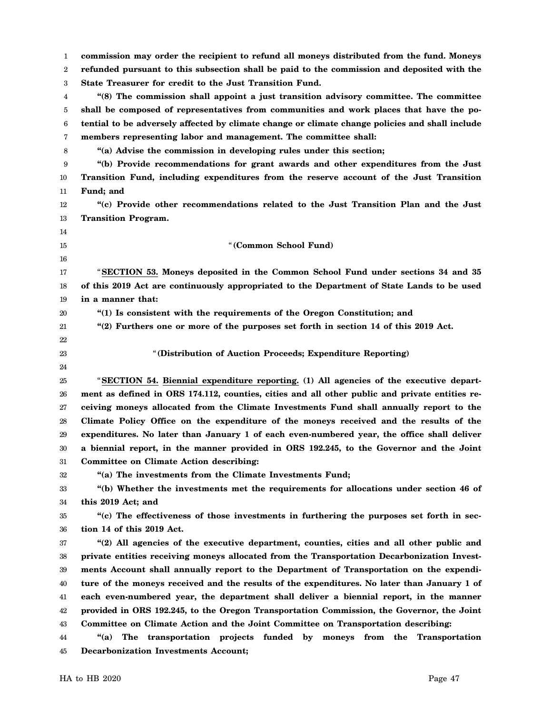| 1  | commission may order the recipient to refund all moneys distributed from the fund. Moneys       |
|----|-------------------------------------------------------------------------------------------------|
| 2  | refunded pursuant to this subsection shall be paid to the commission and deposited with the     |
| 3  | State Treasurer for credit to the Just Transition Fund.                                         |
| 4  | "(8) The commission shall appoint a just transition advisory committee. The committee           |
| 5  | shall be composed of representatives from communities and work places that have the po-         |
| 6  | tential to be adversely affected by climate change or climate change policies and shall include |
| 7  | members representing labor and management. The committee shall:                                 |
| 8  | "(a) Advise the commission in developing rules under this section;                              |
| 9  | "(b) Provide recommendations for grant awards and other expenditures from the Just              |
| 10 | Transition Fund, including expenditures from the reserve account of the Just Transition         |
| 11 | Fund; and                                                                                       |
| 12 | "(c) Provide other recommendations related to the Just Transition Plan and the Just             |
| 13 | <b>Transition Program.</b>                                                                      |
| 14 |                                                                                                 |
| 15 | "(Common School Fund)                                                                           |
| 16 |                                                                                                 |
| 17 | "SECTION 53. Moneys deposited in the Common School Fund under sections 34 and 35                |
| 18 | of this 2019 Act are continuously appropriated to the Department of State Lands to be used      |
| 19 | in a manner that:                                                                               |
| 20 | "(1) Is consistent with the requirements of the Oregon Constitution; and                        |
| 21 | "(2) Furthers one or more of the purposes set forth in section 14 of this 2019 Act.             |
| 22 |                                                                                                 |
| 23 | "(Distribution of Auction Proceeds; Expenditure Reporting)                                      |
| 24 |                                                                                                 |
| 25 | "SECTION 54. Biennial expenditure reporting. (1) All agencies of the executive depart-          |
| 26 | ment as defined in ORS 174.112, counties, cities and all other public and private entities re-  |
| 27 | ceiving moneys allocated from the Climate Investments Fund shall annually report to the         |
| 28 | Climate Policy Office on the expenditure of the moneys received and the results of the          |
| 29 | expenditures. No later than January 1 of each even-numbered year, the office shall deliver      |
| 30 | a biennial report, in the manner provided in ORS 192.245, to the Governor and the Joint         |
| 31 | Committee on Climate Action describing:                                                         |
| 32 | "(a) The investments from the Climate Investments Fund;                                         |
| 33 | "(b) Whether the investments met the requirements for allocations under section 46 of           |
| 34 | this 2019 Act; and                                                                              |
| 35 | "(c) The effectiveness of those investments in furthering the purposes set forth in sec-        |
| 36 | tion 14 of this 2019 Act.                                                                       |
| 37 | "(2) All agencies of the executive department, counties, cities and all other public and        |
| 38 | private entities receiving moneys allocated from the Transportation Decarbonization Invest-     |
| 39 | ments Account shall annually report to the Department of Transportation on the expendi-         |
| 40 | ture of the moneys received and the results of the expenditures. No later than January 1 of     |
|    | each even-numbered year, the department shall deliver a biennial report, in the manner          |
| 41 |                                                                                                 |
| 42 | provided in ORS 192.245, to the Oregon Transportation Commission, the Governor, the Joint       |
| 43 | Committee on Climate Action and the Joint Committee on Transportation describing:<br>" $(a)$    |
| 44 | The transportation projects funded by moneys from the Transportation                            |
| 45 | <b>Decarbonization Investments Account;</b>                                                     |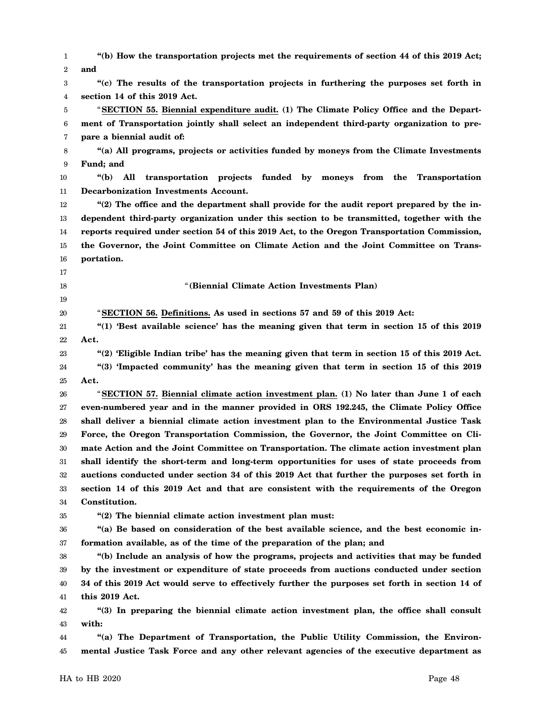1 2 3 4 5 6 7 8 9 10 11 12 13 14 15 16 17 18 19 20 21 22 23 24 25 26 27 28 29 30 31 32 33 34 35 36 37 38 39 40 41 42 43 44 45 **"(b) How the transportation projects met the requirements of section 44 of this 2019 Act; and "(c) The results of the transportation projects in furthering the purposes set forth in section 14 of this 2019 Act.** "**SECTION 55. Biennial expenditure audit. (1) The Climate Policy Office and the Department of Transportation jointly shall select an independent third-party organization to prepare a biennial audit of: "(a) All programs, projects or activities funded by moneys from the Climate Investments Fund; and "(b) All transportation projects funded by moneys from the Transportation Decarbonization Investments Account. "(2) The office and the department shall provide for the audit report prepared by the independent third-party organization under this section to be transmitted, together with the reports required under section 54 of this 2019 Act, to the Oregon Transportation Commission, the Governor, the Joint Committee on Climate Action and the Joint Committee on Transportation.** "**(Biennial Climate Action Investments Plan)** "**SECTION 56. Definitions. As used in sections 57 and 59 of this 2019 Act: "(1) 'Best available science' has the meaning given that term in section 15 of this 2019 Act. "(2) 'Eligible Indian tribe' has the meaning given that term in section 15 of this 2019 Act. "(3) 'Impacted community' has the meaning given that term in section 15 of this 2019 Act.** "**SECTION 57. Biennial climate action investment plan. (1) No later than June 1 of each even-numbered year and in the manner provided in ORS 192.245, the Climate Policy Office shall deliver a biennial climate action investment plan to the Environmental Justice Task Force, the Oregon Transportation Commission, the Governor, the Joint Committee on Climate Action and the Joint Committee on Transportation. The climate action investment plan shall identify the short-term and long-term opportunities for uses of state proceeds from auctions conducted under section 34 of this 2019 Act that further the purposes set forth in section 14 of this 2019 Act and that are consistent with the requirements of the Oregon Constitution. "(2) The biennial climate action investment plan must: "(a) Be based on consideration of the best available science, and the best economic information available, as of the time of the preparation of the plan; and "(b) Include an analysis of how the programs, projects and activities that may be funded by the investment or expenditure of state proceeds from auctions conducted under section 34 of this 2019 Act would serve to effectively further the purposes set forth in section 14 of this 2019 Act. "(3) In preparing the biennial climate action investment plan, the office shall consult with: "(a) The Department of Transportation, the Public Utility Commission, the Environmental Justice Task Force and any other relevant agencies of the executive department as**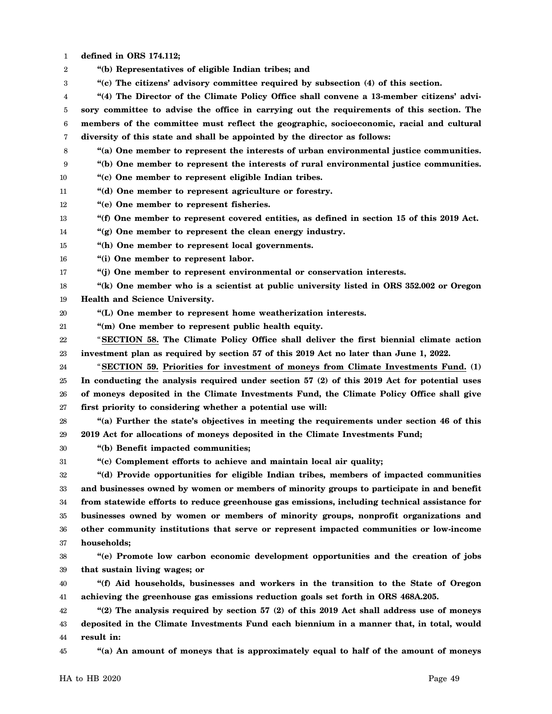- 1 2 3 4 5 6 7 8 9 10 11 12 13 14 15 16 17 18 19 20 21 22 23 24 25 26 27 28 29 30 31 32 33 34 35 36 37 38 39 40 41 42 43 44 **defined in ORS 174.112; "(b) Representatives of eligible Indian tribes; and "(c) The citizens' advisory committee required by subsection (4) of this section. "(4) The Director of the Climate Policy Office shall convene a 13-member citizens' advisory committee to advise the office in carrying out the requirements of this section. The members of the committee must reflect the geographic, socioeconomic, racial and cultural diversity of this state and shall be appointed by the director as follows: "(a) One member to represent the interests of urban environmental justice communities. "(b) One member to represent the interests of rural environmental justice communities. "(c) One member to represent eligible Indian tribes. "(d) One member to represent agriculture or forestry. "(e) One member to represent fisheries. "(f) One member to represent covered entities, as defined in section 15 of this 2019 Act. "(g) One member to represent the clean energy industry. "(h) One member to represent local governments. "(i) One member to represent labor. "(j) One member to represent environmental or conservation interests. "(k) One member who is a scientist at public university listed in ORS 352.002 or Oregon Health and Science University. "(L) One member to represent home weatherization interests. "(m) One member to represent public health equity.** "**SECTION 58. The Climate Policy Office shall deliver the first biennial climate action investment plan as required by section 57 of this 2019 Act no later than June 1, 2022.** "**SECTION 59. Priorities for investment of moneys from Climate Investments Fund. (1) In conducting the analysis required under section 57 (2) of this 2019 Act for potential uses of moneys deposited in the Climate Investments Fund, the Climate Policy Office shall give first priority to considering whether a potential use will: "(a) Further the state's objectives in meeting the requirements under section 46 of this 2019 Act for allocations of moneys deposited in the Climate Investments Fund; "(b) Benefit impacted communities; "(c) Complement efforts to achieve and maintain local air quality; "(d) Provide opportunities for eligible Indian tribes, members of impacted communities and businesses owned by women or members of minority groups to participate in and benefit from statewide efforts to reduce greenhouse gas emissions, including technical assistance for businesses owned by women or members of minority groups, nonprofit organizations and other community institutions that serve or represent impacted communities or low-income households; "(e) Promote low carbon economic development opportunities and the creation of jobs that sustain living wages; or "(f) Aid households, businesses and workers in the transition to the State of Oregon achieving the greenhouse gas emissions reduction goals set forth in ORS 468A.205. "(2) The analysis required by section 57 (2) of this 2019 Act shall address use of moneys deposited in the Climate Investments Fund each biennium in a manner that, in total, would result in:**
- 45

**"(a) An amount of moneys that is approximately equal to half of the amount of moneys**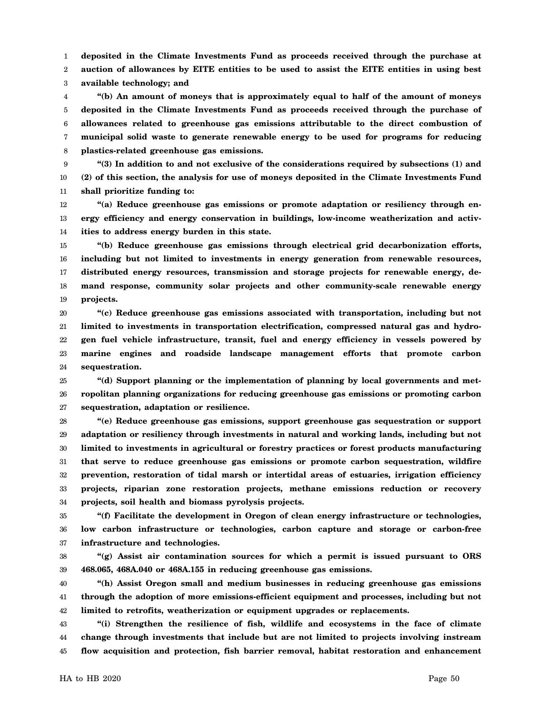1 2 3 **deposited in the Climate Investments Fund as proceeds received through the purchase at auction of allowances by EITE entities to be used to assist the EITE entities in using best available technology; and**

4 5 6 7 8 **"(b) An amount of moneys that is approximately equal to half of the amount of moneys deposited in the Climate Investments Fund as proceeds received through the purchase of allowances related to greenhouse gas emissions attributable to the direct combustion of municipal solid waste to generate renewable energy to be used for programs for reducing plastics-related greenhouse gas emissions.**

9 10 11 **"(3) In addition to and not exclusive of the considerations required by subsections (1) and (2) of this section, the analysis for use of moneys deposited in the Climate Investments Fund shall prioritize funding to:**

12 13 14 **"(a) Reduce greenhouse gas emissions or promote adaptation or resiliency through energy efficiency and energy conservation in buildings, low-income weatherization and activities to address energy burden in this state.**

15 16 17 18 19 **"(b) Reduce greenhouse gas emissions through electrical grid decarbonization efforts, including but not limited to investments in energy generation from renewable resources, distributed energy resources, transmission and storage projects for renewable energy, demand response, community solar projects and other community-scale renewable energy projects.**

20 21 22 23 24 **"(c) Reduce greenhouse gas emissions associated with transportation, including but not limited to investments in transportation electrification, compressed natural gas and hydrogen fuel vehicle infrastructure, transit, fuel and energy efficiency in vessels powered by marine engines and roadside landscape management efforts that promote carbon sequestration.**

25 26 27 **"(d) Support planning or the implementation of planning by local governments and metropolitan planning organizations for reducing greenhouse gas emissions or promoting carbon sequestration, adaptation or resilience.**

28 29 30 31 32 33 34 **"(e) Reduce greenhouse gas emissions, support greenhouse gas sequestration or support adaptation or resiliency through investments in natural and working lands, including but not limited to investments in agricultural or forestry practices or forest products manufacturing that serve to reduce greenhouse gas emissions or promote carbon sequestration, wildfire prevention, restoration of tidal marsh or intertidal areas of estuaries, irrigation efficiency projects, riparian zone restoration projects, methane emissions reduction or recovery projects, soil health and biomass pyrolysis projects.**

35 36 37 **"(f) Facilitate the development in Oregon of clean energy infrastructure or technologies, low carbon infrastructure or technologies, carbon capture and storage or carbon-free infrastructure and technologies.**

38 39 **"(g) Assist air contamination sources for which a permit is issued pursuant to ORS 468.065, 468A.040 or 468A.155 in reducing greenhouse gas emissions.**

40 41 42 **"(h) Assist Oregon small and medium businesses in reducing greenhouse gas emissions through the adoption of more emissions-efficient equipment and processes, including but not limited to retrofits, weatherization or equipment upgrades or replacements.**

43 44 45 **"(i) Strengthen the resilience of fish, wildlife and ecosystems in the face of climate change through investments that include but are not limited to projects involving instream flow acquisition and protection, fish barrier removal, habitat restoration and enhancement**

HA to HB 2020 Page 50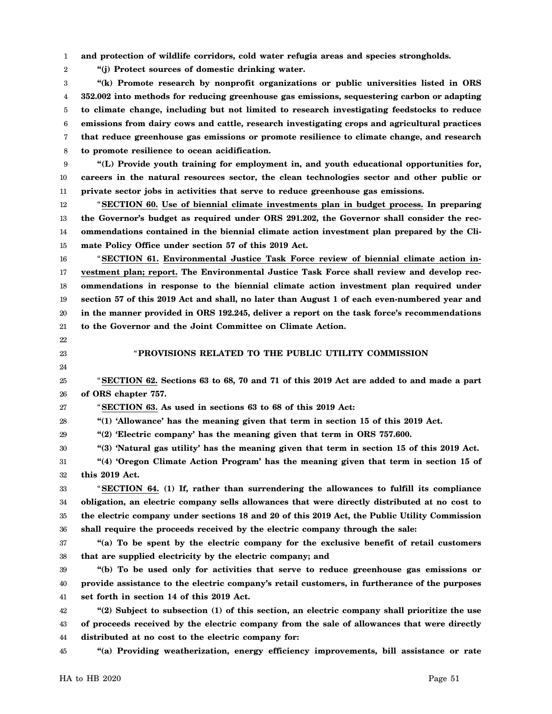1 **and protection of wildlife corridors, cold water refugia areas and species strongholds.**

**"(j) Protect sources of domestic drinking water.**

3 4 5 6 7 8 **"(k) Promote research by nonprofit organizations or public universities listed in ORS 352.002 into methods for reducing greenhouse gas emissions, sequestering carbon or adapting to climate change, including but not limited to research investigating feedstocks to reduce emissions from dairy cows and cattle, research investigating crops and agricultural practices that reduce greenhouse gas emissions or promote resilience to climate change, and research to promote resilience to ocean acidification.**

9 10 11 **"(L) Provide youth training for employment in, and youth educational opportunities for, careers in the natural resources sector, the clean technologies sector and other public or private sector jobs in activities that serve to reduce greenhouse gas emissions.**

12 13 14 15 "**SECTION 60. Use of biennial climate investments plan in budget process. In preparing the Governor's budget as required under ORS 291.202, the Governor shall consider the recommendations contained in the biennial climate action investment plan prepared by the Climate Policy Office under section 57 of this 2019 Act.**

16 17 18 19 20 21 "**SECTION 61. Environmental Justice Task Force review of biennial climate action investment plan; report. The Environmental Justice Task Force shall review and develop recommendations in response to the biennial climate action investment plan required under section 57 of this 2019 Act and shall, no later than August 1 of each even-numbered year and in the manner provided in ORS 192.245, deliver a report on the task force's recommendations to the Governor and the Joint Committee on Climate Action.**

22 23

24

2

## "**PROVISIONS RELATED TO THE PUBLIC UTILITY COMMISSION**

25 26 "**SECTION 62. Sections 63 to 68, 70 and 71 of this 2019 Act are added to and made a part of ORS chapter 757.**

27 "**SECTION 63. As used in sections 63 to 68 of this 2019 Act:**

28 **"(1) 'Allowance' has the meaning given that term in section 15 of this 2019 Act.**

29 **"(2) 'Electric company' has the meaning given that term in ORS 757.600.**

30 **"(3) 'Natural gas utility' has the meaning given that term in section 15 of this 2019 Act.**

31 32 **"(4) 'Oregon Climate Action Program' has the meaning given that term in section 15 of this 2019 Act.**

33 34 35 36 "**SECTION 64. (1) If, rather than surrendering the allowances to fulfill its compliance obligation, an electric company sells allowances that were directly distributed at no cost to the electric company under sections 18 and 20 of this 2019 Act, the Public Utility Commission shall require the proceeds received by the electric company through the sale:**

37 38 **"(a) To be spent by the electric company for the exclusive benefit of retail customers that are supplied electricity by the electric company; and**

39 40 41 **"(b) To be used only for activities that serve to reduce greenhouse gas emissions or provide assistance to the electric company's retail customers, in furtherance of the purposes set forth in section 14 of this 2019 Act.**

42 43 44 **"(2) Subject to subsection (1) of this section, an electric company shall prioritize the use of proceeds received by the electric company from the sale of allowances that were directly distributed at no cost to the electric company for:**

45 **"(a) Providing weatherization, energy efficiency improvements, bill assistance or rate**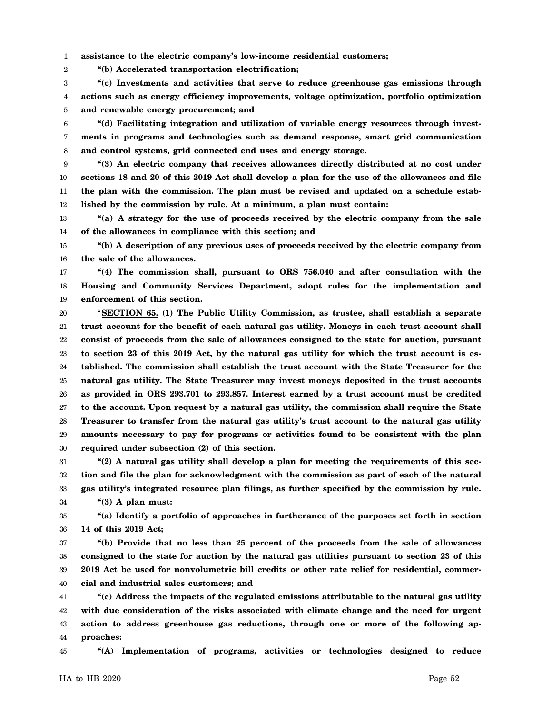1 **assistance to the electric company's low-income residential customers;**

**"(b) Accelerated transportation electrification;**

2

3 4 5 **"(c) Investments and activities that serve to reduce greenhouse gas emissions through actions such as energy efficiency improvements, voltage optimization, portfolio optimization and renewable energy procurement; and**

6 7 8 **"(d) Facilitating integration and utilization of variable energy resources through investments in programs and technologies such as demand response, smart grid communication and control systems, grid connected end uses and energy storage.**

9 10 11 12 **"(3) An electric company that receives allowances directly distributed at no cost under sections 18 and 20 of this 2019 Act shall develop a plan for the use of the allowances and file the plan with the commission. The plan must be revised and updated on a schedule established by the commission by rule. At a minimum, a plan must contain:**

13 14 **"(a) A strategy for the use of proceeds received by the electric company from the sale of the allowances in compliance with this section; and**

15 16 **"(b) A description of any previous uses of proceeds received by the electric company from the sale of the allowances.**

17 18 19 **"(4) The commission shall, pursuant to ORS 756.040 and after consultation with the Housing and Community Services Department, adopt rules for the implementation and enforcement of this section.**

20 21 22 23 24 25 26 27 28 29 30 "**SECTION 65. (1) The Public Utility Commission, as trustee, shall establish a separate trust account for the benefit of each natural gas utility. Moneys in each trust account shall consist of proceeds from the sale of allowances consigned to the state for auction, pursuant to section 23 of this 2019 Act, by the natural gas utility for which the trust account is established. The commission shall establish the trust account with the State Treasurer for the natural gas utility. The State Treasurer may invest moneys deposited in the trust accounts as provided in ORS 293.701 to 293.857. Interest earned by a trust account must be credited to the account. Upon request by a natural gas utility, the commission shall require the State Treasurer to transfer from the natural gas utility's trust account to the natural gas utility amounts necessary to pay for programs or activities found to be consistent with the plan required under subsection (2) of this section.**

31 32 33 34 **"(2) A natural gas utility shall develop a plan for meeting the requirements of this section and file the plan for acknowledgment with the commission as part of each of the natural gas utility's integrated resource plan filings, as further specified by the commission by rule. "(3) A plan must:**

35 36 **"(a) Identify a portfolio of approaches in furtherance of the purposes set forth in section 14 of this 2019 Act;**

37 38 39 40 **"(b) Provide that no less than 25 percent of the proceeds from the sale of allowances consigned to the state for auction by the natural gas utilities pursuant to section 23 of this 2019 Act be used for nonvolumetric bill credits or other rate relief for residential, commercial and industrial sales customers; and**

41 42 43 44 **"(c) Address the impacts of the regulated emissions attributable to the natural gas utility with due consideration of the risks associated with climate change and the need for urgent action to address greenhouse gas reductions, through one or more of the following approaches:**

45 **"(A) Implementation of programs, activities or technologies designed to reduce**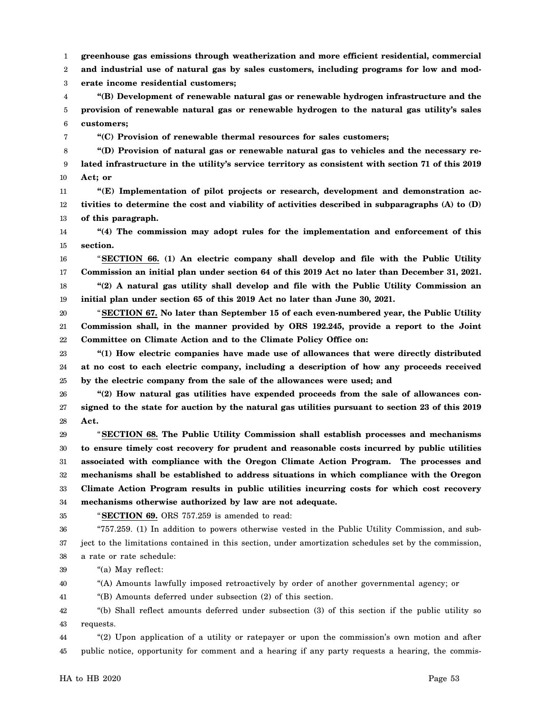1 **greenhouse gas emissions through weatherization and more efficient residential, commercial**

2 **and industrial use of natural gas by sales customers, including programs for low and mod-**

3 **erate income residential customers;**

4 5 6 **"(B) Development of renewable natural gas or renewable hydrogen infrastructure and the provision of renewable natural gas or renewable hydrogen to the natural gas utility's sales customers;**

**"(C) Provision of renewable thermal resources for sales customers;**

8 9 10 **"(D) Provision of natural gas or renewable natural gas to vehicles and the necessary related infrastructure in the utility's service territory as consistent with section 71 of this 2019 Act; or**

11 12 13 **"(E) Implementation of pilot projects or research, development and demonstration activities to determine the cost and viability of activities described in subparagraphs (A) to (D) of this paragraph.**

14 15 **"(4) The commission may adopt rules for the implementation and enforcement of this section.**

16 17 "**SECTION 66. (1) An electric company shall develop and file with the Public Utility Commission an initial plan under section 64 of this 2019 Act no later than December 31, 2021.**

18 19 **"(2) A natural gas utility shall develop and file with the Public Utility Commission an initial plan under section 65 of this 2019 Act no later than June 30, 2021.**

20 21 22 "**SECTION 67. No later than September 15 of each even-numbered year, the Public Utility Commission shall, in the manner provided by ORS 192.245, provide a report to the Joint Committee on Climate Action and to the Climate Policy Office on:**

23 24 25 **"(1) How electric companies have made use of allowances that were directly distributed at no cost to each electric company, including a description of how any proceeds received by the electric company from the sale of the allowances were used; and**

26 27 28 **"(2) How natural gas utilities have expended proceeds from the sale of allowances consigned to the state for auction by the natural gas utilities pursuant to section 23 of this 2019 Act.**

29 30 31 32 33 34 "**SECTION 68. The Public Utility Commission shall establish processes and mechanisms to ensure timely cost recovery for prudent and reasonable costs incurred by public utilities associated with compliance with the Oregon Climate Action Program. The processes and mechanisms shall be established to address situations in which compliance with the Oregon Climate Action Program results in public utilities incurring costs for which cost recovery mechanisms otherwise authorized by law are not adequate.**

35

7

"**SECTION 69.** ORS 757.259 is amended to read:

36 37 38 "757.259. (1) In addition to powers otherwise vested in the Public Utility Commission, and subject to the limitations contained in this section, under amortization schedules set by the commission, a rate or rate schedule:

39 "(a) May reflect:

40 "(A) Amounts lawfully imposed retroactively by order of another governmental agency; or

41 "(B) Amounts deferred under subsection (2) of this section.

42 43 "(b) Shall reflect amounts deferred under subsection (3) of this section if the public utility so requests.

44 45 "(2) Upon application of a utility or ratepayer or upon the commission's own motion and after public notice, opportunity for comment and a hearing if any party requests a hearing, the commis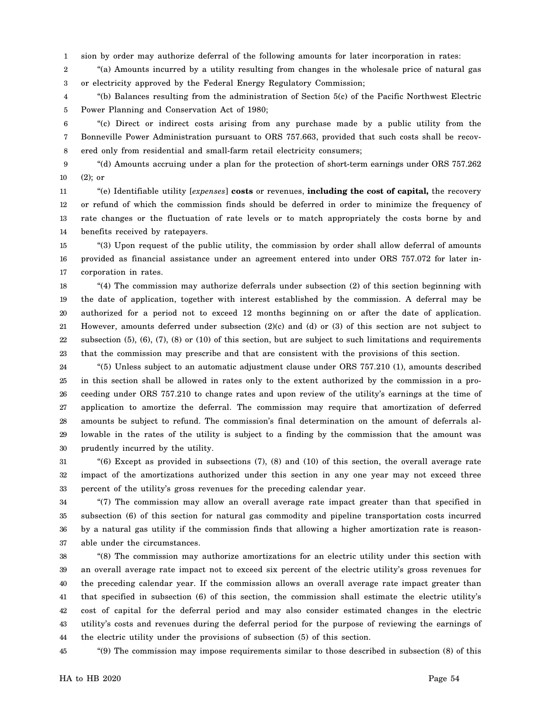1 sion by order may authorize deferral of the following amounts for later incorporation in rates:

2 3 "(a) Amounts incurred by a utility resulting from changes in the wholesale price of natural gas or electricity approved by the Federal Energy Regulatory Commission;

4 5 "(b) Balances resulting from the administration of Section 5(c) of the Pacific Northwest Electric Power Planning and Conservation Act of 1980;

6 7 8 "(c) Direct or indirect costs arising from any purchase made by a public utility from the Bonneville Power Administration pursuant to ORS 757.663, provided that such costs shall be recovered only from residential and small-farm retail electricity consumers;

9 10 "(d) Amounts accruing under a plan for the protection of short-term earnings under ORS 757.262 (2); or

11 12 13 14 "(e) Identifiable utility [*expenses*] **costs** or revenues, **including the cost of capital,** the recovery or refund of which the commission finds should be deferred in order to minimize the frequency of rate changes or the fluctuation of rate levels or to match appropriately the costs borne by and benefits received by ratepayers.

15 16 17 "(3) Upon request of the public utility, the commission by order shall allow deferral of amounts provided as financial assistance under an agreement entered into under ORS 757.072 for later incorporation in rates.

18 19 20 21 22 23 "(4) The commission may authorize deferrals under subsection (2) of this section beginning with the date of application, together with interest established by the commission. A deferral may be authorized for a period not to exceed 12 months beginning on or after the date of application. However, amounts deferred under subsection (2)(c) and (d) or (3) of this section are not subject to subsection (5), (6), (7), (8) or (10) of this section, but are subject to such limitations and requirements that the commission may prescribe and that are consistent with the provisions of this section.

24 25 26 27 28 29 30 "(5) Unless subject to an automatic adjustment clause under ORS 757.210 (1), amounts described in this section shall be allowed in rates only to the extent authorized by the commission in a proceeding under ORS 757.210 to change rates and upon review of the utility's earnings at the time of application to amortize the deferral. The commission may require that amortization of deferred amounts be subject to refund. The commission's final determination on the amount of deferrals allowable in the rates of the utility is subject to a finding by the commission that the amount was prudently incurred by the utility.

31 32 33 "(6) Except as provided in subsections (7), (8) and (10) of this section, the overall average rate impact of the amortizations authorized under this section in any one year may not exceed three percent of the utility's gross revenues for the preceding calendar year.

34 35 36 37 "(7) The commission may allow an overall average rate impact greater than that specified in subsection (6) of this section for natural gas commodity and pipeline transportation costs incurred by a natural gas utility if the commission finds that allowing a higher amortization rate is reasonable under the circumstances.

38 39 40 41 42 43 44 "(8) The commission may authorize amortizations for an electric utility under this section with an overall average rate impact not to exceed six percent of the electric utility's gross revenues for the preceding calendar year. If the commission allows an overall average rate impact greater than that specified in subsection (6) of this section, the commission shall estimate the electric utility's cost of capital for the deferral period and may also consider estimated changes in the electric utility's costs and revenues during the deferral period for the purpose of reviewing the earnings of the electric utility under the provisions of subsection (5) of this section.

45 "(9) The commission may impose requirements similar to those described in subsection (8) of this

HA to HB 2020 Page 54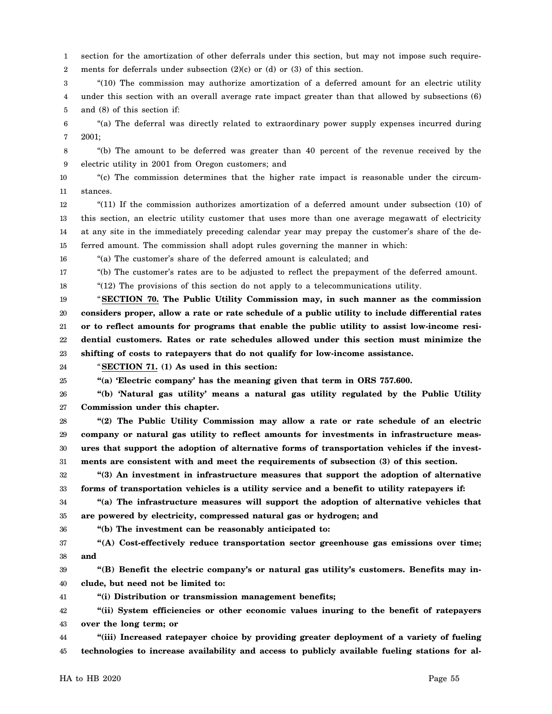1 2 section for the amortization of other deferrals under this section, but may not impose such requirements for deferrals under subsection (2)(c) or (d) or (3) of this section.

3 4 5 "(10) The commission may authorize amortization of a deferred amount for an electric utility under this section with an overall average rate impact greater than that allowed by subsections (6) and (8) of this section if:

6 7 "(a) The deferral was directly related to extraordinary power supply expenses incurred during 2001;

8 9 "(b) The amount to be deferred was greater than 40 percent of the revenue received by the electric utility in 2001 from Oregon customers; and

10 11 "(c) The commission determines that the higher rate impact is reasonable under the circumstances.

12 13 14 15 "(11) If the commission authorizes amortization of a deferred amount under subsection (10) of this section, an electric utility customer that uses more than one average megawatt of electricity at any site in the immediately preceding calendar year may prepay the customer's share of the deferred amount. The commission shall adopt rules governing the manner in which:

16 "(a) The customer's share of the deferred amount is calculated; and

17 "(b) The customer's rates are to be adjusted to reflect the prepayment of the deferred amount.

18 "(12) The provisions of this section do not apply to a telecommunications utility.

19 20 21 22 23 "**SECTION 70. The Public Utility Commission may, in such manner as the commission considers proper, allow a rate or rate schedule of a public utility to include differential rates or to reflect amounts for programs that enable the public utility to assist low-income residential customers. Rates or rate schedules allowed under this section must minimize the shifting of costs to ratepayers that do not qualify for low-income assistance.**

24 "**SECTION 71. (1) As used in this section:**

25 **"(a) 'Electric company' has the meaning given that term in ORS 757.600.**

26 27 **"(b) 'Natural gas utility' means a natural gas utility regulated by the Public Utility Commission under this chapter.**

28 29 30 31 **"(2) The Public Utility Commission may allow a rate or rate schedule of an electric company or natural gas utility to reflect amounts for investments in infrastructure measures that support the adoption of alternative forms of transportation vehicles if the investments are consistent with and meet the requirements of subsection (3) of this section.**

32 33 **"(3) An investment in infrastructure measures that support the adoption of alternative forms of transportation vehicles is a utility service and a benefit to utility ratepayers if:**

34 35 **"(a) The infrastructure measures will support the adoption of alternative vehicles that are powered by electricity, compressed natural gas or hydrogen; and**

36 **"(b) The investment can be reasonably anticipated to:**

37 38 **"(A) Cost-effectively reduce transportation sector greenhouse gas emissions over time; and**

39 40 **"(B) Benefit the electric company's or natural gas utility's customers. Benefits may include, but need not be limited to:**

41 **"(i) Distribution or transmission management benefits;**

42 43 **"(ii) System efficiencies or other economic values inuring to the benefit of ratepayers over the long term; or**

44 45 **"(iii) Increased ratepayer choice by providing greater deployment of a variety of fueling technologies to increase availability and access to publicly available fueling stations for al-**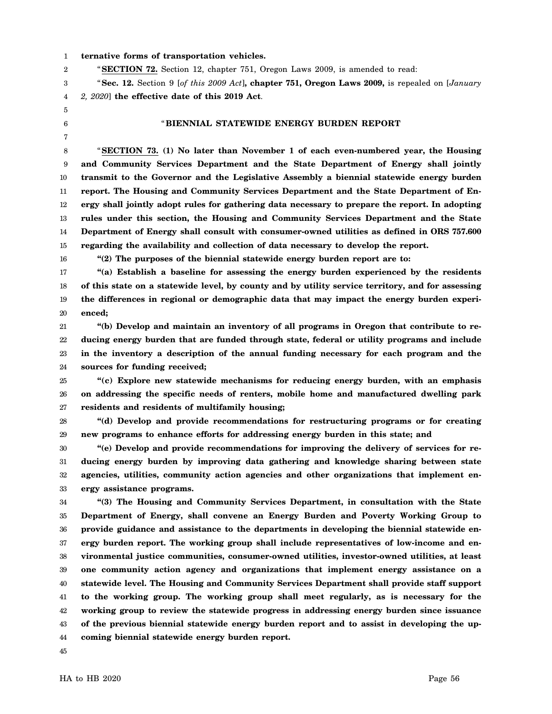#### 1 **ternative forms of transportation vehicles.**

2

5 6 7

16

"**SECTION 72.** Section 12, chapter 751, Oregon Laws 2009, is amended to read:

3 4 "**Sec. 12.** Section 9 [*of this 2009 Act*]**, chapter 751, Oregon Laws 2009,** is repealed on [*January 2, 2020*] **the effective date of this 2019 Act**.

## "**BIENNIAL STATEWIDE ENERGY BURDEN REPORT**

8 9 10 11 12 13 14 15 "**SECTION 73. (1) No later than November 1 of each even-numbered year, the Housing and Community Services Department and the State Department of Energy shall jointly transmit to the Governor and the Legislative Assembly a biennial statewide energy burden report. The Housing and Community Services Department and the State Department of Energy shall jointly adopt rules for gathering data necessary to prepare the report. In adopting rules under this section, the Housing and Community Services Department and the State Department of Energy shall consult with consumer-owned utilities as defined in ORS 757.600 regarding the availability and collection of data necessary to develop the report.**

**"(2) The purposes of the biennial statewide energy burden report are to:**

17 18 19 20 **"(a) Establish a baseline for assessing the energy burden experienced by the residents of this state on a statewide level, by county and by utility service territory, and for assessing the differences in regional or demographic data that may impact the energy burden experienced;**

21 22 23 24 **"(b) Develop and maintain an inventory of all programs in Oregon that contribute to reducing energy burden that are funded through state, federal or utility programs and include in the inventory a description of the annual funding necessary for each program and the sources for funding received;**

25 26 27 **"(c) Explore new statewide mechanisms for reducing energy burden, with an emphasis on addressing the specific needs of renters, mobile home and manufactured dwelling park residents and residents of multifamily housing;**

28 29 **"(d) Develop and provide recommendations for restructuring programs or for creating new programs to enhance efforts for addressing energy burden in this state; and**

30 31 32 33 **"(e) Develop and provide recommendations for improving the delivery of services for reducing energy burden by improving data gathering and knowledge sharing between state agencies, utilities, community action agencies and other organizations that implement energy assistance programs.**

34 35 36 37 38 39 40 41 42 43 44 **"(3) The Housing and Community Services Department, in consultation with the State Department of Energy, shall convene an Energy Burden and Poverty Working Group to provide guidance and assistance to the departments in developing the biennial statewide energy burden report. The working group shall include representatives of low-income and environmental justice communities, consumer-owned utilities, investor-owned utilities, at least one community action agency and organizations that implement energy assistance on a statewide level. The Housing and Community Services Department shall provide staff support to the working group. The working group shall meet regularly, as is necessary for the working group to review the statewide progress in addressing energy burden since issuance of the previous biennial statewide energy burden report and to assist in developing the upcoming biennial statewide energy burden report.**

45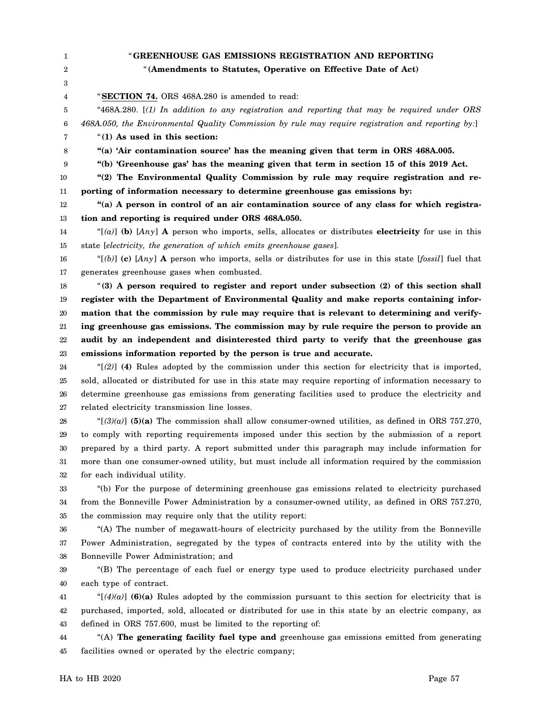# 1 2

3

7

10

# " **GREENHOUSE GAS EMISSIONS REGISTRATION AND REPORTING**

"**(Amendments to Statutes, Operative on Effective Date of Act)**

4 "**SECTION 74.** ORS 468A.280 is amended to read:

5 6 "468A.280. [*(1) In addition to any registration and reporting that may be required under ORS 468A.050, the Environmental Quality Commission by rule may require registration and reporting by:*]

"**(1) As used in this section:**

8 **"(a) 'Air contamination source' has the meaning given that term in ORS 468A.005.**

9 **"(b) 'Greenhouse gas' has the meaning given that term in section 15 of this 2019 Act.**

**"(2) The Environmental Quality Commission by rule may require registration and re-**

11 **porting of information necessary to determine greenhouse gas emissions by:**

12 13 **"(a) A person in control of an air contamination source of any class for which registration and reporting is required under ORS 468A.050.**

14 15 "[*(a)*] **(b)** [*Any*] **A** person who imports, sells, allocates or distributes **electricity** for use in this state [*electricity, the generation of which emits greenhouse gases*].

16 17 " $[6]$ **(c)**  $[Any]$  **A** person who imports, sells or distributes for use in this state [*fossil*] fuel that generates greenhouse gases when combusted.

18 19 20 21 22 23 "**(3) A person required to register and report under subsection (2) of this section shall register with the Department of Environmental Quality and make reports containing information that the commission by rule may require that is relevant to determining and verifying greenhouse gas emissions. The commission may by rule require the person to provide an audit by an independent and disinterested third party to verify that the greenhouse gas emissions information reported by the person is true and accurate.**

24 25 26 27 "[*(2)*] **(4)** Rules adopted by the commission under this section for electricity that is imported, sold, allocated or distributed for use in this state may require reporting of information necessary to determine greenhouse gas emissions from generating facilities used to produce the electricity and related electricity transmission line losses.

28 29 30 31 32 " $[(3)(a)]$  (5)(a) The commission shall allow consumer-owned utilities, as defined in ORS 757.270, to comply with reporting requirements imposed under this section by the submission of a report prepared by a third party. A report submitted under this paragraph may include information for more than one consumer-owned utility, but must include all information required by the commission for each individual utility.

33 34 35 "(b) For the purpose of determining greenhouse gas emissions related to electricity purchased from the Bonneville Power Administration by a consumer-owned utility, as defined in ORS 757.270, the commission may require only that the utility report:

36 37 38 "(A) The number of megawatt-hours of electricity purchased by the utility from the Bonneville Power Administration, segregated by the types of contracts entered into by the utility with the Bonneville Power Administration; and

39 40 "(B) The percentage of each fuel or energy type used to produce electricity purchased under each type of contract.

41 42 43 " $[(4)(a)]$  (6)(a) Rules adopted by the commission pursuant to this section for electricity that is purchased, imported, sold, allocated or distributed for use in this state by an electric company, as defined in ORS 757.600, must be limited to the reporting of:

44 45 "(A) **The generating facility fuel type and** greenhouse gas emissions emitted from generating facilities owned or operated by the electric company;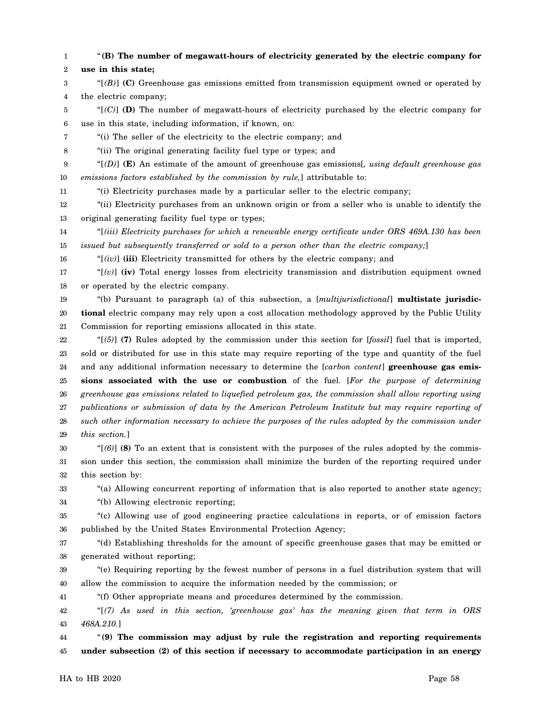1 2 3 4 5 6 7 8 9 10 11 12 13 14 15 16 17 18 19 20 21 22 23 24 25 26 27 28 29 30 31 32 33 34 35 36 37 38 39 40 41 42 43 44 "**(B) The number of megawatt-hours of electricity generated by the electric company for use in this state;** "[*(B)*] **(C)** Greenhouse gas emissions emitted from transmission equipment owned or operated by the electric company; "[*(C)*] **(D)** The number of megawatt-hours of electricity purchased by the electric company for use in this state, including information, if known, on: "(i) The seller of the electricity to the electric company; and "(ii) The original generating facility fuel type or types; and "[*(D)*] **(E)** An estimate of the amount of greenhouse gas emissions[*, using default greenhouse gas emissions factors established by the commission by rule,*] attributable to: "(i) Electricity purchases made by a particular seller to the electric company; "(ii) Electricity purchases from an unknown origin or from a seller who is unable to identify the original generating facility fuel type or types; "[*(iii) Electricity purchases for which a renewable energy certificate under ORS 469A.130 has been issued but subsequently transferred or sold to a person other than the electric company;*] "[*(iv)*] **(iii)** Electricity transmitted for others by the electric company; and "[*(v)*] **(iv)** Total energy losses from electricity transmission and distribution equipment owned or operated by the electric company. "(b) Pursuant to paragraph (a) of this subsection, a [*multijurisdictional*] **multistate jurisdictional** electric company may rely upon a cost allocation methodology approved by the Public Utility Commission for reporting emissions allocated in this state. "[*(5)*] **(7)** Rules adopted by the commission under this section for [*fossil*] fuel that is imported, sold or distributed for use in this state may require reporting of the type and quantity of the fuel and any additional information necessary to determine the [*carbon content*] **greenhouse gas emissions associated with the use or combustion** of the fuel. [*For the purpose of determining greenhouse gas emissions related to liquefied petroleum gas, the commission shall allow reporting using publications or submission of data by the American Petroleum Institute but may require reporting of such other information necessary to achieve the purposes of the rules adopted by the commission under this section.*] " $[6]$  (8) To an extent that is consistent with the purposes of the rules adopted by the commission under this section, the commission shall minimize the burden of the reporting required under this section by: "(a) Allowing concurrent reporting of information that is also reported to another state agency; "(b) Allowing electronic reporting; "(c) Allowing use of good engineering practice calculations in reports, or of emission factors published by the United States Environmental Protection Agency; "(d) Establishing thresholds for the amount of specific greenhouse gases that may be emitted or generated without reporting; "(e) Requiring reporting by the fewest number of persons in a fuel distribution system that will allow the commission to acquire the information needed by the commission; or "(f) Other appropriate means and procedures determined by the commission. "[*(7) As used in this section, 'greenhouse gas' has the meaning given that term in ORS 468A.210.*] "**(9) The commission may adjust by rule the registration and reporting requirements**

45 **under subsection (2) of this section if necessary to accommodate participation in an energy**

HA to HB 2020 Page 58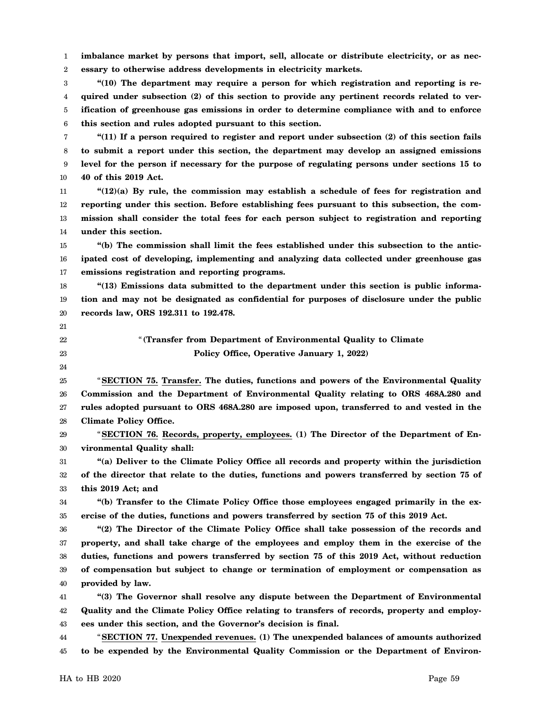1 2 **imbalance market by persons that import, sell, allocate or distribute electricity, or as necessary to otherwise address developments in electricity markets.**

3 4 5 6 **"(10) The department may require a person for which registration and reporting is required under subsection (2) of this section to provide any pertinent records related to verification of greenhouse gas emissions in order to determine compliance with and to enforce this section and rules adopted pursuant to this section.**

7 8 9 10 **"(11) If a person required to register and report under subsection (2) of this section fails to submit a report under this section, the department may develop an assigned emissions level for the person if necessary for the purpose of regulating persons under sections 15 to 40 of this 2019 Act.**

11 12 13 14 **"(12)(a) By rule, the commission may establish a schedule of fees for registration and reporting under this section. Before establishing fees pursuant to this subsection, the commission shall consider the total fees for each person subject to registration and reporting under this section.**

15 16 17 **"(b) The commission shall limit the fees established under this subsection to the anticipated cost of developing, implementing and analyzing data collected under greenhouse gas emissions registration and reporting programs.**

18 19 20 **"(13) Emissions data submitted to the department under this section is public information and may not be designated as confidential for purposes of disclosure under the public records law, ORS 192.311 to 192.478.**

- 21
- 22 23

24

"**(Transfer from Department of Environmental Quality to Climate Policy Office, Operative January 1, 2022)**

25 26 27 28 "**SECTION 75. Transfer. The duties, functions and powers of the Environmental Quality Commission and the Department of Environmental Quality relating to ORS 468A.280 and rules adopted pursuant to ORS 468A.280 are imposed upon, transferred to and vested in the Climate Policy Office.**

29 30 "**SECTION 76. Records, property, employees. (1) The Director of the Department of Environmental Quality shall:**

31 32 33 **"(a) Deliver to the Climate Policy Office all records and property within the jurisdiction of the director that relate to the duties, functions and powers transferred by section 75 of this 2019 Act; and**

34 35 **"(b) Transfer to the Climate Policy Office those employees engaged primarily in the exercise of the duties, functions and powers transferred by section 75 of this 2019 Act.**

36 37 38 39 40 **"(2) The Director of the Climate Policy Office shall take possession of the records and property, and shall take charge of the employees and employ them in the exercise of the duties, functions and powers transferred by section 75 of this 2019 Act, without reduction of compensation but subject to change or termination of employment or compensation as provided by law.**

41 42 43 **"(3) The Governor shall resolve any dispute between the Department of Environmental Quality and the Climate Policy Office relating to transfers of records, property and employees under this section, and the Governor's decision is final.**

44 45 "**SECTION 77. Unexpended revenues. (1) The unexpended balances of amounts authorized to be expended by the Environmental Quality Commission or the Department of Environ-**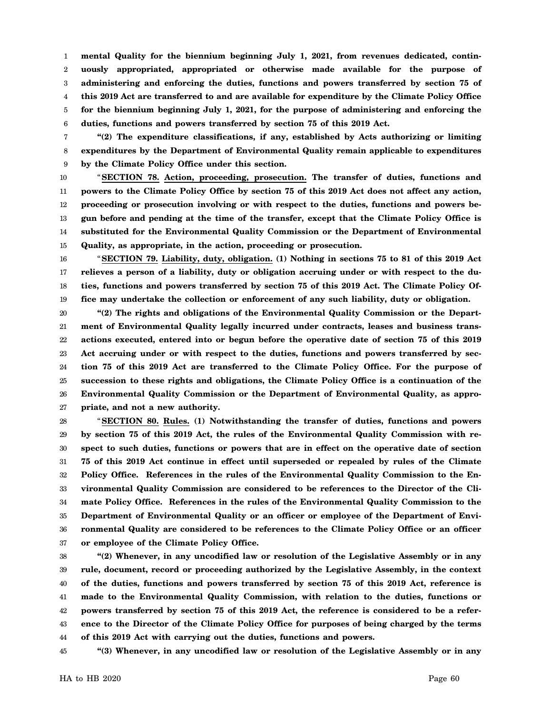1 2 3 4 5 6 **mental Quality for the biennium beginning July 1, 2021, from revenues dedicated, continuously appropriated, appropriated or otherwise made available for the purpose of administering and enforcing the duties, functions and powers transferred by section 75 of this 2019 Act are transferred to and are available for expenditure by the Climate Policy Office for the biennium beginning July 1, 2021, for the purpose of administering and enforcing the duties, functions and powers transferred by section 75 of this 2019 Act.**

7 8 9 **"(2) The expenditure classifications, if any, established by Acts authorizing or limiting expenditures by the Department of Environmental Quality remain applicable to expenditures by the Climate Policy Office under this section.**

10 11 12 13 14 15 "**SECTION 78. Action, proceeding, prosecution. The transfer of duties, functions and powers to the Climate Policy Office by section 75 of this 2019 Act does not affect any action, proceeding or prosecution involving or with respect to the duties, functions and powers begun before and pending at the time of the transfer, except that the Climate Policy Office is substituted for the Environmental Quality Commission or the Department of Environmental Quality, as appropriate, in the action, proceeding or prosecution.**

16 17 18 19 "**SECTION 79. Liability, duty, obligation. (1) Nothing in sections 75 to 81 of this 2019 Act relieves a person of a liability, duty or obligation accruing under or with respect to the duties, functions and powers transferred by section 75 of this 2019 Act. The Climate Policy Office may undertake the collection or enforcement of any such liability, duty or obligation.**

20 21 22 23 24 25 26 27 **"(2) The rights and obligations of the Environmental Quality Commission or the Department of Environmental Quality legally incurred under contracts, leases and business transactions executed, entered into or begun before the operative date of section 75 of this 2019 Act accruing under or with respect to the duties, functions and powers transferred by section 75 of this 2019 Act are transferred to the Climate Policy Office. For the purpose of succession to these rights and obligations, the Climate Policy Office is a continuation of the Environmental Quality Commission or the Department of Environmental Quality, as appropriate, and not a new authority.**

28 29 30 31 32 33 34 35 36 37 "**SECTION 80. Rules. (1) Notwithstanding the transfer of duties, functions and powers by section 75 of this 2019 Act, the rules of the Environmental Quality Commission with respect to such duties, functions or powers that are in effect on the operative date of section 75 of this 2019 Act continue in effect until superseded or repealed by rules of the Climate Policy Office. References in the rules of the Environmental Quality Commission to the Environmental Quality Commission are considered to be references to the Director of the Climate Policy Office. References in the rules of the Environmental Quality Commission to the Department of Environmental Quality or an officer or employee of the Department of Environmental Quality are considered to be references to the Climate Policy Office or an officer or employee of the Climate Policy Office.**

38 39 40 41 42 43 44 **"(2) Whenever, in any uncodified law or resolution of the Legislative Assembly or in any rule, document, record or proceeding authorized by the Legislative Assembly, in the context of the duties, functions and powers transferred by section 75 of this 2019 Act, reference is made to the Environmental Quality Commission, with relation to the duties, functions or powers transferred by section 75 of this 2019 Act, the reference is considered to be a reference to the Director of the Climate Policy Office for purposes of being charged by the terms of this 2019 Act with carrying out the duties, functions and powers.**

45 **"(3) Whenever, in any uncodified law or resolution of the Legislative Assembly or in any**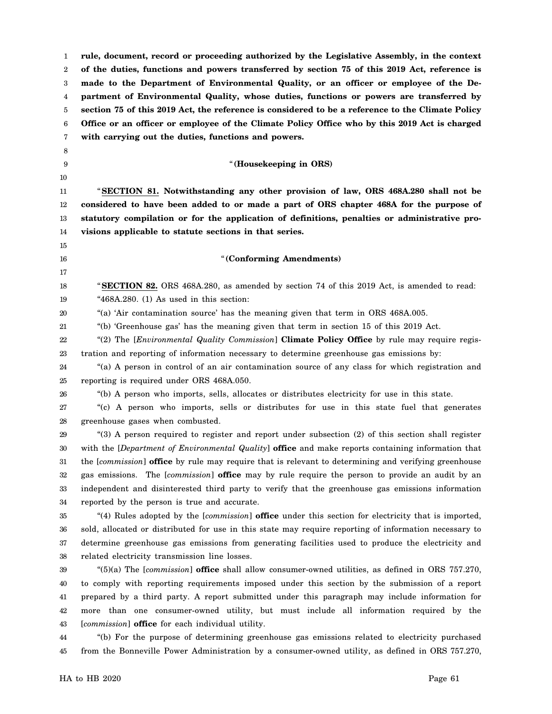| 1        | rule, document, record or proceeding authorized by the Legislative Assembly, in the context                                                                                                 |
|----------|---------------------------------------------------------------------------------------------------------------------------------------------------------------------------------------------|
| 2        | of the duties, functions and powers transferred by section 75 of this 2019 Act, reference is                                                                                                |
| 3        | made to the Department of Environmental Quality, or an officer or employee of the De-                                                                                                       |
| 4        | partment of Environmental Quality, whose duties, functions or powers are transferred by                                                                                                     |
| 5        | section 75 of this 2019 Act, the reference is considered to be a reference to the Climate Policy                                                                                            |
| 6        | Office or an officer or employee of the Climate Policy Office who by this 2019 Act is charged                                                                                               |
| 7        | with carrying out the duties, functions and powers.                                                                                                                                         |
| 8        |                                                                                                                                                                                             |
| 9        | "(Housekeeping in ORS)                                                                                                                                                                      |
| 10       |                                                                                                                                                                                             |
| 11       | "SECTION 81. Notwithstanding any other provision of law, ORS 468A.280 shall not be                                                                                                          |
| 12       | considered to have been added to or made a part of ORS chapter 468A for the purpose of                                                                                                      |
| 13       | statutory compilation or for the application of definitions, penalties or administrative pro-                                                                                               |
| 14       | visions applicable to statute sections in that series.                                                                                                                                      |
| 15       |                                                                                                                                                                                             |
| 16       | "(Conforming Amendments)                                                                                                                                                                    |
| 17       |                                                                                                                                                                                             |
| 18       | "SECTION 82. ORS 468A.280, as amended by section 74 of this 2019 Act, is amended to read:                                                                                                   |
| 19       | " $468A.280$ . (1) As used in this section:                                                                                                                                                 |
| 20       | "(a) 'Air contamination source' has the meaning given that term in ORS 468A.005.                                                                                                            |
| 21       | "(b) 'Greenhouse gas' has the meaning given that term in section 15 of this 2019 Act.                                                                                                       |
| 22       | "(2) The [ <i>Environmental Quality Commission</i> ] <b>Climate Policy Office</b> by rule may require regis-                                                                                |
| 23       | tration and reporting of information necessary to determine greenhouse gas emissions by:<br>"(a) A person in control of an air contamination source of any class for which registration and |
| 24<br>25 | reporting is required under ORS 468A.050.                                                                                                                                                   |
| 26       | "(b) A person who imports, sells, allocates or distributes electricity for use in this state.                                                                                               |
| 27       | "(c) A person who imports, sells or distributes for use in this state fuel that generates                                                                                                   |
| 28       | greenhouse gases when combusted.                                                                                                                                                            |
| 29       | "(3) A person required to register and report under subsection (2) of this section shall register                                                                                           |
| 30       | with the [Department of Environmental Quality] office and make reports containing information that                                                                                          |
| $31\,$   | the [commission] <b>office</b> by rule may require that is relevant to determining and verifying greenhouse                                                                                 |
| 32       | gas emissions. The [commission] <b>office</b> may by rule require the person to provide an audit by an                                                                                      |
| 33       | independent and disinterested third party to verify that the greenhouse gas emissions information                                                                                           |
| 34       | reported by the person is true and accurate.                                                                                                                                                |
| 35       | "(4) Rules adopted by the [commission] office under this section for electricity that is imported,                                                                                          |
| 36       | sold, allocated or distributed for use in this state may require reporting of information necessary to                                                                                      |
| 37       | determine greenhouse gas emissions from generating facilities used to produce the electricity and                                                                                           |
| 38       | related electricity transmission line losses.                                                                                                                                               |
| 39       | "(5)(a) The [commission] <b>office</b> shall allow consumer-owned utilities, as defined in ORS 757.270,                                                                                     |
| 40       | to comply with reporting requirements imposed under this section by the submission of a report                                                                                              |
| 41       | prepared by a third party. A report submitted under this paragraph may include information for                                                                                              |
| 42       | more than one consumer-owned utility, but must include all information required by the                                                                                                      |
| 43       | [commission] <b>office</b> for each individual utility.                                                                                                                                     |
| 44       | "(b) For the purpose of determining greenhouse gas emissions related to electricity purchased                                                                                               |
| 45       | from the Bonneville Power Administration by a consumer-owned utility, as defined in ORS 757.270,                                                                                            |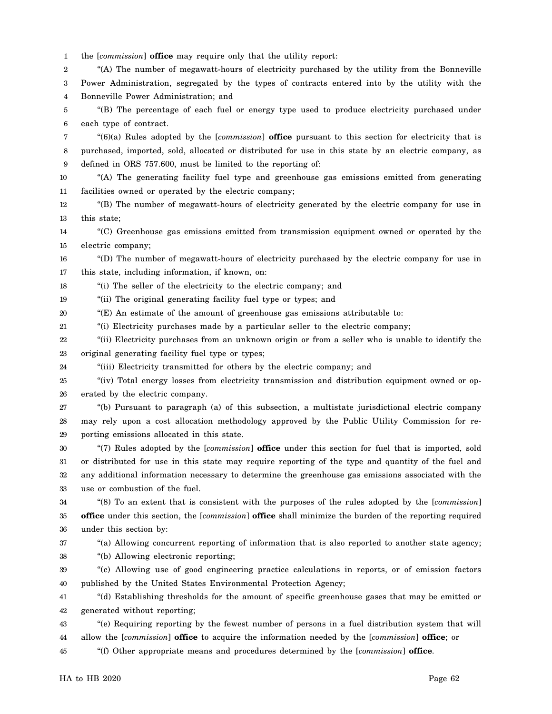1 the [*commission*] **office** may require only that the utility report:

2 3 "(A) The number of megawatt-hours of electricity purchased by the utility from the Bonneville Power Administration, segregated by the types of contracts entered into by the utility with the

4 Bonneville Power Administration; and

5 6 "(B) The percentage of each fuel or energy type used to produce electricity purchased under each type of contract.

7 8 9 "(6)(a) Rules adopted by the [*commission*] **office** pursuant to this section for electricity that is purchased, imported, sold, allocated or distributed for use in this state by an electric company, as defined in ORS 757.600, must be limited to the reporting of:

10 11 "(A) The generating facility fuel type and greenhouse gas emissions emitted from generating facilities owned or operated by the electric company;

12 13 "(B) The number of megawatt-hours of electricity generated by the electric company for use in this state;

14 15 "(C) Greenhouse gas emissions emitted from transmission equipment owned or operated by the electric company;

16 17 "(D) The number of megawatt-hours of electricity purchased by the electric company for use in this state, including information, if known, on:

18 "(i) The seller of the electricity to the electric company; and

19 "(ii) The original generating facility fuel type or types; and

20 "(E) An estimate of the amount of greenhouse gas emissions attributable to:

21 "(i) Electricity purchases made by a particular seller to the electric company;

22 23 "(ii) Electricity purchases from an unknown origin or from a seller who is unable to identify the original generating facility fuel type or types;

24 "(iii) Electricity transmitted for others by the electric company; and

25 26 "(iv) Total energy losses from electricity transmission and distribution equipment owned or operated by the electric company.

27 28 29 "(b) Pursuant to paragraph (a) of this subsection, a multistate jurisdictional electric company may rely upon a cost allocation methodology approved by the Public Utility Commission for reporting emissions allocated in this state.

30 31 32 33 "(7) Rules adopted by the [*commission*] **office** under this section for fuel that is imported, sold or distributed for use in this state may require reporting of the type and quantity of the fuel and any additional information necessary to determine the greenhouse gas emissions associated with the use or combustion of the fuel.

34 35 36 "(8) To an extent that is consistent with the purposes of the rules adopted by the [*commission*] **office** under this section, the [*commission*] **office** shall minimize the burden of the reporting required under this section by:

37

"(a) Allowing concurrent reporting of information that is also reported to another state agency;

38 "(b) Allowing electronic reporting;

39 40 "(c) Allowing use of good engineering practice calculations in reports, or of emission factors published by the United States Environmental Protection Agency;

41 42 "(d) Establishing thresholds for the amount of specific greenhouse gases that may be emitted or generated without reporting;

43 44 "(e) Requiring reporting by the fewest number of persons in a fuel distribution system that will allow the [*commission*] **office** to acquire the information needed by the [*commission*] **office**; or

45 "(f) Other appropriate means and procedures determined by the [*commission*] **office**.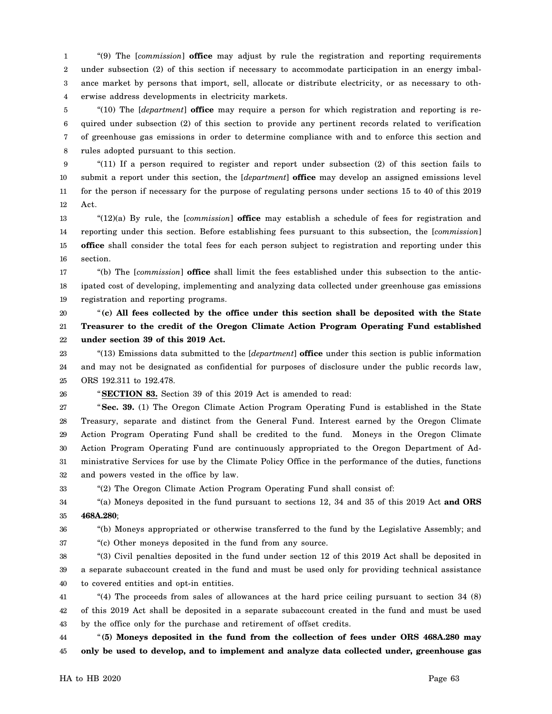1 2 3 4 "(9) The [*commission*] **office** may adjust by rule the registration and reporting requirements under subsection (2) of this section if necessary to accommodate participation in an energy imbalance market by persons that import, sell, allocate or distribute electricity, or as necessary to otherwise address developments in electricity markets.

5 6 7 8 "(10) The [*department*] **office** may require a person for which registration and reporting is required under subsection (2) of this section to provide any pertinent records related to verification of greenhouse gas emissions in order to determine compliance with and to enforce this section and rules adopted pursuant to this section.

9 10 11 12 "(11) If a person required to register and report under subsection (2) of this section fails to submit a report under this section, the [*department*] **office** may develop an assigned emissions level for the person if necessary for the purpose of regulating persons under sections 15 to 40 of this 2019 Act.

13 14 15 16 "(12)(a) By rule, the [*commission*] **office** may establish a schedule of fees for registration and reporting under this section. Before establishing fees pursuant to this subsection, the [*commission*] **office** shall consider the total fees for each person subject to registration and reporting under this section.

17 18 19 "(b) The [*commission*] **office** shall limit the fees established under this subsection to the anticipated cost of developing, implementing and analyzing data collected under greenhouse gas emissions registration and reporting programs.

20 21 22 "**(c) All fees collected by the office under this section shall be deposited with the State Treasurer to the credit of the Oregon Climate Action Program Operating Fund established under section 39 of this 2019 Act.**

23 24 25 "(13) Emissions data submitted to the [*department*] **office** under this section is public information and may not be designated as confidential for purposes of disclosure under the public records law, ORS 192.311 to 192.478.

26

"**SECTION 83.** Section 39 of this 2019 Act is amended to read:

27 28 29 30 31 32 "**Sec. 39.** (1) The Oregon Climate Action Program Operating Fund is established in the State Treasury, separate and distinct from the General Fund. Interest earned by the Oregon Climate Action Program Operating Fund shall be credited to the fund. Moneys in the Oregon Climate Action Program Operating Fund are continuously appropriated to the Oregon Department of Administrative Services for use by the Climate Policy Office in the performance of the duties, functions and powers vested in the office by law.

33 "(2) The Oregon Climate Action Program Operating Fund shall consist of:

34 35 "(a) Moneys deposited in the fund pursuant to sections 12, 34 and 35 of this 2019 Act **and ORS 468A.280**;

36

37

"(b) Moneys appropriated or otherwise transferred to the fund by the Legislative Assembly; and

"(c) Other moneys deposited in the fund from any source.

38 39 40 "(3) Civil penalties deposited in the fund under section 12 of this 2019 Act shall be deposited in a separate subaccount created in the fund and must be used only for providing technical assistance to covered entities and opt-in entities.

41 42 43 "(4) The proceeds from sales of allowances at the hard price ceiling pursuant to section 34 (8) of this 2019 Act shall be deposited in a separate subaccount created in the fund and must be used by the office only for the purchase and retirement of offset credits.

44 45 "**(5) Moneys deposited in the fund from the collection of fees under ORS 468A.280 may only be used to develop, and to implement and analyze data collected under, greenhouse gas**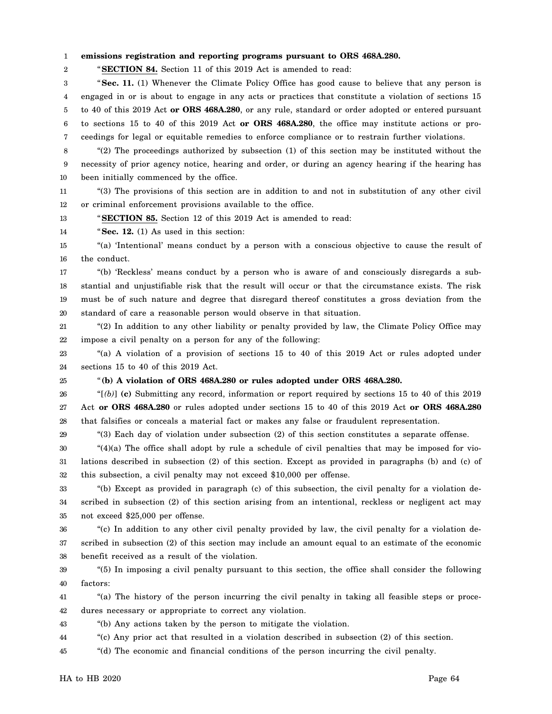1 **emissions registration and reporting programs pursuant to ORS 468A.280.**

"**SECTION 84.** Section 11 of this 2019 Act is amended to read:

3 4 5 6 7 "**Sec. 11.** (1) Whenever the Climate Policy Office has good cause to believe that any person is engaged in or is about to engage in any acts or practices that constitute a violation of sections 15 to 40 of this 2019 Act **or ORS 468A.280**, or any rule, standard or order adopted or entered pursuant to sections 15 to 40 of this 2019 Act **or ORS 468A.280**, the office may institute actions or proceedings for legal or equitable remedies to enforce compliance or to restrain further violations.

8 9 10 "(2) The proceedings authorized by subsection (1) of this section may be instituted without the necessity of prior agency notice, hearing and order, or during an agency hearing if the hearing has been initially commenced by the office.

11 12 "(3) The provisions of this section are in addition to and not in substitution of any other civil or criminal enforcement provisions available to the office.

13 "**SECTION 85.** Section 12 of this 2019 Act is amended to read:

14 "**Sec. 12.** (1) As used in this section:

15 16 "(a) 'Intentional' means conduct by a person with a conscious objective to cause the result of the conduct.

17 18 19 20 "(b) 'Reckless' means conduct by a person who is aware of and consciously disregards a substantial and unjustifiable risk that the result will occur or that the circumstance exists. The risk must be of such nature and degree that disregard thereof constitutes a gross deviation from the standard of care a reasonable person would observe in that situation.

21 22 "(2) In addition to any other liability or penalty provided by law, the Climate Policy Office may impose a civil penalty on a person for any of the following:

23 24 "(a) A violation of a provision of sections 15 to 40 of this 2019 Act or rules adopted under sections 15 to 40 of this 2019 Act.

25

2

### "**(b) A violation of ORS 468A.280 or rules adopted under ORS 468A.280.**

26 27 28 " $[6]$  (c) Submitting any record, information or report required by sections 15 to 40 of this 2019" Act **or ORS 468A.280** or rules adopted under sections 15 to 40 of this 2019 Act **or ORS 468A.280** that falsifies or conceals a material fact or makes any false or fraudulent representation.

29

"(3) Each day of violation under subsection (2) of this section constitutes a separate offense.

30 31 32 " $(4)(a)$  The office shall adopt by rule a schedule of civil penalties that may be imposed for violations described in subsection (2) of this section. Except as provided in paragraphs (b) and (c) of this subsection, a civil penalty may not exceed \$10,000 per offense.

33 34 35 "(b) Except as provided in paragraph (c) of this subsection, the civil penalty for a violation described in subsection (2) of this section arising from an intentional, reckless or negligent act may not exceed \$25,000 per offense.

36 37 38 "(c) In addition to any other civil penalty provided by law, the civil penalty for a violation described in subsection (2) of this section may include an amount equal to an estimate of the economic benefit received as a result of the violation.

39 40 "(5) In imposing a civil penalty pursuant to this section, the office shall consider the following factors:

41 42 "(a) The history of the person incurring the civil penalty in taking all feasible steps or procedures necessary or appropriate to correct any violation.

43 "(b) Any actions taken by the person to mitigate the violation.

44 "(c) Any prior act that resulted in a violation described in subsection (2) of this section.

45 "(d) The economic and financial conditions of the person incurring the civil penalty.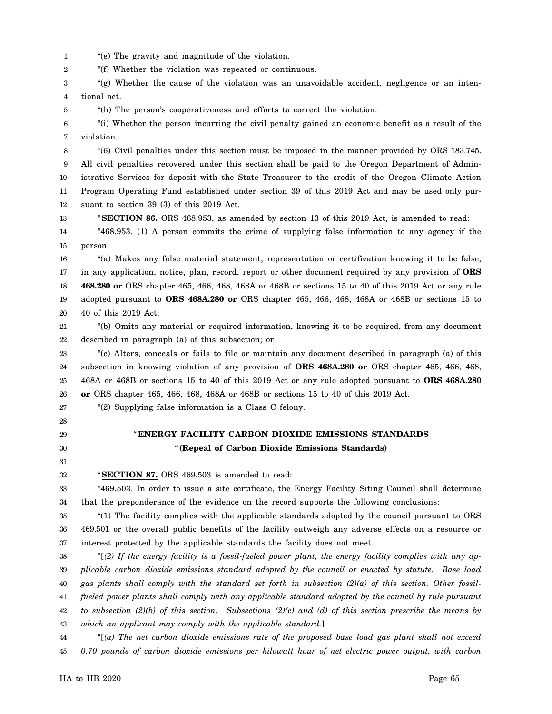1 "(e) The gravity and magnitude of the violation.

2 "(f) Whether the violation was repeated or continuous.

3 4 "(g) Whether the cause of the violation was an unavoidable accident, negligence or an intentional act.

"(h) The person's cooperativeness and efforts to correct the violation.

6 7 "(i) Whether the person incurring the civil penalty gained an economic benefit as a result of the violation.

8 9 10 11 12 "(6) Civil penalties under this section must be imposed in the manner provided by ORS 183.745. All civil penalties recovered under this section shall be paid to the Oregon Department of Administrative Services for deposit with the State Treasurer to the credit of the Oregon Climate Action Program Operating Fund established under section 39 of this 2019 Act and may be used only pursuant to section 39 (3) of this 2019 Act.

13 14 "**SECTION 86.** ORS 468.953, as amended by section 13 of this 2019 Act, is amended to read: "468.953. (1) A person commits the crime of supplying false information to any agency if the

15 person:

5

16 17 18 19 20 "(a) Makes any false material statement, representation or certification knowing it to be false, in any application, notice, plan, record, report or other document required by any provision of **ORS 468.280 or** ORS chapter 465, 466, 468, 468A or 468B or sections 15 to 40 of this 2019 Act or any rule adopted pursuant to **ORS 468A.280 or** ORS chapter 465, 466, 468, 468A or 468B or sections 15 to 40 of this 2019 Act;

21 22 "(b) Omits any material or required information, knowing it to be required, from any document described in paragraph (a) of this subsection; or

23 24 25 26 "(c) Alters, conceals or fails to file or maintain any document described in paragraph (a) of this subsection in knowing violation of any provision of **ORS 468A.280 or** ORS chapter 465, 466, 468, 468A or 468B or sections 15 to 40 of this 2019 Act or any rule adopted pursuant to **ORS 468A.280 or** ORS chapter 465, 466, 468, 468A or 468B or sections 15 to 40 of this 2019 Act.

"(2) Supplying false information is a Class C felony.

- 27 28
- 29
- 30 31

32

"**SECTION 87.** ORS 469.503 is amended to read:

33 34 "469.503. In order to issue a site certificate, the Energy Facility Siting Council shall determine that the preponderance of the evidence on the record supports the following conclusions:

"**ENERGY FACILITY CARBON DIOXIDE EMISSIONS STANDARDS** "**(Repeal of Carbon Dioxide Emissions Standards)**

35 36 37 "(1) The facility complies with the applicable standards adopted by the council pursuant to ORS 469.501 or the overall public benefits of the facility outweigh any adverse effects on a resource or interest protected by the applicable standards the facility does not meet.

38 39 40 41 42 43 "[*(2) If the energy facility is a fossil-fueled power plant, the energy facility complies with any applicable carbon dioxide emissions standard adopted by the council or enacted by statute. Base load gas plants shall comply with the standard set forth in subsection (2)(a) of this section. Other fossilfueled power plants shall comply with any applicable standard adopted by the council by rule pursuant to subsection (2)(b) of this section. Subsections (2)(c) and (d) of this section prescribe the means by which an applicant may comply with the applicable standard.*]

44 45 "[*(a) The net carbon dioxide emissions rate of the proposed base load gas plant shall not exceed 0.70 pounds of carbon dioxide emissions per kilowatt hour of net electric power output, with carbon*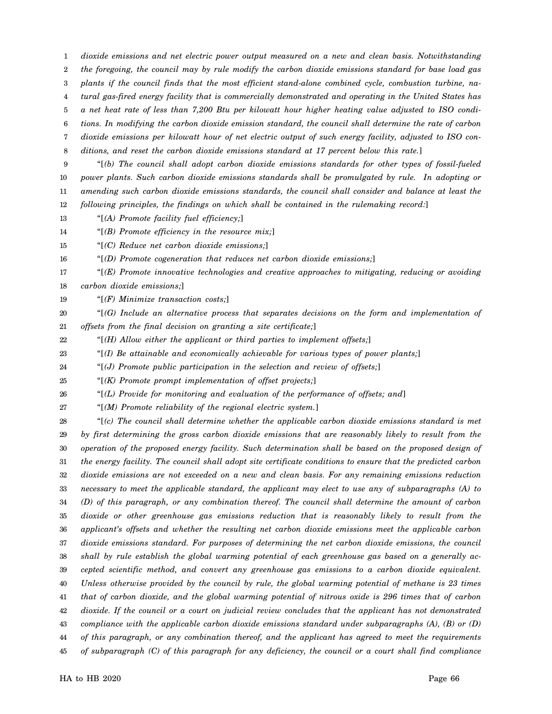2 3 4 5 6 7 8 9 10 11 12 13 14 15 16 17 18 19 20 21 22 23 24 25 26 27 28 29 30 31 32 33 34 35 36 37 38 39 40 41 42 43 44 45 *the foregoing, the council may by rule modify the carbon dioxide emissions standard for base load gas plants if the council finds that the most efficient stand-alone combined cycle, combustion turbine, natural gas-fired energy facility that is commercially demonstrated and operating in the United States has a net heat rate of less than 7,200 Btu per kilowatt hour higher heating value adjusted to ISO conditions. In modifying the carbon dioxide emission standard, the council shall determine the rate of carbon dioxide emissions per kilowatt hour of net electric output of such energy facility, adjusted to ISO conditions, and reset the carbon dioxide emissions standard at 17 percent below this rate.*] "[*(b) The council shall adopt carbon dioxide emissions standards for other types of fossil-fueled power plants. Such carbon dioxide emissions standards shall be promulgated by rule. In adopting or amending such carbon dioxide emissions standards, the council shall consider and balance at least the following principles, the findings on which shall be contained in the rulemaking record:*] "[*(A) Promote facility fuel efficiency;*] "[*(B) Promote efficiency in the resource mix;*] "[*(C) Reduce net carbon dioxide emissions;*] "[*(D) Promote cogeneration that reduces net carbon dioxide emissions;*] "[*(E) Promote innovative technologies and creative approaches to mitigating, reducing or avoiding carbon dioxide emissions;*] "[*(F) Minimize transaction costs;*] "[*(G) Include an alternative process that separates decisions on the form and implementation of offsets from the final decision on granting a site certificate;*] "[*(H) Allow either the applicant or third parties to implement offsets;*] "[*(I) Be attainable and economically achievable for various types of power plants;*] "[*(J) Promote public participation in the selection and review of offsets;*] "[*(K) Promote prompt implementation of offset projects;*] "[*(L) Provide for monitoring and evaluation of the performance of offsets; and*] "[*(M) Promote reliability of the regional electric system.*] "[*(c) The council shall determine whether the applicable carbon dioxide emissions standard is met by first determining the gross carbon dioxide emissions that are reasonably likely to result from the operation of the proposed energy facility. Such determination shall be based on the proposed design of the energy facility. The council shall adopt site certificate conditions to ensure that the predicted carbon dioxide emissions are not exceeded on a new and clean basis. For any remaining emissions reduction necessary to meet the applicable standard, the applicant may elect to use any of subparagraphs (A) to (D) of this paragraph, or any combination thereof. The council shall determine the amount of carbon dioxide or other greenhouse gas emissions reduction that is reasonably likely to result from the applicant's offsets and whether the resulting net carbon dioxide emissions meet the applicable carbon dioxide emissions standard. For purposes of determining the net carbon dioxide emissions, the council shall by rule establish the global warming potential of each greenhouse gas based on a generally accepted scientific method, and convert any greenhouse gas emissions to a carbon dioxide equivalent. Unless otherwise provided by the council by rule, the global warming potential of methane is 23 times that of carbon dioxide, and the global warming potential of nitrous oxide is 296 times that of carbon dioxide. If the council or a court on judicial review concludes that the applicant has not demonstrated compliance with the applicable carbon dioxide emissions standard under subparagraphs (A), (B) or (D) of this paragraph, or any combination thereof, and the applicant has agreed to meet the requirements of subparagraph (C) of this paragraph for any deficiency, the council or a court shall find compliance*

*dioxide emissions and net electric power output measured on a new and clean basis. Notwithstanding*

1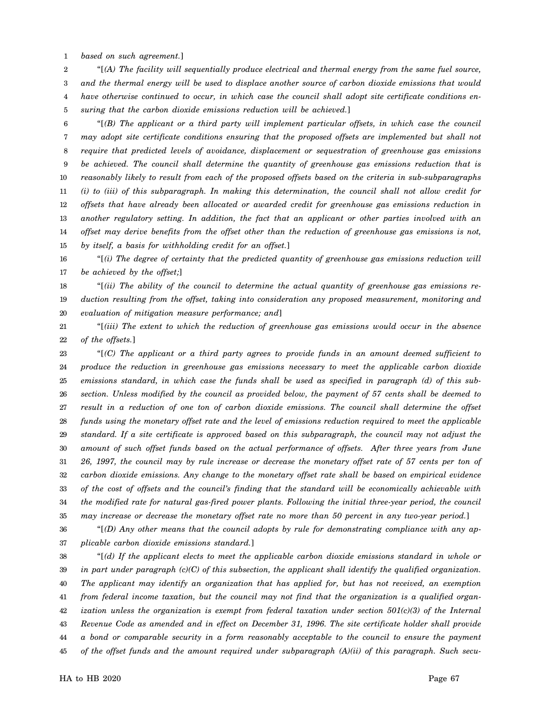1 *based on such agreement.*]

2 3 4 5 "[*(A) The facility will sequentially produce electrical and thermal energy from the same fuel source, and the thermal energy will be used to displace another source of carbon dioxide emissions that would have otherwise continued to occur, in which case the council shall adopt site certificate conditions ensuring that the carbon dioxide emissions reduction will be achieved.*]

6 7 8 9 10 11 12 13 14 15 "[*(B) The applicant or a third party will implement particular offsets, in which case the council may adopt site certificate conditions ensuring that the proposed offsets are implemented but shall not require that predicted levels of avoidance, displacement or sequestration of greenhouse gas emissions be achieved. The council shall determine the quantity of greenhouse gas emissions reduction that is reasonably likely to result from each of the proposed offsets based on the criteria in sub-subparagraphs (i) to (iii) of this subparagraph. In making this determination, the council shall not allow credit for offsets that have already been allocated or awarded credit for greenhouse gas emissions reduction in another regulatory setting. In addition, the fact that an applicant or other parties involved with an offset may derive benefits from the offset other than the reduction of greenhouse gas emissions is not, by itself, a basis for withholding credit for an offset.*]

16 17 "[*(i) The degree of certainty that the predicted quantity of greenhouse gas emissions reduction will be achieved by the offset;*]

18 19 20 "[*(ii) The ability of the council to determine the actual quantity of greenhouse gas emissions reduction resulting from the offset, taking into consideration any proposed measurement, monitoring and evaluation of mitigation measure performance; and*]

21 22 "[*(iii) The extent to which the reduction of greenhouse gas emissions would occur in the absence of the offsets.*]

23 24 25 26 27 28 29 30 31 32 33 34 35 "[*(C) The applicant or a third party agrees to provide funds in an amount deemed sufficient to produce the reduction in greenhouse gas emissions necessary to meet the applicable carbon dioxide emissions standard, in which case the funds shall be used as specified in paragraph (d) of this subsection. Unless modified by the council as provided below, the payment of 57 cents shall be deemed to result in a reduction of one ton of carbon dioxide emissions. The council shall determine the offset funds using the monetary offset rate and the level of emissions reduction required to meet the applicable standard. If a site certificate is approved based on this subparagraph, the council may not adjust the amount of such offset funds based on the actual performance of offsets. After three years from June 26, 1997, the council may by rule increase or decrease the monetary offset rate of 57 cents per ton of carbon dioxide emissions. Any change to the monetary offset rate shall be based on empirical evidence of the cost of offsets and the council's finding that the standard will be economically achievable with the modified rate for natural gas-fired power plants. Following the initial three-year period, the council may increase or decrease the monetary offset rate no more than 50 percent in any two-year period.*]

36 37 "[*(D) Any other means that the council adopts by rule for demonstrating compliance with any applicable carbon dioxide emissions standard.*]

38 39 40 41 42 43 44 45 "[*(d) If the applicant elects to meet the applicable carbon dioxide emissions standard in whole or in part under paragraph (c)(C) of this subsection, the applicant shall identify the qualified organization. The applicant may identify an organization that has applied for, but has not received, an exemption from federal income taxation, but the council may not find that the organization is a qualified organization unless the organization is exempt from federal taxation under section 501(c)(3) of the Internal Revenue Code as amended and in effect on December 31, 1996. The site certificate holder shall provide a bond or comparable security in a form reasonably acceptable to the council to ensure the payment of the offset funds and the amount required under subparagraph (A)(ii) of this paragraph. Such secu-*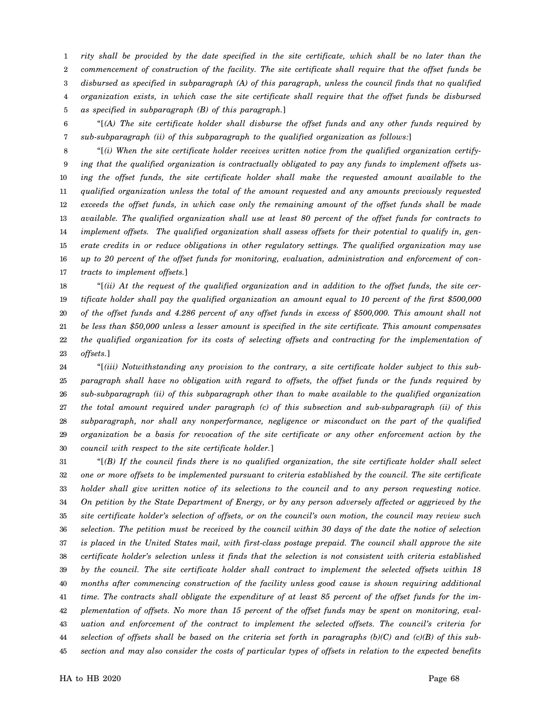1 2 3 4 5 *rity shall be provided by the date specified in the site certificate, which shall be no later than the commencement of construction of the facility. The site certificate shall require that the offset funds be disbursed as specified in subparagraph (A) of this paragraph, unless the council finds that no qualified organization exists, in which case the site certificate shall require that the offset funds be disbursed as specified in subparagraph (B) of this paragraph.*]

6 7 "[*(A) The site certificate holder shall disburse the offset funds and any other funds required by sub-subparagraph (ii) of this subparagraph to the qualified organization as follows:*]

8 9 10 11 12 13 14 15 16 17 "[*(i) When the site certificate holder receives written notice from the qualified organization certifying that the qualified organization is contractually obligated to pay any funds to implement offsets using the offset funds, the site certificate holder shall make the requested amount available to the qualified organization unless the total of the amount requested and any amounts previously requested exceeds the offset funds, in which case only the remaining amount of the offset funds shall be made available. The qualified organization shall use at least 80 percent of the offset funds for contracts to implement offsets. The qualified organization shall assess offsets for their potential to qualify in, generate credits in or reduce obligations in other regulatory settings. The qualified organization may use up to 20 percent of the offset funds for monitoring, evaluation, administration and enforcement of contracts to implement offsets.*]

18 19 20 21 22 23 "[*(ii) At the request of the qualified organization and in addition to the offset funds, the site certificate holder shall pay the qualified organization an amount equal to 10 percent of the first \$500,000 of the offset funds and 4.286 percent of any offset funds in excess of \$500,000. This amount shall not be less than \$50,000 unless a lesser amount is specified in the site certificate. This amount compensates the qualified organization for its costs of selecting offsets and contracting for the implementation of offsets.*]

24 25 26 27 28 29 30 "[*(iii) Notwithstanding any provision to the contrary, a site certificate holder subject to this subparagraph shall have no obligation with regard to offsets, the offset funds or the funds required by sub-subparagraph (ii) of this subparagraph other than to make available to the qualified organization the total amount required under paragraph (c) of this subsection and sub-subparagraph (ii) of this subparagraph, nor shall any nonperformance, negligence or misconduct on the part of the qualified organization be a basis for revocation of the site certificate or any other enforcement action by the council with respect to the site certificate holder.*]

31 32 33 34 35 36 37 38 39 40 41 42 43 44 45 "[*(B) If the council finds there is no qualified organization, the site certificate holder shall select one or more offsets to be implemented pursuant to criteria established by the council. The site certificate holder shall give written notice of its selections to the council and to any person requesting notice. On petition by the State Department of Energy, or by any person adversely affected or aggrieved by the site certificate holder's selection of offsets, or on the council's own motion, the council may review such selection. The petition must be received by the council within 30 days of the date the notice of selection is placed in the United States mail, with first-class postage prepaid. The council shall approve the site certificate holder's selection unless it finds that the selection is not consistent with criteria established by the council. The site certificate holder shall contract to implement the selected offsets within 18 months after commencing construction of the facility unless good cause is shown requiring additional time. The contracts shall obligate the expenditure of at least 85 percent of the offset funds for the implementation of offsets. No more than 15 percent of the offset funds may be spent on monitoring, evaluation and enforcement of the contract to implement the selected offsets. The council's criteria for selection of offsets shall be based on the criteria set forth in paragraphs (b)(C) and (c)(B) of this subsection and may also consider the costs of particular types of offsets in relation to the expected benefits*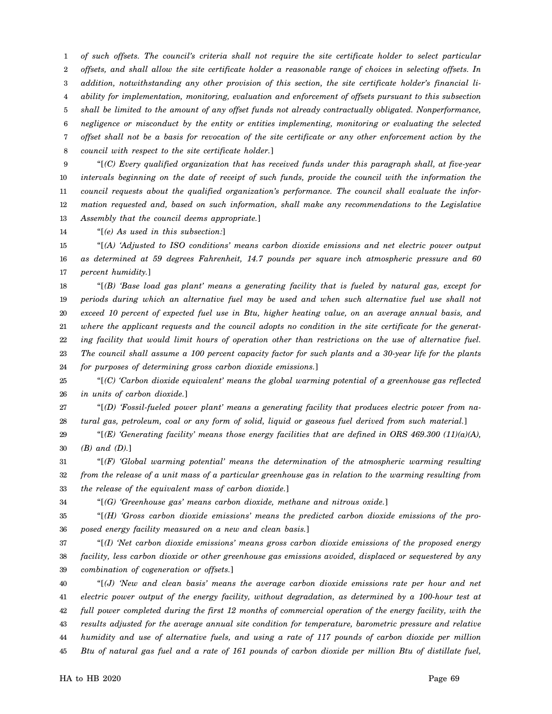1 2 3 4 5 6 7 8 *of such offsets. The council's criteria shall not require the site certificate holder to select particular offsets, and shall allow the site certificate holder a reasonable range of choices in selecting offsets. In addition, notwithstanding any other provision of this section, the site certificate holder's financial liability for implementation, monitoring, evaluation and enforcement of offsets pursuant to this subsection shall be limited to the amount of any offset funds not already contractually obligated. Nonperformance, negligence or misconduct by the entity or entities implementing, monitoring or evaluating the selected offset shall not be a basis for revocation of the site certificate or any other enforcement action by the council with respect to the site certificate holder.*]

9 10 11 12 13 "[*(C) Every qualified organization that has received funds under this paragraph shall, at five-year intervals beginning on the date of receipt of such funds, provide the council with the information the council requests about the qualified organization's performance. The council shall evaluate the information requested and, based on such information, shall make any recommendations to the Legislative Assembly that the council deems appropriate.*]

14 "[*(e) As used in this subsection:*]

15 16 17 "[*(A) 'Adjusted to ISO conditions' means carbon dioxide emissions and net electric power output as determined at 59 degrees Fahrenheit, 14.7 pounds per square inch atmospheric pressure and 60 percent humidity.*]

18 19 20 21 22 23 24 "[*(B) 'Base load gas plant' means a generating facility that is fueled by natural gas, except for periods during which an alternative fuel may be used and when such alternative fuel use shall not exceed 10 percent of expected fuel use in Btu, higher heating value, on an average annual basis, and where the applicant requests and the council adopts no condition in the site certificate for the generating facility that would limit hours of operation other than restrictions on the use of alternative fuel. The council shall assume a 100 percent capacity factor for such plants and a 30-year life for the plants for purposes of determining gross carbon dioxide emissions.*]

25 26 "[*(C) 'Carbon dioxide equivalent' means the global warming potential of a greenhouse gas reflected in units of carbon dioxide.*]

27 28 "[*(D) 'Fossil-fueled power plant' means a generating facility that produces electric power from natural gas, petroleum, coal or any form of solid, liquid or gaseous fuel derived from such material.*]

29 30 "[*(E) 'Generating facility' means those energy facilities that are defined in ORS 469.300 (11)(a)(A), (B) and (D).*]

31 32 33 "[*(F) 'Global warming potential' means the determination of the atmospheric warming resulting from the release of a unit mass of a particular greenhouse gas in relation to the warming resulting from the release of the equivalent mass of carbon dioxide.*]

34

"[*(G) 'Greenhouse gas' means carbon dioxide, methane and nitrous oxide.*]

35 36 "[*(H) 'Gross carbon dioxide emissions' means the predicted carbon dioxide emissions of the proposed energy facility measured on a new and clean basis.*]

37 38 39 "[*(I) 'Net carbon dioxide emissions' means gross carbon dioxide emissions of the proposed energy facility, less carbon dioxide or other greenhouse gas emissions avoided, displaced or sequestered by any combination of cogeneration or offsets.*]

40 41 42 43 44 45 "[*(J) 'New and clean basis' means the average carbon dioxide emissions rate per hour and net electric power output of the energy facility, without degradation, as determined by a 100-hour test at full power completed during the first 12 months of commercial operation of the energy facility, with the results adjusted for the average annual site condition for temperature, barometric pressure and relative humidity and use of alternative fuels, and using a rate of 117 pounds of carbon dioxide per million Btu of natural gas fuel and a rate of 161 pounds of carbon dioxide per million Btu of distillate fuel,*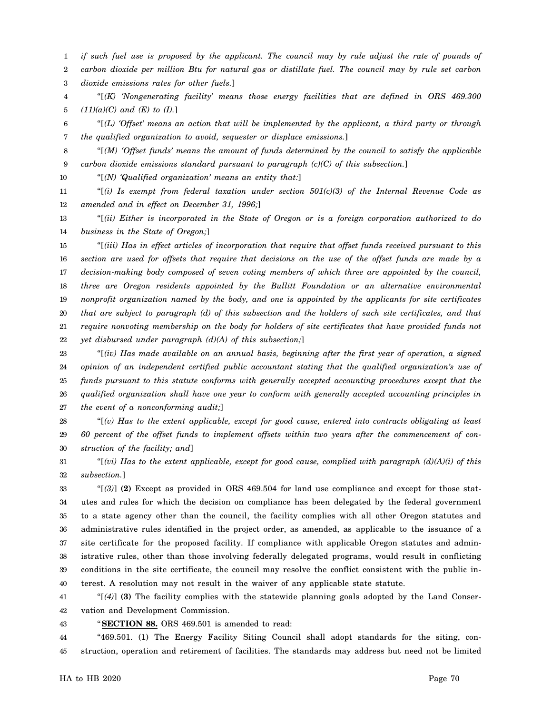1 2 3 *if such fuel use is proposed by the applicant. The council may by rule adjust the rate of pounds of carbon dioxide per million Btu for natural gas or distillate fuel. The council may by rule set carbon dioxide emissions rates for other fuels.*]

4 5 "[*(K) 'Nongenerating facility' means those energy facilities that are defined in ORS 469.300 (11)(a)(C) and (E) to (I).*]

6 7 "[*(L) 'Offset' means an action that will be implemented by the applicant, a third party or through the qualified organization to avoid, sequester or displace emissions.*]

8 9 "[*(M) 'Offset funds' means the amount of funds determined by the council to satisfy the applicable carbon dioxide emissions standard pursuant to paragraph (c)(C) of this subsection.*]

10 "[*(N) 'Qualified organization' means an entity that:*]

11 12 "[*(i) Is exempt from federal taxation under section 501(c)(3) of the Internal Revenue Code as amended and in effect on December 31, 1996;*]

13 14 "[*(ii) Either is incorporated in the State of Oregon or is a foreign corporation authorized to do business in the State of Oregon;*]

15 16 17 18 19 20 21 22 "[*(iii) Has in effect articles of incorporation that require that offset funds received pursuant to this section are used for offsets that require that decisions on the use of the offset funds are made by a decision-making body composed of seven voting members of which three are appointed by the council, three are Oregon residents appointed by the Bullitt Foundation or an alternative environmental nonprofit organization named by the body, and one is appointed by the applicants for site certificates that are subject to paragraph (d) of this subsection and the holders of such site certificates, and that require nonvoting membership on the body for holders of site certificates that have provided funds not yet disbursed under paragraph (d)(A) of this subsection;*]

23 24 25 26 27 "[*(iv) Has made available on an annual basis, beginning after the first year of operation, a signed opinion of an independent certified public accountant stating that the qualified organization's use of funds pursuant to this statute conforms with generally accepted accounting procedures except that the qualified organization shall have one year to conform with generally accepted accounting principles in the event of a nonconforming audit;*]

28 29 30 "[*(v) Has to the extent applicable, except for good cause, entered into contracts obligating at least 60 percent of the offset funds to implement offsets within two years after the commencement of construction of the facility; and*]

31 32 "[*(vi) Has to the extent applicable, except for good cause, complied with paragraph (d)(A)(i) of this subsection.*]

33 34 35 36 37 38 39 40 "[*(3)*] **(2)** Except as provided in ORS 469.504 for land use compliance and except for those statutes and rules for which the decision on compliance has been delegated by the federal government to a state agency other than the council, the facility complies with all other Oregon statutes and administrative rules identified in the project order, as amended, as applicable to the issuance of a site certificate for the proposed facility. If compliance with applicable Oregon statutes and administrative rules, other than those involving federally delegated programs, would result in conflicting conditions in the site certificate, the council may resolve the conflict consistent with the public interest. A resolution may not result in the waiver of any applicable state statute.

41 42 "[*(4)*] **(3)** The facility complies with the statewide planning goals adopted by the Land Conservation and Development Commission.

43 "**SECTION 88.** ORS 469.501 is amended to read:

44 45 "469.501. (1) The Energy Facility Siting Council shall adopt standards for the siting, construction, operation and retirement of facilities. The standards may address but need not be limited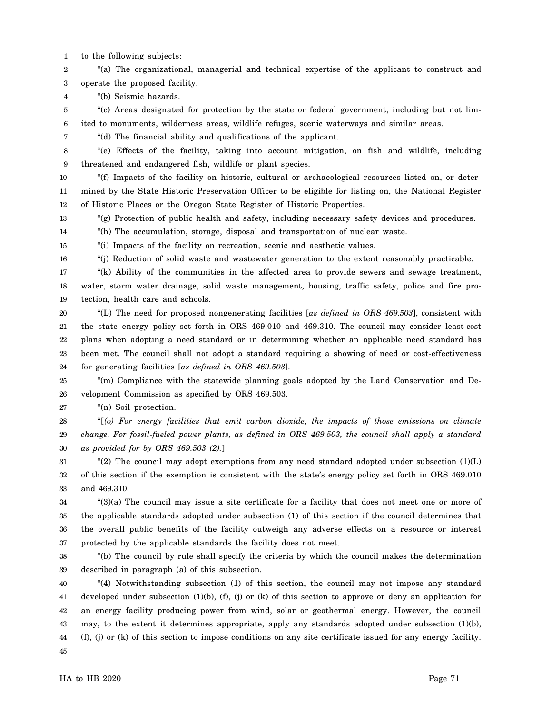1 to the following subjects:

2 3 "(a) The organizational, managerial and technical expertise of the applicant to construct and operate the proposed facility.

4 "(b) Seismic hazards.

7

14

5 6 "(c) Areas designated for protection by the state or federal government, including but not limited to monuments, wilderness areas, wildlife refuges, scenic waterways and similar areas.

"(d) The financial ability and qualifications of the applicant.

8 9 "(e) Effects of the facility, taking into account mitigation, on fish and wildlife, including threatened and endangered fish, wildlife or plant species.

10 11 12 "(f) Impacts of the facility on historic, cultural or archaeological resources listed on, or determined by the State Historic Preservation Officer to be eligible for listing on, the National Register of Historic Places or the Oregon State Register of Historic Properties.

13 "(g) Protection of public health and safety, including necessary safety devices and procedures.

"(h) The accumulation, storage, disposal and transportation of nuclear waste.

15 "(i) Impacts of the facility on recreation, scenic and aesthetic values.

16 "(j) Reduction of solid waste and wastewater generation to the extent reasonably practicable.

17 18 19 "(k) Ability of the communities in the affected area to provide sewers and sewage treatment, water, storm water drainage, solid waste management, housing, traffic safety, police and fire protection, health care and schools.

20 21 22 23 24 "(L) The need for proposed nongenerating facilities [*as defined in ORS 469.503*], consistent with the state energy policy set forth in ORS 469.010 and 469.310. The council may consider least-cost plans when adopting a need standard or in determining whether an applicable need standard has been met. The council shall not adopt a standard requiring a showing of need or cost-effectiveness for generating facilities [*as defined in ORS 469.503*].

25 26 "(m) Compliance with the statewide planning goals adopted by the Land Conservation and Development Commission as specified by ORS 469.503.

27 "(n) Soil protection.

28 29 30 "[*(o) For energy facilities that emit carbon dioxide, the impacts of those emissions on climate change. For fossil-fueled power plants, as defined in ORS 469.503, the council shall apply a standard as provided for by ORS 469.503 (2).*]

31 32 33 " $(2)$  The council may adopt exemptions from any need standard adopted under subsection  $(1)(L)$ of this section if the exemption is consistent with the state's energy policy set forth in ORS 469.010 and 469.310.

34 35 36 37 "(3)(a) The council may issue a site certificate for a facility that does not meet one or more of the applicable standards adopted under subsection (1) of this section if the council determines that the overall public benefits of the facility outweigh any adverse effects on a resource or interest protected by the applicable standards the facility does not meet.

38 39 "(b) The council by rule shall specify the criteria by which the council makes the determination described in paragraph (a) of this subsection.

40 41 42 43 44 45 "(4) Notwithstanding subsection (1) of this section, the council may not impose any standard developed under subsection  $(1)(b)$ ,  $(f)$ ,  $(j)$  or  $(k)$  of this section to approve or deny an application for an energy facility producing power from wind, solar or geothermal energy. However, the council may, to the extent it determines appropriate, apply any standards adopted under subsection (1)(b), (f), (j) or (k) of this section to impose conditions on any site certificate issued for any energy facility.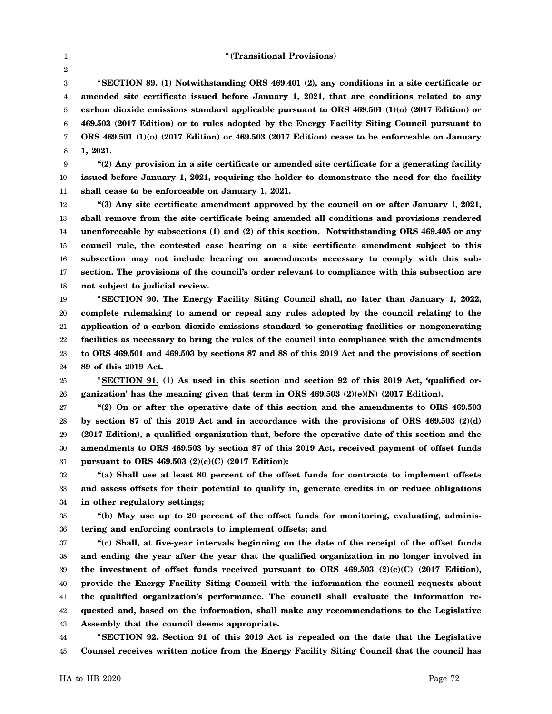1 2

3 4 5 6 7 8 "**SECTION 89. (1) Notwithstanding ORS 469.401 (2), any conditions in a site certificate or amended site certificate issued before January 1, 2021, that are conditions related to any carbon dioxide emissions standard applicable pursuant to ORS 469.501 (1)(o) (2017 Edition) or 469.503 (2017 Edition) or to rules adopted by the Energy Facility Siting Council pursuant to ORS 469.501 (1)(o) (2017 Edition) or 469.503 (2017 Edition) cease to be enforceable on January 1, 2021.**

9 10 11 **"(2) Any provision in a site certificate or amended site certificate for a generating facility issued before January 1, 2021, requiring the holder to demonstrate the need for the facility shall cease to be enforceable on January 1, 2021.**

12 13 14 15 16 17 18 **"(3) Any site certificate amendment approved by the council on or after January 1, 2021, shall remove from the site certificate being amended all conditions and provisions rendered unenforceable by subsections (1) and (2) of this section. Notwithstanding ORS 469.405 or any council rule, the contested case hearing on a site certificate amendment subject to this subsection may not include hearing on amendments necessary to comply with this subsection. The provisions of the council's order relevant to compliance with this subsection are not subject to judicial review.**

19 20 21 22 23 24 "**SECTION 90. The Energy Facility Siting Council shall, no later than January 1, 2022, complete rulemaking to amend or repeal any rules adopted by the council relating to the application of a carbon dioxide emissions standard to generating facilities or nongenerating facilities as necessary to bring the rules of the council into compliance with the amendments to ORS 469.501 and 469.503 by sections 87 and 88 of this 2019 Act and the provisions of section 89 of this 2019 Act.**

25 26 "**SECTION 91. (1) As used in this section and section 92 of this 2019 Act, 'qualified organization' has the meaning given that term in ORS 469.503 (2)(e)(N) (2017 Edition).**

27 28 29 30 31 **"(2) On or after the operative date of this section and the amendments to ORS 469.503 by section 87 of this 2019 Act and in accordance with the provisions of ORS 469.503 (2)(d) (2017 Edition), a qualified organization that, before the operative date of this section and the amendments to ORS 469.503 by section 87 of this 2019 Act, received payment of offset funds pursuant to ORS 469.503 (2)(c)(C) (2017 Edition):**

32 33 34 **"(a) Shall use at least 80 percent of the offset funds for contracts to implement offsets and assess offsets for their potential to qualify in, generate credits in or reduce obligations in other regulatory settings;**

35 36 **"(b) May use up to 20 percent of the offset funds for monitoring, evaluating, administering and enforcing contracts to implement offsets; and**

37 38 39 40 41 42 43 **"(c) Shall, at five-year intervals beginning on the date of the receipt of the offset funds and ending the year after the year that the qualified organization in no longer involved in the investment of offset funds received pursuant to ORS 469.503 (2)(c)(C) (2017 Edition), provide the Energy Facility Siting Council with the information the council requests about the qualified organization's performance. The council shall evaluate the information requested and, based on the information, shall make any recommendations to the Legislative Assembly that the council deems appropriate.**

44 45 "**SECTION 92. Section 91 of this 2019 Act is repealed on the date that the Legislative Counsel receives written notice from the Energy Facility Siting Council that the council has**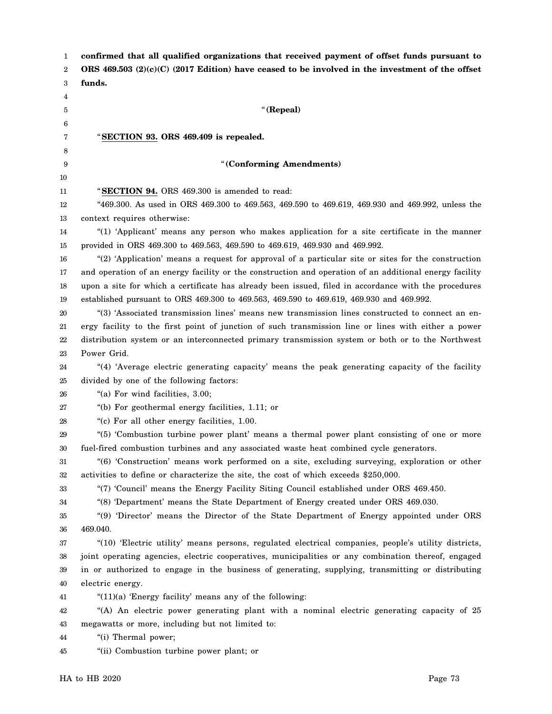| 1  | confirmed that all qualified organizations that received payment of offset funds pursuant to           |  |  |
|----|--------------------------------------------------------------------------------------------------------|--|--|
| 2  | ORS $469.503$ (2)(c)(C) (2017 Edition) have ceased to be involved in the investment of the offset      |  |  |
| 3  | funds.                                                                                                 |  |  |
| 4  |                                                                                                        |  |  |
| 5  | "(Repeal)                                                                                              |  |  |
| 6  |                                                                                                        |  |  |
| 7  | "SECTION 93. ORS 469.409 is repealed.                                                                  |  |  |
| 8  |                                                                                                        |  |  |
| 9  | "(Conforming Amendments)                                                                               |  |  |
| 10 |                                                                                                        |  |  |
| 11 | "SECTION 94. ORS 469.300 is amended to read:                                                           |  |  |
| 12 | "469.300. As used in ORS 469.300 to 469.563, 469.590 to 469.619, 469.930 and 469.992, unless the       |  |  |
| 13 | context requires otherwise:                                                                            |  |  |
| 14 | "(1) 'Applicant' means any person who makes application for a site certificate in the manner           |  |  |
| 15 | provided in ORS 469.300 to 469.563, 469.590 to 469.619, 469.930 and 469.992.                           |  |  |
| 16 | "(2) 'Application' means a request for approval of a particular site or sites for the construction     |  |  |
| 17 | and operation of an energy facility or the construction and operation of an additional energy facility |  |  |
| 18 | upon a site for which a certificate has already been issued, filed in accordance with the procedures   |  |  |
| 19 | established pursuant to ORS 469.300 to 469.563, 469.590 to 469.619, 469.930 and 469.992.               |  |  |
| 20 | "(3) 'Associated transmission lines' means new transmission lines constructed to connect an en-        |  |  |
| 21 | ergy facility to the first point of junction of such transmission line or lines with either a power    |  |  |
| 22 | distribution system or an interconnected primary transmission system or both or to the Northwest       |  |  |
| 23 | Power Grid.                                                                                            |  |  |
| 24 | "(4) 'Average electric generating capacity' means the peak generating capacity of the facility         |  |  |
| 25 | divided by one of the following factors:                                                               |  |  |
| 26 | "(a) For wind facilities, 3.00;                                                                        |  |  |
| 27 | "(b) For geothermal energy facilities, 1.11; or                                                        |  |  |
| 28 | "(c) For all other energy facilities, 1.00.                                                            |  |  |
| 29 | "(5) 'Combustion turbine power plant' means a thermal power plant consisting of one or more            |  |  |
| 30 | fuel-fired combustion turbines and any associated waste heat combined cycle generators.                |  |  |
| 31 | "(6) 'Construction' means work performed on a site, excluding surveying, exploration or other          |  |  |
| 32 | activities to define or characterize the site, the cost of which exceeds \$250,000.                    |  |  |
| 33 | "(7) 'Council' means the Energy Facility Siting Council established under ORS 469.450.                 |  |  |
| 34 | "(8) 'Department' means the State Department of Energy created under ORS 469.030.                      |  |  |
| 35 | "(9) 'Director' means the Director of the State Department of Energy appointed under ORS               |  |  |
| 36 | 469.040.                                                                                               |  |  |
| 37 | "(10) 'Electric utility' means persons, regulated electrical companies, people's utility districts,    |  |  |
| 38 | joint operating agencies, electric cooperatives, municipalities or any combination thereof, engaged    |  |  |
| 39 | in or authorized to engage in the business of generating, supplying, transmitting or distributing      |  |  |
| 40 | electric energy.                                                                                       |  |  |
| 41 | " $(11)(a)$ 'Energy facility' means any of the following:                                              |  |  |
| 42 | "(A) An electric power generating plant with a nominal electric generating capacity of 25              |  |  |
| 43 | megawatts or more, including but not limited to:                                                       |  |  |
| 44 | "(i) Thermal power;                                                                                    |  |  |
| 45 | "(ii) Combustion turbine power plant; or                                                               |  |  |
|    |                                                                                                        |  |  |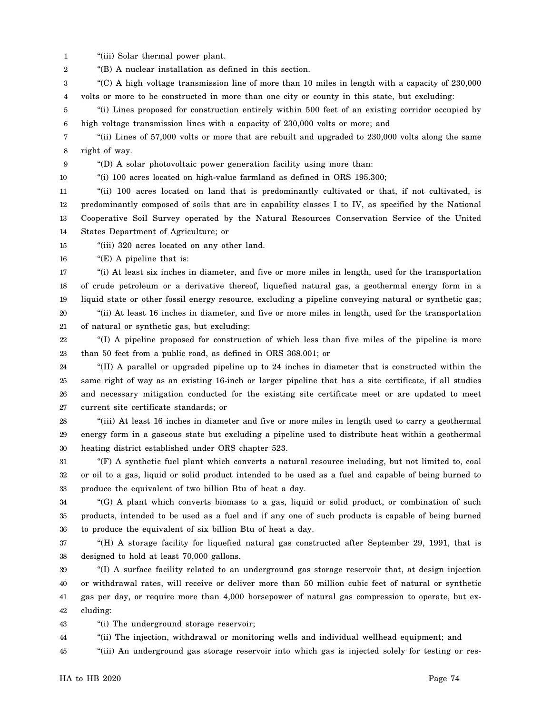1 "(iii) Solar thermal power plant.

2 "(B) A nuclear installation as defined in this section.

3 4 "(C) A high voltage transmission line of more than 10 miles in length with a capacity of 230,000 volts or more to be constructed in more than one city or county in this state, but excluding:

5 6 "(i) Lines proposed for construction entirely within 500 feet of an existing corridor occupied by high voltage transmission lines with a capacity of 230,000 volts or more; and

7 8 "(ii) Lines of 57,000 volts or more that are rebuilt and upgraded to 230,000 volts along the same right of way.

9 "(D) A solar photovoltaic power generation facility using more than:

10

"(i) 100 acres located on high-value farmland as defined in ORS 195.300;

11 12 13 14 "(ii) 100 acres located on land that is predominantly cultivated or that, if not cultivated, is predominantly composed of soils that are in capability classes I to IV, as specified by the National Cooperative Soil Survey operated by the Natural Resources Conservation Service of the United States Department of Agriculture; or

15 "(iii) 320 acres located on any other land.

16 "(E) A pipeline that is:

17 18 19 "(i) At least six inches in diameter, and five or more miles in length, used for the transportation of crude petroleum or a derivative thereof, liquefied natural gas, a geothermal energy form in a liquid state or other fossil energy resource, excluding a pipeline conveying natural or synthetic gas;

20 21 "(ii) At least 16 inches in diameter, and five or more miles in length, used for the transportation of natural or synthetic gas, but excluding:

22 23 "(I) A pipeline proposed for construction of which less than five miles of the pipeline is more than 50 feet from a public road, as defined in ORS 368.001; or

24 25 26 27 "(II) A parallel or upgraded pipeline up to 24 inches in diameter that is constructed within the same right of way as an existing 16-inch or larger pipeline that has a site certificate, if all studies and necessary mitigation conducted for the existing site certificate meet or are updated to meet current site certificate standards; or

28 29 30 "(iii) At least 16 inches in diameter and five or more miles in length used to carry a geothermal energy form in a gaseous state but excluding a pipeline used to distribute heat within a geothermal heating district established under ORS chapter 523.

31 32 33 "(F) A synthetic fuel plant which converts a natural resource including, but not limited to, coal or oil to a gas, liquid or solid product intended to be used as a fuel and capable of being burned to produce the equivalent of two billion Btu of heat a day.

34 35 36 "(G) A plant which converts biomass to a gas, liquid or solid product, or combination of such products, intended to be used as a fuel and if any one of such products is capable of being burned to produce the equivalent of six billion Btu of heat a day.

37 38 "(H) A storage facility for liquefied natural gas constructed after September 29, 1991, that is designed to hold at least 70,000 gallons.

39 40 41 42 "(I) A surface facility related to an underground gas storage reservoir that, at design injection or withdrawal rates, will receive or deliver more than 50 million cubic feet of natural or synthetic gas per day, or require more than 4,000 horsepower of natural gas compression to operate, but excluding:

43 "(i) The underground storage reservoir;

44 "(ii) The injection, withdrawal or monitoring wells and individual wellhead equipment; and

45 "(iii) An underground gas storage reservoir into which gas is injected solely for testing or res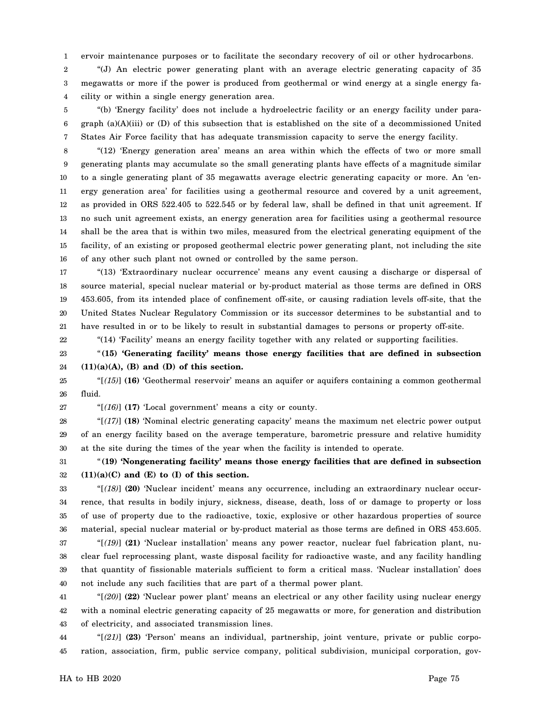1 ervoir maintenance purposes or to facilitate the secondary recovery of oil or other hydrocarbons.

2 3 4 "(J) An electric power generating plant with an average electric generating capacity of 35 megawatts or more if the power is produced from geothermal or wind energy at a single energy facility or within a single energy generation area.

5 6 7 "(b) 'Energy facility' does not include a hydroelectric facility or an energy facility under paragraph (a)(A)(iii) or (D) of this subsection that is established on the site of a decommissioned United States Air Force facility that has adequate transmission capacity to serve the energy facility.

8 9 10 11 12 13 14 15 16 "(12) 'Energy generation area' means an area within which the effects of two or more small generating plants may accumulate so the small generating plants have effects of a magnitude similar to a single generating plant of 35 megawatts average electric generating capacity or more. An 'energy generation area' for facilities using a geothermal resource and covered by a unit agreement, as provided in ORS 522.405 to 522.545 or by federal law, shall be defined in that unit agreement. If no such unit agreement exists, an energy generation area for facilities using a geothermal resource shall be the area that is within two miles, measured from the electrical generating equipment of the facility, of an existing or proposed geothermal electric power generating plant, not including the site of any other such plant not owned or controlled by the same person.

17 18 19 20 21 "(13) 'Extraordinary nuclear occurrence' means any event causing a discharge or dispersal of source material, special nuclear material or by-product material as those terms are defined in ORS 453.605, from its intended place of confinement off-site, or causing radiation levels off-site, that the United States Nuclear Regulatory Commission or its successor determines to be substantial and to have resulted in or to be likely to result in substantial damages to persons or property off-site.

22 "(14) 'Facility' means an energy facility together with any related or supporting facilities.

23 24 "**(15) 'Generating facility' means those energy facilities that are defined in subsection (11)(a)(A), (B) and (D) of this section.**

25 26 "[*(15)*] **(16)** 'Geothermal reservoir' means an aquifer or aquifers containing a common geothermal fluid.

27 "[*(16)*] **(17)** 'Local government' means a city or county.

28 29 30 "[*(17)*] **(18)** 'Nominal electric generating capacity' means the maximum net electric power output of an energy facility based on the average temperature, barometric pressure and relative humidity at the site during the times of the year when the facility is intended to operate.

31 32 "**(19) 'Nongenerating facility' means those energy facilities that are defined in subsection (11)(a)(C) and (E) to (I) of this section.**

33 34 35 36 "[*(18)*] **(20)** 'Nuclear incident' means any occurrence, including an extraordinary nuclear occurrence, that results in bodily injury, sickness, disease, death, loss of or damage to property or loss of use of property due to the radioactive, toxic, explosive or other hazardous properties of source material, special nuclear material or by-product material as those terms are defined in ORS 453.605.

37 38 39 40 "[*(19)*] **(21)** 'Nuclear installation' means any power reactor, nuclear fuel fabrication plant, nuclear fuel reprocessing plant, waste disposal facility for radioactive waste, and any facility handling that quantity of fissionable materials sufficient to form a critical mass. 'Nuclear installation' does not include any such facilities that are part of a thermal power plant.

41 42 43 "[*(20)*] **(22)** 'Nuclear power plant' means an electrical or any other facility using nuclear energy with a nominal electric generating capacity of 25 megawatts or more, for generation and distribution of electricity, and associated transmission lines.

44 45 "[*(21)*] **(23)** 'Person' means an individual, partnership, joint venture, private or public corporation, association, firm, public service company, political subdivision, municipal corporation, gov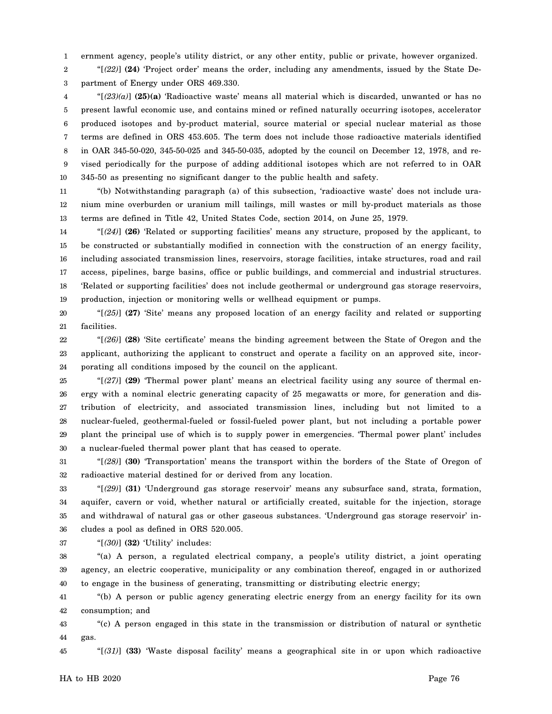1 ernment agency, people's utility district, or any other entity, public or private, however organized.

2 3 "[*(22)*] **(24)** 'Project order' means the order, including any amendments, issued by the State Department of Energy under ORS 469.330.

4 5 6 7 8 9 10 "[*(23)(a)*] **(25)(a)** 'Radioactive waste' means all material which is discarded, unwanted or has no present lawful economic use, and contains mined or refined naturally occurring isotopes, accelerator produced isotopes and by-product material, source material or special nuclear material as those terms are defined in ORS 453.605. The term does not include those radioactive materials identified in OAR 345-50-020, 345-50-025 and 345-50-035, adopted by the council on December 12, 1978, and revised periodically for the purpose of adding additional isotopes which are not referred to in OAR 345-50 as presenting no significant danger to the public health and safety.

11 12 13 "(b) Notwithstanding paragraph (a) of this subsection, 'radioactive waste' does not include uranium mine overburden or uranium mill tailings, mill wastes or mill by-product materials as those terms are defined in Title 42, United States Code, section 2014, on June 25, 1979.

14 15 16 17 18 19 "[*(24)*] **(26)** 'Related or supporting facilities' means any structure, proposed by the applicant, to be constructed or substantially modified in connection with the construction of an energy facility, including associated transmission lines, reservoirs, storage facilities, intake structures, road and rail access, pipelines, barge basins, office or public buildings, and commercial and industrial structures. 'Related or supporting facilities' does not include geothermal or underground gas storage reservoirs, production, injection or monitoring wells or wellhead equipment or pumps.

20 21 "[*(25)*] **(27)** 'Site' means any proposed location of an energy facility and related or supporting facilities.

22 23 24 "[*(26)*] **(28)** 'Site certificate' means the binding agreement between the State of Oregon and the applicant, authorizing the applicant to construct and operate a facility on an approved site, incorporating all conditions imposed by the council on the applicant.

25 26 27 28 29 30 "[*(27)*] **(29)** 'Thermal power plant' means an electrical facility using any source of thermal energy with a nominal electric generating capacity of 25 megawatts or more, for generation and distribution of electricity, and associated transmission lines, including but not limited to a nuclear-fueled, geothermal-fueled or fossil-fueled power plant, but not including a portable power plant the principal use of which is to supply power in emergencies. 'Thermal power plant' includes a nuclear-fueled thermal power plant that has ceased to operate.

31 32 "[*(28)*] **(30)** 'Transportation' means the transport within the borders of the State of Oregon of radioactive material destined for or derived from any location.

33 34 35 36 "[*(29)*] **(31)** 'Underground gas storage reservoir' means any subsurface sand, strata, formation, aquifer, cavern or void, whether natural or artificially created, suitable for the injection, storage and withdrawal of natural gas or other gaseous substances. 'Underground gas storage reservoir' includes a pool as defined in ORS 520.005.

37 "[*(30)*] **(32)** 'Utility' includes:

38 39 40 "(a) A person, a regulated electrical company, a people's utility district, a joint operating agency, an electric cooperative, municipality or any combination thereof, engaged in or authorized to engage in the business of generating, transmitting or distributing electric energy;

41 42 "(b) A person or public agency generating electric energy from an energy facility for its own consumption; and

43 44 "(c) A person engaged in this state in the transmission or distribution of natural or synthetic gas.

45 "[*(31)*] **(33)** 'Waste disposal facility' means a geographical site in or upon which radioactive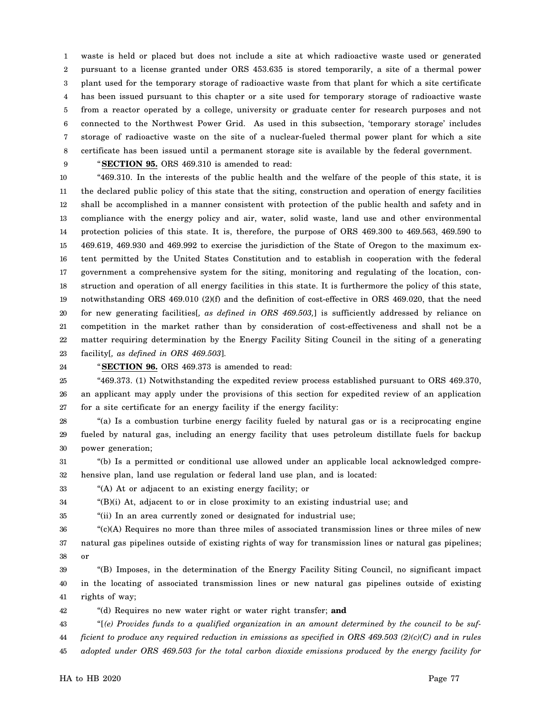1 2 3 4 5 6 7 8 waste is held or placed but does not include a site at which radioactive waste used or generated pursuant to a license granted under ORS 453.635 is stored temporarily, a site of a thermal power plant used for the temporary storage of radioactive waste from that plant for which a site certificate has been issued pursuant to this chapter or a site used for temporary storage of radioactive waste from a reactor operated by a college, university or graduate center for research purposes and not connected to the Northwest Power Grid. As used in this subsection, 'temporary storage' includes storage of radioactive waste on the site of a nuclear-fueled thermal power plant for which a site certificate has been issued until a permanent storage site is available by the federal government.

9

"**SECTION 95.** ORS 469.310 is amended to read:

10 11 12 13 14 15 16 17 18 19 20 21 22 23 "469.310. In the interests of the public health and the welfare of the people of this state, it is the declared public policy of this state that the siting, construction and operation of energy facilities shall be accomplished in a manner consistent with protection of the public health and safety and in compliance with the energy policy and air, water, solid waste, land use and other environmental protection policies of this state. It is, therefore, the purpose of ORS 469.300 to 469.563, 469.590 to 469.619, 469.930 and 469.992 to exercise the jurisdiction of the State of Oregon to the maximum extent permitted by the United States Constitution and to establish in cooperation with the federal government a comprehensive system for the siting, monitoring and regulating of the location, construction and operation of all energy facilities in this state. It is furthermore the policy of this state, notwithstanding ORS 469.010 (2)(f) and the definition of cost-effective in ORS 469.020, that the need for new generating facilities[*, as defined in ORS 469.503,*] is sufficiently addressed by reliance on competition in the market rather than by consideration of cost-effectiveness and shall not be a matter requiring determination by the Energy Facility Siting Council in the siting of a generating facility[*, as defined in ORS 469.503*].

24

"**SECTION 96.** ORS 469.373 is amended to read:

25 26 27 "469.373. (1) Notwithstanding the expedited review process established pursuant to ORS 469.370, an applicant may apply under the provisions of this section for expedited review of an application for a site certificate for an energy facility if the energy facility:

28 29 30 "(a) Is a combustion turbine energy facility fueled by natural gas or is a reciprocating engine fueled by natural gas, including an energy facility that uses petroleum distillate fuels for backup power generation;

31 32 "(b) Is a permitted or conditional use allowed under an applicable local acknowledged comprehensive plan, land use regulation or federal land use plan, and is located:

33 "(A) At or adjacent to an existing energy facility; or

34

 $E(B)(i)$  At, adjacent to or in close proximity to an existing industrial use; and

35 "(ii) In an area currently zoned or designated for industrial use;

36 37 38 "(c)(A) Requires no more than three miles of associated transmission lines or three miles of new natural gas pipelines outside of existing rights of way for transmission lines or natural gas pipelines; or

39 40 41 "(B) Imposes, in the determination of the Energy Facility Siting Council, no significant impact in the locating of associated transmission lines or new natural gas pipelines outside of existing rights of way;

42 "(d) Requires no new water right or water right transfer; **and**

43 44 "[*(e) Provides funds to a qualified organization in an amount determined by the council to be sufficient to produce any required reduction in emissions as specified in ORS 469.503 (2)(c)(C) and in rules*

45 *adopted under ORS 469.503 for the total carbon dioxide emissions produced by the energy facility for*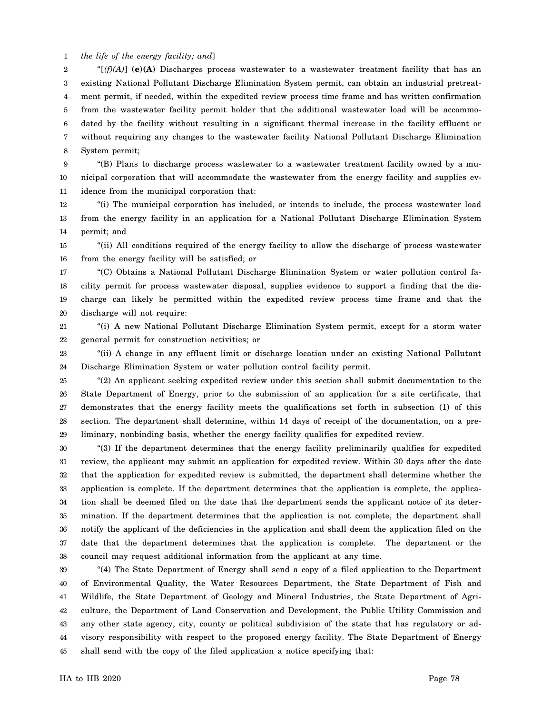1 *the life of the energy facility; and*]

2 3 4 5 6 7 8 " $(f)(A)$ ] (e)(A) Discharges process wastewater to a wastewater treatment facility that has an existing National Pollutant Discharge Elimination System permit, can obtain an industrial pretreatment permit, if needed, within the expedited review process time frame and has written confirmation from the wastewater facility permit holder that the additional wastewater load will be accommodated by the facility without resulting in a significant thermal increase in the facility effluent or without requiring any changes to the wastewater facility National Pollutant Discharge Elimination System permit;

9 10 11 "(B) Plans to discharge process wastewater to a wastewater treatment facility owned by a municipal corporation that will accommodate the wastewater from the energy facility and supplies evidence from the municipal corporation that:

12 13 14 "(i) The municipal corporation has included, or intends to include, the process wastewater load from the energy facility in an application for a National Pollutant Discharge Elimination System permit; and

15 16 "(ii) All conditions required of the energy facility to allow the discharge of process wastewater from the energy facility will be satisfied; or

17 18 19 20 "(C) Obtains a National Pollutant Discharge Elimination System or water pollution control facility permit for process wastewater disposal, supplies evidence to support a finding that the discharge can likely be permitted within the expedited review process time frame and that the discharge will not require:

21 22 "(i) A new National Pollutant Discharge Elimination System permit, except for a storm water general permit for construction activities; or

23 24 "(ii) A change in any effluent limit or discharge location under an existing National Pollutant Discharge Elimination System or water pollution control facility permit.

25 26 27 28 29 "(2) An applicant seeking expedited review under this section shall submit documentation to the State Department of Energy, prior to the submission of an application for a site certificate, that demonstrates that the energy facility meets the qualifications set forth in subsection (1) of this section. The department shall determine, within 14 days of receipt of the documentation, on a preliminary, nonbinding basis, whether the energy facility qualifies for expedited review.

30 31 32 33 34 35 36 37 38 "(3) If the department determines that the energy facility preliminarily qualifies for expedited review, the applicant may submit an application for expedited review. Within 30 days after the date that the application for expedited review is submitted, the department shall determine whether the application is complete. If the department determines that the application is complete, the application shall be deemed filed on the date that the department sends the applicant notice of its determination. If the department determines that the application is not complete, the department shall notify the applicant of the deficiencies in the application and shall deem the application filed on the date that the department determines that the application is complete. The department or the council may request additional information from the applicant at any time.

39 40 41 42 43 44 45 "(4) The State Department of Energy shall send a copy of a filed application to the Department of Environmental Quality, the Water Resources Department, the State Department of Fish and Wildlife, the State Department of Geology and Mineral Industries, the State Department of Agriculture, the Department of Land Conservation and Development, the Public Utility Commission and any other state agency, city, county or political subdivision of the state that has regulatory or advisory responsibility with respect to the proposed energy facility. The State Department of Energy shall send with the copy of the filed application a notice specifying that: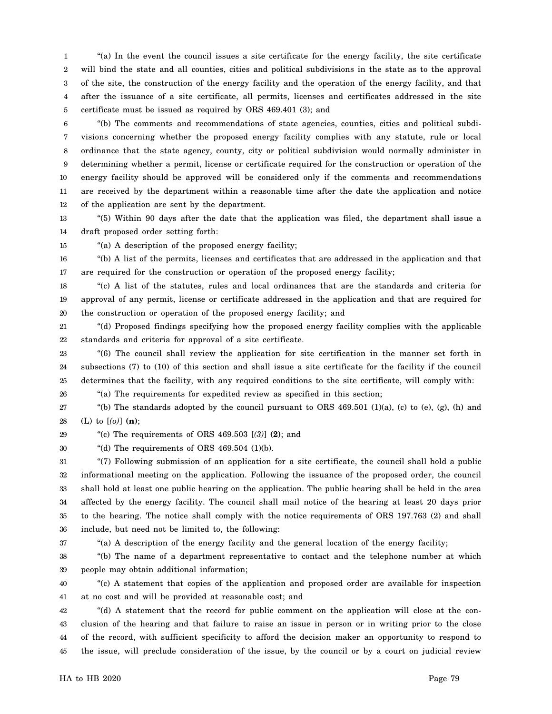1 2 3 4 5 "(a) In the event the council issues a site certificate for the energy facility, the site certificate will bind the state and all counties, cities and political subdivisions in the state as to the approval of the site, the construction of the energy facility and the operation of the energy facility, and that after the issuance of a site certificate, all permits, licenses and certificates addressed in the site certificate must be issued as required by ORS 469.401 (3); and

6 7 8 9 10 11 12 "(b) The comments and recommendations of state agencies, counties, cities and political subdivisions concerning whether the proposed energy facility complies with any statute, rule or local ordinance that the state agency, county, city or political subdivision would normally administer in determining whether a permit, license or certificate required for the construction or operation of the energy facility should be approved will be considered only if the comments and recommendations are received by the department within a reasonable time after the date the application and notice of the application are sent by the department.

13 14 "(5) Within 90 days after the date that the application was filed, the department shall issue a draft proposed order setting forth:

15

"(a) A description of the proposed energy facility;

16 17 "(b) A list of the permits, licenses and certificates that are addressed in the application and that are required for the construction or operation of the proposed energy facility;

18 19 20 "(c) A list of the statutes, rules and local ordinances that are the standards and criteria for approval of any permit, license or certificate addressed in the application and that are required for the construction or operation of the proposed energy facility; and

21 22 "(d) Proposed findings specifying how the proposed energy facility complies with the applicable standards and criteria for approval of a site certificate.

23 24 25 "(6) The council shall review the application for site certification in the manner set forth in subsections (7) to (10) of this section and shall issue a site certificate for the facility if the council determines that the facility, with any required conditions to the site certificate, will comply with:

26

"(a) The requirements for expedited review as specified in this section;

27 28 "(b) The standards adopted by the council pursuant to ORS  $469.501$  (1)(a), (c) to (e), (g), (h) and (L) to [*(o)*] **(n)**;

29 "(c) The requirements of ORS 469.503 [*(3)*] **(2)**; and

30 "(d) The requirements of ORS  $469.504$  (1)(b).

31 32 33 34 35 36 "(7) Following submission of an application for a site certificate, the council shall hold a public informational meeting on the application. Following the issuance of the proposed order, the council shall hold at least one public hearing on the application. The public hearing shall be held in the area affected by the energy facility. The council shall mail notice of the hearing at least 20 days prior to the hearing. The notice shall comply with the notice requirements of ORS 197.763 (2) and shall include, but need not be limited to, the following:

37

"(a) A description of the energy facility and the general location of the energy facility;

38 39 "(b) The name of a department representative to contact and the telephone number at which people may obtain additional information;

40 41 "(c) A statement that copies of the application and proposed order are available for inspection at no cost and will be provided at reasonable cost; and

42 43 44 45 "(d) A statement that the record for public comment on the application will close at the conclusion of the hearing and that failure to raise an issue in person or in writing prior to the close of the record, with sufficient specificity to afford the decision maker an opportunity to respond to the issue, will preclude consideration of the issue, by the council or by a court on judicial review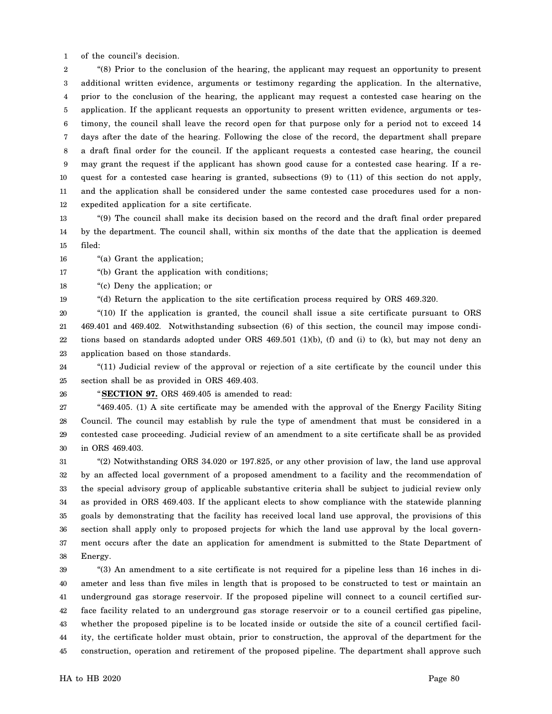1 of the council's decision.

2 3 4 5 6 7 8 9 10 11 12 "(8) Prior to the conclusion of the hearing, the applicant may request an opportunity to present additional written evidence, arguments or testimony regarding the application. In the alternative, prior to the conclusion of the hearing, the applicant may request a contested case hearing on the application. If the applicant requests an opportunity to present written evidence, arguments or testimony, the council shall leave the record open for that purpose only for a period not to exceed 14 days after the date of the hearing. Following the close of the record, the department shall prepare a draft final order for the council. If the applicant requests a contested case hearing, the council may grant the request if the applicant has shown good cause for a contested case hearing. If a request for a contested case hearing is granted, subsections (9) to (11) of this section do not apply, and the application shall be considered under the same contested case procedures used for a nonexpedited application for a site certificate.

13 14 15 "(9) The council shall make its decision based on the record and the draft final order prepared by the department. The council shall, within six months of the date that the application is deemed filed:

16 "(a) Grant the application;

17 "(b) Grant the application with conditions;

18 "(c) Deny the application; or

19 "(d) Return the application to the site certification process required by ORS 469.320.

20 21 22 23 "(10) If the application is granted, the council shall issue a site certificate pursuant to ORS 469.401 and 469.402. Notwithstanding subsection (6) of this section, the council may impose conditions based on standards adopted under ORS 469.501 (1)(b), (f) and (i) to (k), but may not deny an application based on those standards.

24 25 "(11) Judicial review of the approval or rejection of a site certificate by the council under this section shall be as provided in ORS 469.403.

26

"**SECTION 97.** ORS 469.405 is amended to read:

27 28 29 30 "469.405. (1) A site certificate may be amended with the approval of the Energy Facility Siting Council. The council may establish by rule the type of amendment that must be considered in a contested case proceeding. Judicial review of an amendment to a site certificate shall be as provided in ORS 469.403.

31 32 33 34 35 36 37 38 "(2) Notwithstanding ORS 34.020 or 197.825, or any other provision of law, the land use approval by an affected local government of a proposed amendment to a facility and the recommendation of the special advisory group of applicable substantive criteria shall be subject to judicial review only as provided in ORS 469.403. If the applicant elects to show compliance with the statewide planning goals by demonstrating that the facility has received local land use approval, the provisions of this section shall apply only to proposed projects for which the land use approval by the local government occurs after the date an application for amendment is submitted to the State Department of Energy.

39 40 41 42 43 44 45 "(3) An amendment to a site certificate is not required for a pipeline less than 16 inches in diameter and less than five miles in length that is proposed to be constructed to test or maintain an underground gas storage reservoir. If the proposed pipeline will connect to a council certified surface facility related to an underground gas storage reservoir or to a council certified gas pipeline, whether the proposed pipeline is to be located inside or outside the site of a council certified facility, the certificate holder must obtain, prior to construction, the approval of the department for the construction, operation and retirement of the proposed pipeline. The department shall approve such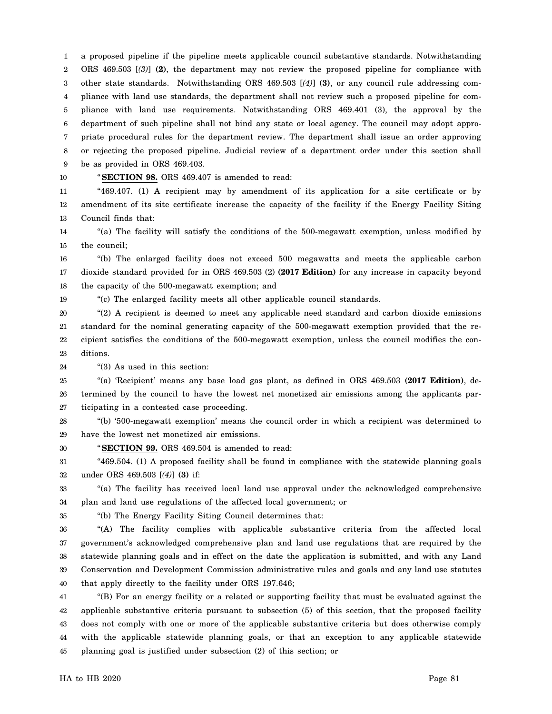1 2 3 4 5 6 7 8 9 a proposed pipeline if the pipeline meets applicable council substantive standards. Notwithstanding ORS 469.503 [*(3)*] **(2)**, the department may not review the proposed pipeline for compliance with other state standards. Notwithstanding ORS 469.503 [*(4)*] **(3)**, or any council rule addressing compliance with land use standards, the department shall not review such a proposed pipeline for compliance with land use requirements. Notwithstanding ORS 469.401 (3), the approval by the department of such pipeline shall not bind any state or local agency. The council may adopt appropriate procedural rules for the department review. The department shall issue an order approving or rejecting the proposed pipeline. Judicial review of a department order under this section shall be as provided in ORS 469.403.

10

19

35

"**SECTION 98.** ORS 469.407 is amended to read:

11 12 13 "469.407. (1) A recipient may by amendment of its application for a site certificate or by amendment of its site certificate increase the capacity of the facility if the Energy Facility Siting Council finds that:

14 15 "(a) The facility will satisfy the conditions of the 500-megawatt exemption, unless modified by the council;

16 17 18 "(b) The enlarged facility does not exceed 500 megawatts and meets the applicable carbon dioxide standard provided for in ORS 469.503 (2) **(2017 Edition)** for any increase in capacity beyond the capacity of the 500-megawatt exemption; and

"(c) The enlarged facility meets all other applicable council standards.

20 21 22 23 "(2) A recipient is deemed to meet any applicable need standard and carbon dioxide emissions standard for the nominal generating capacity of the 500-megawatt exemption provided that the recipient satisfies the conditions of the 500-megawatt exemption, unless the council modifies the conditions.

24 "(3) As used in this section:

25 26 27 "(a) 'Recipient' means any base load gas plant, as defined in ORS 469.503 **(2017 Edition)**, determined by the council to have the lowest net monetized air emissions among the applicants participating in a contested case proceeding.

28 29 "(b) '500-megawatt exemption' means the council order in which a recipient was determined to have the lowest net monetized air emissions.

30 "**SECTION 99.** ORS 469.504 is amended to read:

31 32 "469.504. (1) A proposed facility shall be found in compliance with the statewide planning goals under ORS 469.503 [*(4)*] **(3)** if:

33 34 "(a) The facility has received local land use approval under the acknowledged comprehensive plan and land use regulations of the affected local government; or

"(b) The Energy Facility Siting Council determines that:

36 37 38 39 40 "(A) The facility complies with applicable substantive criteria from the affected local government's acknowledged comprehensive plan and land use regulations that are required by the statewide planning goals and in effect on the date the application is submitted, and with any Land Conservation and Development Commission administrative rules and goals and any land use statutes that apply directly to the facility under ORS 197.646;

41 42 43 44 45 "(B) For an energy facility or a related or supporting facility that must be evaluated against the applicable substantive criteria pursuant to subsection (5) of this section, that the proposed facility does not comply with one or more of the applicable substantive criteria but does otherwise comply with the applicable statewide planning goals, or that an exception to any applicable statewide planning goal is justified under subsection (2) of this section; or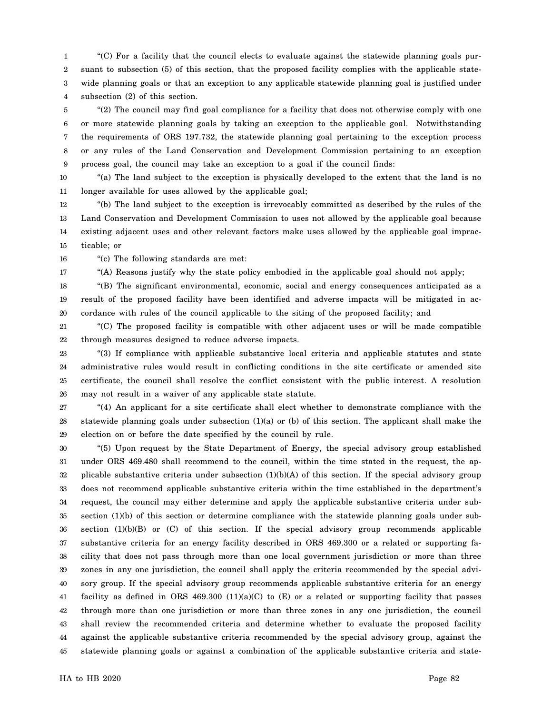1 2 3 4 "(C) For a facility that the council elects to evaluate against the statewide planning goals pursuant to subsection (5) of this section, that the proposed facility complies with the applicable statewide planning goals or that an exception to any applicable statewide planning goal is justified under subsection (2) of this section.

5 6 7 8 9 "(2) The council may find goal compliance for a facility that does not otherwise comply with one or more statewide planning goals by taking an exception to the applicable goal. Notwithstanding the requirements of ORS 197.732, the statewide planning goal pertaining to the exception process or any rules of the Land Conservation and Development Commission pertaining to an exception process goal, the council may take an exception to a goal if the council finds:

10 11 "(a) The land subject to the exception is physically developed to the extent that the land is no longer available for uses allowed by the applicable goal;

12 13 14 15 "(b) The land subject to the exception is irrevocably committed as described by the rules of the Land Conservation and Development Commission to uses not allowed by the applicable goal because existing adjacent uses and other relevant factors make uses allowed by the applicable goal impracticable; or

16 "(c) The following standards are met:

17 "(A) Reasons justify why the state policy embodied in the applicable goal should not apply;

18 19 20 "(B) The significant environmental, economic, social and energy consequences anticipated as a result of the proposed facility have been identified and adverse impacts will be mitigated in accordance with rules of the council applicable to the siting of the proposed facility; and

21 22 "(C) The proposed facility is compatible with other adjacent uses or will be made compatible through measures designed to reduce adverse impacts.

23 24 25 26 "(3) If compliance with applicable substantive local criteria and applicable statutes and state administrative rules would result in conflicting conditions in the site certificate or amended site certificate, the council shall resolve the conflict consistent with the public interest. A resolution may not result in a waiver of any applicable state statute.

27 28 29 "(4) An applicant for a site certificate shall elect whether to demonstrate compliance with the statewide planning goals under subsection  $(1)(a)$  or (b) of this section. The applicant shall make the election on or before the date specified by the council by rule.

30 31 32 33 34 35 36 37 38 39 40 41 42 43 44 45 "(5) Upon request by the State Department of Energy, the special advisory group established under ORS 469.480 shall recommend to the council, within the time stated in the request, the applicable substantive criteria under subsection  $(1)(b)(A)$  of this section. If the special advisory group does not recommend applicable substantive criteria within the time established in the department's request, the council may either determine and apply the applicable substantive criteria under subsection (1)(b) of this section or determine compliance with the statewide planning goals under subsection  $(1)(b)(B)$  or  $(C)$  of this section. If the special advisory group recommends applicable substantive criteria for an energy facility described in ORS 469.300 or a related or supporting facility that does not pass through more than one local government jurisdiction or more than three zones in any one jurisdiction, the council shall apply the criteria recommended by the special advisory group. If the special advisory group recommends applicable substantive criteria for an energy facility as defined in ORS 469.300 (11)(a)(C) to (E) or a related or supporting facility that passes through more than one jurisdiction or more than three zones in any one jurisdiction, the council shall review the recommended criteria and determine whether to evaluate the proposed facility against the applicable substantive criteria recommended by the special advisory group, against the statewide planning goals or against a combination of the applicable substantive criteria and state-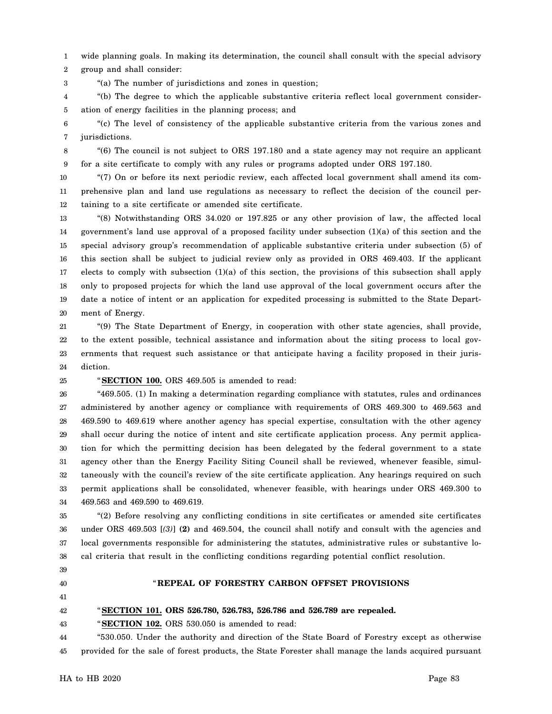1 2 wide planning goals. In making its determination, the council shall consult with the special advisory group and shall consider:

3 "(a) The number of jurisdictions and zones in question;

4 5 "(b) The degree to which the applicable substantive criteria reflect local government consideration of energy facilities in the planning process; and

6 7 "(c) The level of consistency of the applicable substantive criteria from the various zones and jurisdictions.

8 9 "(6) The council is not subject to ORS 197.180 and a state agency may not require an applicant for a site certificate to comply with any rules or programs adopted under ORS 197.180.

10 11 12 "(7) On or before its next periodic review, each affected local government shall amend its comprehensive plan and land use regulations as necessary to reflect the decision of the council pertaining to a site certificate or amended site certificate.

13 14 15 16 17 18 19 20 "(8) Notwithstanding ORS 34.020 or 197.825 or any other provision of law, the affected local government's land use approval of a proposed facility under subsection (1)(a) of this section and the special advisory group's recommendation of applicable substantive criteria under subsection (5) of this section shall be subject to judicial review only as provided in ORS 469.403. If the applicant elects to comply with subsection (1)(a) of this section, the provisions of this subsection shall apply only to proposed projects for which the land use approval of the local government occurs after the date a notice of intent or an application for expedited processing is submitted to the State Department of Energy.

21 22 23 24 "(9) The State Department of Energy, in cooperation with other state agencies, shall provide, to the extent possible, technical assistance and information about the siting process to local governments that request such assistance or that anticipate having a facility proposed in their jurisdiction.

25

"**SECTION 100.** ORS 469.505 is amended to read:

26 27 28 29 30 31 32 33 34 "469.505. (1) In making a determination regarding compliance with statutes, rules and ordinances administered by another agency or compliance with requirements of ORS 469.300 to 469.563 and 469.590 to 469.619 where another agency has special expertise, consultation with the other agency shall occur during the notice of intent and site certificate application process. Any permit application for which the permitting decision has been delegated by the federal government to a state agency other than the Energy Facility Siting Council shall be reviewed, whenever feasible, simultaneously with the council's review of the site certificate application. Any hearings required on such permit applications shall be consolidated, whenever feasible, with hearings under ORS 469.300 to 469.563 and 469.590 to 469.619.

35 36 37 38 "(2) Before resolving any conflicting conditions in site certificates or amended site certificates under ORS 469.503 [(3)] (2) and 469.504, the council shall notify and consult with the agencies and local governments responsible for administering the statutes, administrative rules or substantive local criteria that result in the conflicting conditions regarding potential conflict resolution.

39

40

# " **REPEAL OF FORESTRY CARBON OFFSET PROVISIONS**

41

42

"**SECTION 101. ORS 526.780, 526.783, 526.786 and 526.789 are repealed.**

43 "**SECTION 102.** ORS 530.050 is amended to read:

44 45 "530.050. Under the authority and direction of the State Board of Forestry except as otherwise provided for the sale of forest products, the State Forester shall manage the lands acquired pursuant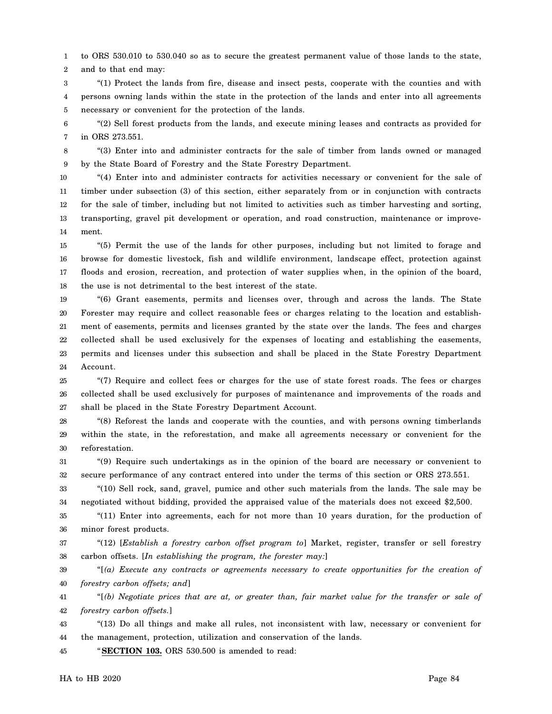1 2 to ORS 530.010 to 530.040 so as to secure the greatest permanent value of those lands to the state, and to that end may:

3 4 5 "(1) Protect the lands from fire, disease and insect pests, cooperate with the counties and with persons owning lands within the state in the protection of the lands and enter into all agreements necessary or convenient for the protection of the lands.

6 7 "(2) Sell forest products from the lands, and execute mining leases and contracts as provided for in ORS 273.551.

8 9 "(3) Enter into and administer contracts for the sale of timber from lands owned or managed by the State Board of Forestry and the State Forestry Department.

10 11 12 13 14 "(4) Enter into and administer contracts for activities necessary or convenient for the sale of timber under subsection (3) of this section, either separately from or in conjunction with contracts for the sale of timber, including but not limited to activities such as timber harvesting and sorting, transporting, gravel pit development or operation, and road construction, maintenance or improvement.

15 16 17 18 "(5) Permit the use of the lands for other purposes, including but not limited to forage and browse for domestic livestock, fish and wildlife environment, landscape effect, protection against floods and erosion, recreation, and protection of water supplies when, in the opinion of the board, the use is not detrimental to the best interest of the state.

19 20 21 22 23 24 "(6) Grant easements, permits and licenses over, through and across the lands. The State Forester may require and collect reasonable fees or charges relating to the location and establishment of easements, permits and licenses granted by the state over the lands. The fees and charges collected shall be used exclusively for the expenses of locating and establishing the easements, permits and licenses under this subsection and shall be placed in the State Forestry Department Account.

25 26 27 "(7) Require and collect fees or charges for the use of state forest roads. The fees or charges collected shall be used exclusively for purposes of maintenance and improvements of the roads and shall be placed in the State Forestry Department Account.

28 29 30 "(8) Reforest the lands and cooperate with the counties, and with persons owning timberlands within the state, in the reforestation, and make all agreements necessary or convenient for the reforestation.

31 32 "(9) Require such undertakings as in the opinion of the board are necessary or convenient to secure performance of any contract entered into under the terms of this section or ORS 273.551.

33 34 "(10) Sell rock, sand, gravel, pumice and other such materials from the lands. The sale may be negotiated without bidding, provided the appraised value of the materials does not exceed \$2,500.

35 36 "(11) Enter into agreements, each for not more than 10 years duration, for the production of minor forest products.

37 38 "(12) [*Establish a forestry carbon offset program to*] Market, register, transfer or sell forestry carbon offsets. [*In establishing the program, the forester may:*]

39 40 "[*(a) Execute any contracts or agreements necessary to create opportunities for the creation of forestry carbon offsets; and*]

41 42 "[*(b) Negotiate prices that are at, or greater than, fair market value for the transfer or sale of forestry carbon offsets.*]

43 44 "(13) Do all things and make all rules, not inconsistent with law, necessary or convenient for the management, protection, utilization and conservation of the lands.

45 "**SECTION 103.** ORS 530.500 is amended to read: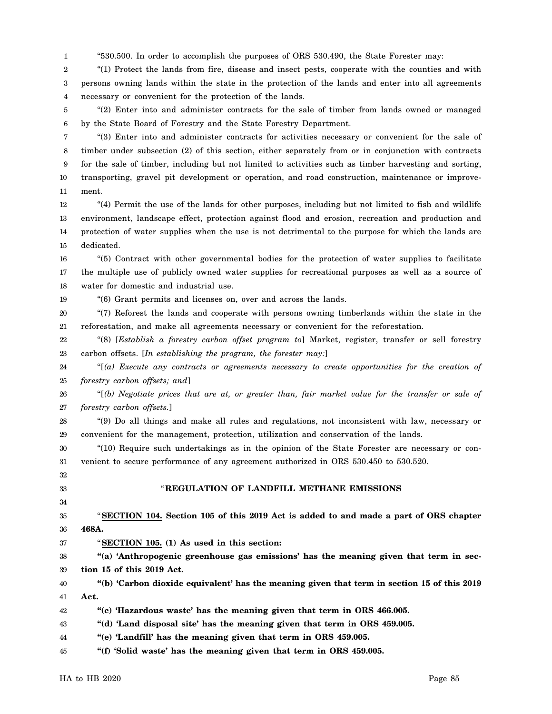1 "530.500. In order to accomplish the purposes of ORS 530.490, the State Forester may:

2 3 4 "(1) Protect the lands from fire, disease and insect pests, cooperate with the counties and with persons owning lands within the state in the protection of the lands and enter into all agreements necessary or convenient for the protection of the lands.

5 6 "(2) Enter into and administer contracts for the sale of timber from lands owned or managed by the State Board of Forestry and the State Forestry Department.

7 8 9 10 11 "(3) Enter into and administer contracts for activities necessary or convenient for the sale of timber under subsection (2) of this section, either separately from or in conjunction with contracts for the sale of timber, including but not limited to activities such as timber harvesting and sorting, transporting, gravel pit development or operation, and road construction, maintenance or improvement.

12 13 14 15 "(4) Permit the use of the lands for other purposes, including but not limited to fish and wildlife environment, landscape effect, protection against flood and erosion, recreation and production and protection of water supplies when the use is not detrimental to the purpose for which the lands are dedicated.

16 17 18 "(5) Contract with other governmental bodies for the protection of water supplies to facilitate the multiple use of publicly owned water supplies for recreational purposes as well as a source of water for domestic and industrial use.

19 "(6) Grant permits and licenses on, over and across the lands.

20 21 "(7) Reforest the lands and cooperate with persons owning timberlands within the state in the reforestation, and make all agreements necessary or convenient for the reforestation.

22 23 "(8) [*Establish a forestry carbon offset program to*] Market, register, transfer or sell forestry carbon offsets. [*In establishing the program, the forester may:*]

24 25 "[*(a) Execute any contracts or agreements necessary to create opportunities for the creation of forestry carbon offsets; and*]

26 27 "[*(b) Negotiate prices that are at, or greater than, fair market value for the transfer or sale of forestry carbon offsets.*]

28 29 "(9) Do all things and make all rules and regulations, not inconsistent with law, necessary or convenient for the management, protection, utilization and conservation of the lands.

30 31 "(10) Require such undertakings as in the opinion of the State Forester are necessary or convenient to secure performance of any agreement authorized in ORS 530.450 to 530.520.

#### " **REGULATION OF LANDFILL METHANE EMISSIONS**

35 36 "**SECTION 104. Section 105 of this 2019 Act is added to and made a part of ORS chapter 468A.**

"**SECTION 105. (1) As used in this section:**

38 39 **"(a) 'Anthropogenic greenhouse gas emissions' has the meaning given that term in section 15 of this 2019 Act.**

40 41 **"(b) 'Carbon dioxide equivalent' has the meaning given that term in section 15 of this 2019 Act.**

42 **"(c) 'Hazardous waste' has the meaning given that term in ORS 466.005.**

43 **"(d) 'Land disposal site' has the meaning given that term in ORS 459.005.**

44 **"(e) 'Landfill' has the meaning given that term in ORS 459.005.**

45 **"(f) 'Solid waste' has the meaning given that term in ORS 459.005.**

32 33 34

37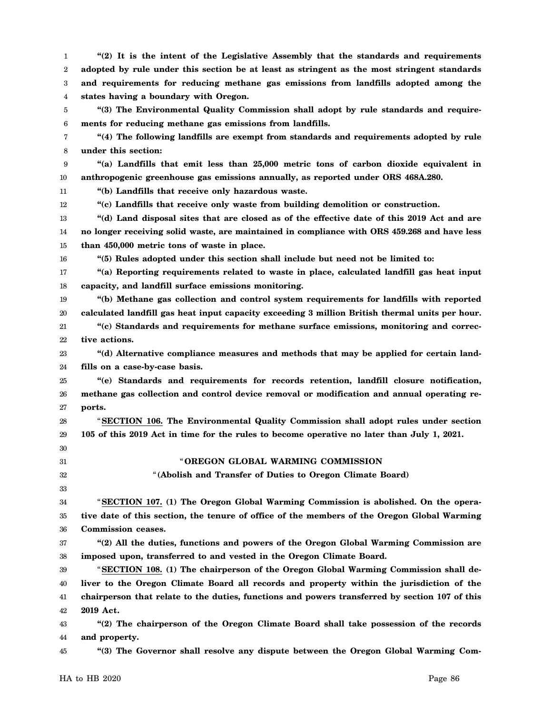1 2 3 4 5 6 7 8 9 10 11 12 13 14 15 16 17 18 19 20 21 22 23 24 25 26 27 28 29 30 31 32 33 34 35 36 37 38 39 40 41 **"(2) It is the intent of the Legislative Assembly that the standards and requirements adopted by rule under this section be at least as stringent as the most stringent standards and requirements for reducing methane gas emissions from landfills adopted among the states having a boundary with Oregon. "(3) The Environmental Quality Commission shall adopt by rule standards and requirements for reducing methane gas emissions from landfills. "(4) The following landfills are exempt from standards and requirements adopted by rule under this section: "(a) Landfills that emit less than 25,000 metric tons of carbon dioxide equivalent in anthropogenic greenhouse gas emissions annually, as reported under ORS 468A.280. "(b) Landfills that receive only hazardous waste. "(c) Landfills that receive only waste from building demolition or construction. "(d) Land disposal sites that are closed as of the effective date of this 2019 Act and are no longer receiving solid waste, are maintained in compliance with ORS 459.268 and have less than 450,000 metric tons of waste in place. "(5) Rules adopted under this section shall include but need not be limited to: "(a) Reporting requirements related to waste in place, calculated landfill gas heat input capacity, and landfill surface emissions monitoring. "(b) Methane gas collection and control system requirements for landfills with reported calculated landfill gas heat input capacity exceeding 3 million British thermal units per hour. "(c) Standards and requirements for methane surface emissions, monitoring and corrective actions. "(d) Alternative compliance measures and methods that may be applied for certain landfills on a case-by-case basis. "(e) Standards and requirements for records retention, landfill closure notification, methane gas collection and control device removal or modification and annual operating reports.** "**SECTION 106. The Environmental Quality Commission shall adopt rules under section 105 of this 2019 Act in time for the rules to become operative no later than July 1, 2021.** " **OREGON GLOBAL WARMING COMMISSION** "**(Abolish and Transfer of Duties to Oregon Climate Board)** "**SECTION 107. (1) The Oregon Global Warming Commission is abolished. On the operative date of this section, the tenure of office of the members of the Oregon Global Warming Commission ceases. "(2) All the duties, functions and powers of the Oregon Global Warming Commission are imposed upon, transferred to and vested in the Oregon Climate Board.** "**SECTION 108. (1) The chairperson of the Oregon Global Warming Commission shall deliver to the Oregon Climate Board all records and property within the jurisdiction of the chairperson that relate to the duties, functions and powers transferred by section 107 of this**

42 **2019 Act.**

43 44 **"(2) The chairperson of the Oregon Climate Board shall take possession of the records and property.**

45 **"(3) The Governor shall resolve any dispute between the Oregon Global Warming Com-**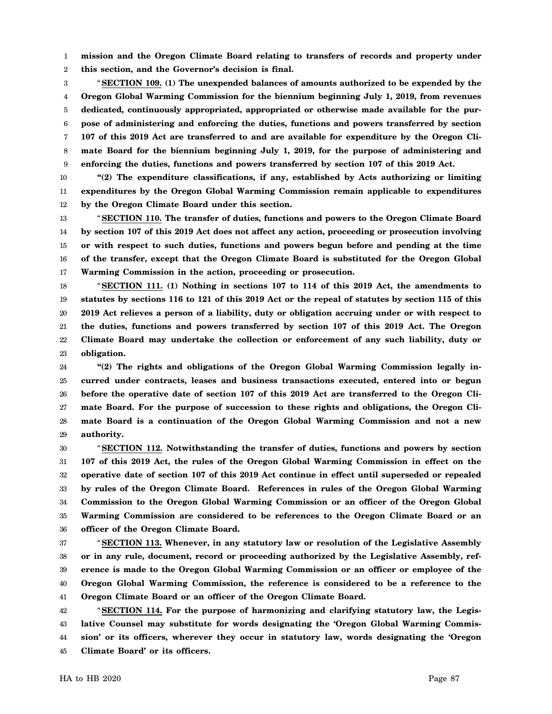1 **mission and the Oregon Climate Board relating to transfers of records and property under**

2 **this section, and the Governor's decision is final.**

3 4 5 6 7 8 9 "**SECTION 109. (1) The unexpended balances of amounts authorized to be expended by the Oregon Global Warming Commission for the biennium beginning July 1, 2019, from revenues dedicated, continuously appropriated, appropriated or otherwise made available for the purpose of administering and enforcing the duties, functions and powers transferred by section 107 of this 2019 Act are transferred to and are available for expenditure by the Oregon Climate Board for the biennium beginning July 1, 2019, for the purpose of administering and enforcing the duties, functions and powers transferred by section 107 of this 2019 Act.**

10 11 12 **"(2) The expenditure classifications, if any, established by Acts authorizing or limiting expenditures by the Oregon Global Warming Commission remain applicable to expenditures by the Oregon Climate Board under this section.**

13 14 15 16 17 "**SECTION 110. The transfer of duties, functions and powers to the Oregon Climate Board by section 107 of this 2019 Act does not affect any action, proceeding or prosecution involving or with respect to such duties, functions and powers begun before and pending at the time of the transfer, except that the Oregon Climate Board is substituted for the Oregon Global Warming Commission in the action, proceeding or prosecution.**

18 19 20 21 22 23 "**SECTION 111. (1) Nothing in sections 107 to 114 of this 2019 Act, the amendments to statutes by sections 116 to 121 of this 2019 Act or the repeal of statutes by section 115 of this 2019 Act relieves a person of a liability, duty or obligation accruing under or with respect to the duties, functions and powers transferred by section 107 of this 2019 Act. The Oregon Climate Board may undertake the collection or enforcement of any such liability, duty or obligation.**

24 25 26 27 28 29 **"(2) The rights and obligations of the Oregon Global Warming Commission legally incurred under contracts, leases and business transactions executed, entered into or begun before the operative date of section 107 of this 2019 Act are transferred to the Oregon Climate Board. For the purpose of succession to these rights and obligations, the Oregon Climate Board is a continuation of the Oregon Global Warming Commission and not a new authority.**

30 31 32 33 34 35 36 "**SECTION 112. Notwithstanding the transfer of duties, functions and powers by section 107 of this 2019 Act, the rules of the Oregon Global Warming Commission in effect on the operative date of section 107 of this 2019 Act continue in effect until superseded or repealed by rules of the Oregon Climate Board. References in rules of the Oregon Global Warming Commission to the Oregon Global Warming Commission or an officer of the Oregon Global Warming Commission are considered to be references to the Oregon Climate Board or an officer of the Oregon Climate Board.**

37 38 39 40 41 "**SECTION 113. Whenever, in any statutory law or resolution of the Legislative Assembly or in any rule, document, record or proceeding authorized by the Legislative Assembly, reference is made to the Oregon Global Warming Commission or an officer or employee of the Oregon Global Warming Commission, the reference is considered to be a reference to the Oregon Climate Board or an officer of the Oregon Climate Board.**

42 43 44 45 "**SECTION 114. For the purpose of harmonizing and clarifying statutory law, the Legislative Counsel may substitute for words designating the 'Oregon Global Warming Commission' or its officers, wherever they occur in statutory law, words designating the 'Oregon Climate Board' or its officers.**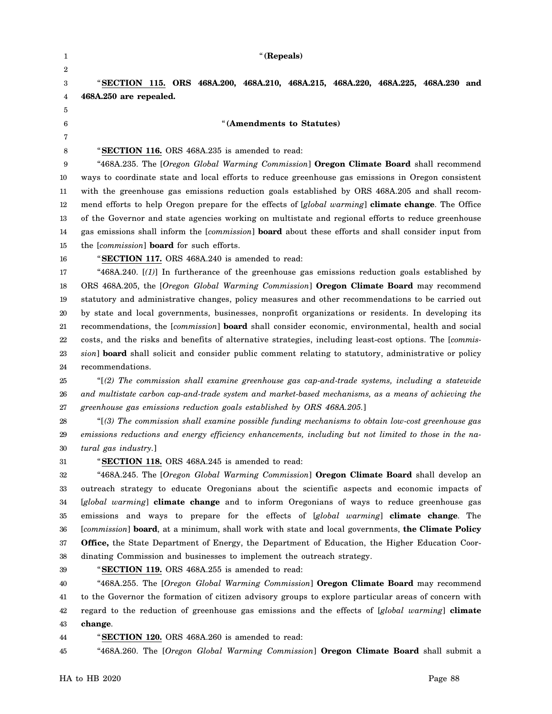| 1                | "(Repeals)                                                                                                                             |  |  |
|------------------|----------------------------------------------------------------------------------------------------------------------------------------|--|--|
| $\boldsymbol{2}$ |                                                                                                                                        |  |  |
| 3                | "SECTION 115. ORS 468A.200, 468A.210, 468A.215, 468A.220, 468A.225, 468A.230 and                                                       |  |  |
| 4                | 468A.250 are repealed.                                                                                                                 |  |  |
| 5                | "(Amendments to Statutes)                                                                                                              |  |  |
| 6<br>7           |                                                                                                                                        |  |  |
| 8                | "SECTION 116. ORS 468A.235 is amended to read:                                                                                         |  |  |
| 9                | "468A.235. The [Oregon Global Warming Commission] Oregon Climate Board shall recommend                                                 |  |  |
| 10               | ways to coordinate state and local efforts to reduce greenhouse gas emissions in Oregon consistent                                     |  |  |
| 11               | with the greenhouse gas emissions reduction goals established by ORS 468A.205 and shall recom-                                         |  |  |
| 12               | mend efforts to help Oregon prepare for the effects of [global warming] <b>climate change</b> . The Office                             |  |  |
| 13               | of the Governor and state agencies working on multistate and regional efforts to reduce greenhouse                                     |  |  |
| 14               | gas emissions shall inform the [commission] <b>board</b> about these efforts and shall consider input from                             |  |  |
| 15               | the [commission] <b>board</b> for such efforts.                                                                                        |  |  |
| 16               | "SECTION 117. ORS 468A.240 is amended to read:                                                                                         |  |  |
| 17               | "468A.240. $[(1)]$ In furtherance of the greenhouse gas emissions reduction goals established by                                       |  |  |
| 18               | ORS 468A.205, the [Oregon Global Warming Commission] Oregon Climate Board may recommend                                                |  |  |
| 19               | statutory and administrative changes, policy measures and other recommendations to be carried out                                      |  |  |
| 20               | by state and local governments, businesses, nonprofit organizations or residents. In developing its                                    |  |  |
| 21               | recommendations, the [commission] <b>board</b> shall consider economic, environmental, health and social                               |  |  |
| 22               | costs, and the risks and benefits of alternative strategies, including least-cost options. The [commis-                                |  |  |
| 23               | sion] <b>board</b> shall solicit and consider public comment relating to statutory, administrative or policy                           |  |  |
| 24               | recommendations.                                                                                                                       |  |  |
| 25               | "[(2) The commission shall examine greenhouse gas cap-and-trade systems, including a statewide                                         |  |  |
| 26               | and multistate carbon cap-and-trade system and market-based mechanisms, as a means of achieving the                                    |  |  |
| 27               | greenhouse gas emissions reduction goals established by ORS 468A.205.]                                                                 |  |  |
| 28               | " $(3)$ The commission shall examine possible funding mechanisms to obtain low-cost greenhouse gas                                     |  |  |
| 29               | emissions reductions and energy efficiency enhancements, including but not limited to those in the na-                                 |  |  |
| 30               | tural gas industry.]                                                                                                                   |  |  |
| 31               | "SECTION 118. ORS 468A.245 is amended to read:                                                                                         |  |  |
| 32               | "468A.245. The [Oregon Global Warming Commission] Oregon Climate Board shall develop an                                                |  |  |
| 33               | outreach strategy to educate Oregonians about the scientific aspects and economic impacts of                                           |  |  |
| 34               | [global warming] climate change and to inform Oregonians of ways to reduce greenhouse gas                                              |  |  |
| 35               | emissions and ways to prepare for the effects of [global warming] climate change. The                                                  |  |  |
| 36               | [commission] board, at a minimum, shall work with state and local governments, the Climate Policy                                      |  |  |
| 37               | <b>Office,</b> the State Department of Energy, the Department of Education, the Higher Education Coor-                                 |  |  |
| 38               | dinating Commission and businesses to implement the outreach strategy.                                                                 |  |  |
| 39               | "SECTION 119. ORS 468A.255 is amended to read:<br>"468A.255. The [Oregon Global Warming Commission] Oregon Climate Board may recommend |  |  |
| 40               | to the Governor the formation of citizen advisory groups to explore particular areas of concern with                                   |  |  |
| 41<br>42         | regard to the reduction of greenhouse gas emissions and the effects of [global warming] climate                                        |  |  |
| 43               | change.                                                                                                                                |  |  |
| 44               | "SECTION 120. ORS 468A.260 is amended to read:                                                                                         |  |  |
| 45               | "468A.260. The [Oregon Global Warming Commission] Oregon Climate Board shall submit a                                                  |  |  |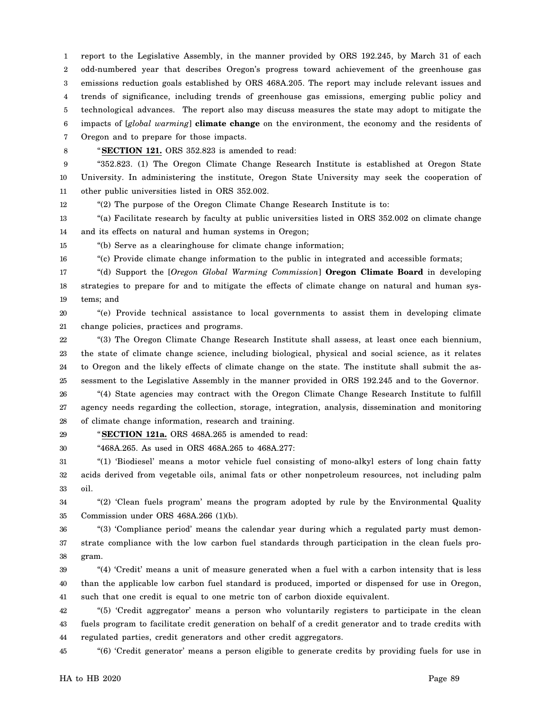1 2 3 4 5 6 7 report to the Legislative Assembly, in the manner provided by ORS 192.245, by March 31 of each odd-numbered year that describes Oregon's progress toward achievement of the greenhouse gas emissions reduction goals established by ORS 468A.205. The report may include relevant issues and trends of significance, including trends of greenhouse gas emissions, emerging public policy and technological advances. The report also may discuss measures the state may adopt to mitigate the impacts of [*global warming*] **climate change** on the environment, the economy and the residents of Oregon and to prepare for those impacts.

8

"**SECTION 121.** ORS 352.823 is amended to read:

9 10 11 "352.823. (1) The Oregon Climate Change Research Institute is established at Oregon State University. In administering the institute, Oregon State University may seek the cooperation of other public universities listed in ORS 352.002.

12 "(2) The purpose of the Oregon Climate Change Research Institute is to:

13 14 "(a) Facilitate research by faculty at public universities listed in ORS 352.002 on climate change and its effects on natural and human systems in Oregon;

15 "(b) Serve as a clearinghouse for climate change information;

16 "(c) Provide climate change information to the public in integrated and accessible formats;

17 18 19 "(d) Support the [*Oregon Global Warming Commission*] **Oregon Climate Board** in developing strategies to prepare for and to mitigate the effects of climate change on natural and human systems; and

20 21 "(e) Provide technical assistance to local governments to assist them in developing climate change policies, practices and programs.

22 23 24 25 "(3) The Oregon Climate Change Research Institute shall assess, at least once each biennium, the state of climate change science, including biological, physical and social science, as it relates to Oregon and the likely effects of climate change on the state. The institute shall submit the assessment to the Legislative Assembly in the manner provided in ORS 192.245 and to the Governor.

26 27 28 "(4) State agencies may contract with the Oregon Climate Change Research Institute to fulfill agency needs regarding the collection, storage, integration, analysis, dissemination and monitoring of climate change information, research and training.

29

30

"**SECTION 121a.** ORS 468A.265 is amended to read: "468A.265. As used in ORS 468A.265 to 468A.277:

31 32 33 "(1) 'Biodiesel' means a motor vehicle fuel consisting of mono-alkyl esters of long chain fatty acids derived from vegetable oils, animal fats or other nonpetroleum resources, not including palm oil.

34 35 "(2) 'Clean fuels program' means the program adopted by rule by the Environmental Quality Commission under ORS 468A.266 (1)(b).

36 37 38 "(3) 'Compliance period' means the calendar year during which a regulated party must demonstrate compliance with the low carbon fuel standards through participation in the clean fuels program.

39 40 41 "(4) 'Credit' means a unit of measure generated when a fuel with a carbon intensity that is less than the applicable low carbon fuel standard is produced, imported or dispensed for use in Oregon, such that one credit is equal to one metric ton of carbon dioxide equivalent.

42 43 44 "(5) 'Credit aggregator' means a person who voluntarily registers to participate in the clean fuels program to facilitate credit generation on behalf of a credit generator and to trade credits with regulated parties, credit generators and other credit aggregators.

45 "(6) 'Credit generator' means a person eligible to generate credits by providing fuels for use in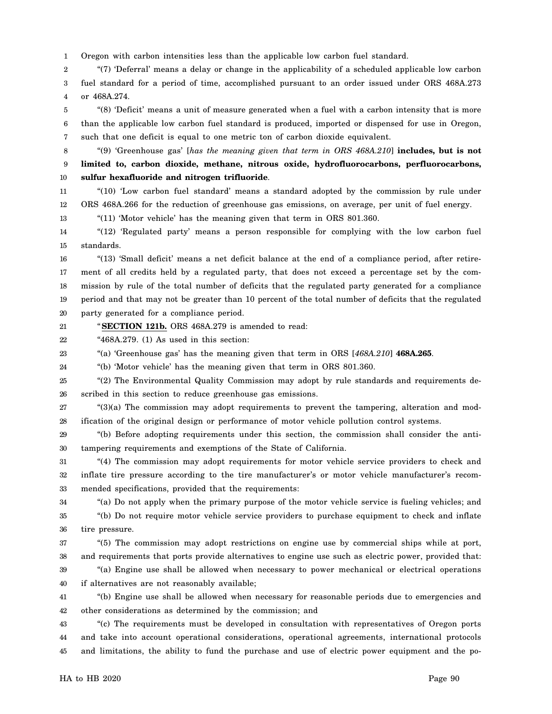1 Oregon with carbon intensities less than the applicable low carbon fuel standard.

2 3 4 "(7) 'Deferral' means a delay or change in the applicability of a scheduled applicable low carbon fuel standard for a period of time, accomplished pursuant to an order issued under ORS 468A.273 or 468A.274.

5 6 7 "(8) 'Deficit' means a unit of measure generated when a fuel with a carbon intensity that is more than the applicable low carbon fuel standard is produced, imported or dispensed for use in Oregon, such that one deficit is equal to one metric ton of carbon dioxide equivalent.

8 9 10 "(9) 'Greenhouse gas' [*has the meaning given that term in ORS 468A.210*] **includes, but is not limited to, carbon dioxide, methane, nitrous oxide, hydrofluorocarbons, perfluorocarbons, sulfur hexafluoride and nitrogen trifluoride**.

11 12 "(10) 'Low carbon fuel standard' means a standard adopted by the commission by rule under ORS 468A.266 for the reduction of greenhouse gas emissions, on average, per unit of fuel energy.

13 "(11) 'Motor vehicle' has the meaning given that term in ORS 801.360.

14 15 "(12) 'Regulated party' means a person responsible for complying with the low carbon fuel standards.

16 17 18 19 20 "(13) 'Small deficit' means a net deficit balance at the end of a compliance period, after retirement of all credits held by a regulated party, that does not exceed a percentage set by the commission by rule of the total number of deficits that the regulated party generated for a compliance period and that may not be greater than 10 percent of the total number of deficits that the regulated party generated for a compliance period.

21 "**SECTION 121b.** ORS 468A.279 is amended to read:

22 "468A.279. (1) As used in this section:

23 "(a) 'Greenhouse gas' has the meaning given that term in ORS [*468A.210*] **468A.265**.

24 "(b) 'Motor vehicle' has the meaning given that term in ORS 801.360.

25 26 "(2) The Environmental Quality Commission may adopt by rule standards and requirements described in this section to reduce greenhouse gas emissions.

27 28 "(3)(a) The commission may adopt requirements to prevent the tampering, alteration and modification of the original design or performance of motor vehicle pollution control systems.

29 30 "(b) Before adopting requirements under this section, the commission shall consider the antitampering requirements and exemptions of the State of California.

31 32 33 "(4) The commission may adopt requirements for motor vehicle service providers to check and inflate tire pressure according to the tire manufacturer's or motor vehicle manufacturer's recommended specifications, provided that the requirements:

34 35 36 "(a) Do not apply when the primary purpose of the motor vehicle service is fueling vehicles; and "(b) Do not require motor vehicle service providers to purchase equipment to check and inflate tire pressure.

37 38 "(5) The commission may adopt restrictions on engine use by commercial ships while at port, and requirements that ports provide alternatives to engine use such as electric power, provided that:

39 40 "(a) Engine use shall be allowed when necessary to power mechanical or electrical operations if alternatives are not reasonably available;

41 42 "(b) Engine use shall be allowed when necessary for reasonable periods due to emergencies and other considerations as determined by the commission; and

43 44 45 "(c) The requirements must be developed in consultation with representatives of Oregon ports and take into account operational considerations, operational agreements, international protocols and limitations, the ability to fund the purchase and use of electric power equipment and the po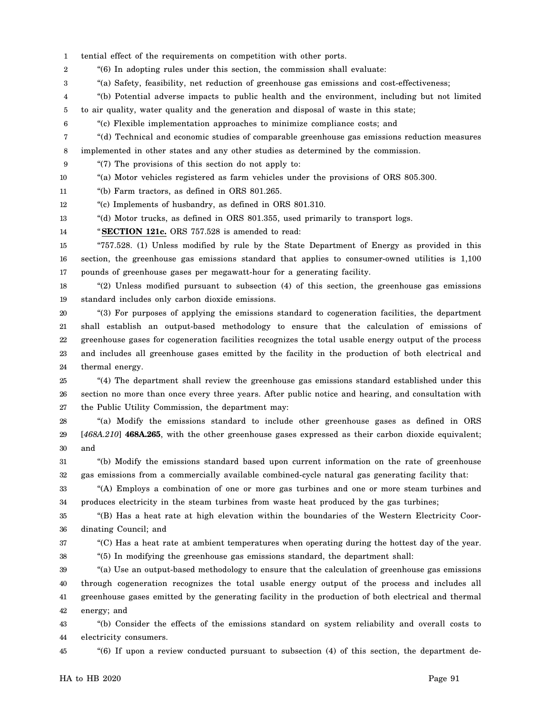1 tential effect of the requirements on competition with other ports.

2 "(6) In adopting rules under this section, the commission shall evaluate:

3 "(a) Safety, feasibility, net reduction of greenhouse gas emissions and cost-effectiveness;

4 "(b) Potential adverse impacts to public health and the environment, including but not limited

5 to air quality, water quality and the generation and disposal of waste in this state;

6 "(c) Flexible implementation approaches to minimize compliance costs; and

7 "(d) Technical and economic studies of comparable greenhouse gas emissions reduction measures

8 implemented in other states and any other studies as determined by the commission.

9 "(7) The provisions of this section do not apply to:

10 "(a) Motor vehicles registered as farm vehicles under the provisions of ORS 805.300.

11 "(b) Farm tractors, as defined in ORS 801.265.

12 "(c) Implements of husbandry, as defined in ORS 801.310.

13 "(d) Motor trucks, as defined in ORS 801.355, used primarily to transport logs.

14 "**SECTION 121c.** ORS 757.528 is amended to read:

15 16 17 "757.528. (1) Unless modified by rule by the State Department of Energy as provided in this section, the greenhouse gas emissions standard that applies to consumer-owned utilities is 1,100 pounds of greenhouse gases per megawatt-hour for a generating facility.

18 19 "(2) Unless modified pursuant to subsection (4) of this section, the greenhouse gas emissions standard includes only carbon dioxide emissions.

20 21 22 23 24 "(3) For purposes of applying the emissions standard to cogeneration facilities, the department shall establish an output-based methodology to ensure that the calculation of emissions of greenhouse gases for cogeneration facilities recognizes the total usable energy output of the process and includes all greenhouse gases emitted by the facility in the production of both electrical and thermal energy.

25 26 27 "(4) The department shall review the greenhouse gas emissions standard established under this section no more than once every three years. After public notice and hearing, and consultation with the Public Utility Commission, the department may:

28 29 30 "(a) Modify the emissions standard to include other greenhouse gases as defined in ORS [*468A.210*] **468A.265**, with the other greenhouse gases expressed as their carbon dioxide equivalent; and

31 32 "(b) Modify the emissions standard based upon current information on the rate of greenhouse gas emissions from a commercially available combined-cycle natural gas generating facility that:

33 34 "(A) Employs a combination of one or more gas turbines and one or more steam turbines and produces electricity in the steam turbines from waste heat produced by the gas turbines;

35 36 "(B) Has a heat rate at high elevation within the boundaries of the Western Electricity Coordinating Council; and

37

"(C) Has a heat rate at ambient temperatures when operating during the hottest day of the year.

38 "(5) In modifying the greenhouse gas emissions standard, the department shall:

39 40 41 42 "(a) Use an output-based methodology to ensure that the calculation of greenhouse gas emissions through cogeneration recognizes the total usable energy output of the process and includes all greenhouse gases emitted by the generating facility in the production of both electrical and thermal energy; and

43 44 "(b) Consider the effects of the emissions standard on system reliability and overall costs to electricity consumers.

45 "(6) If upon a review conducted pursuant to subsection (4) of this section, the department de-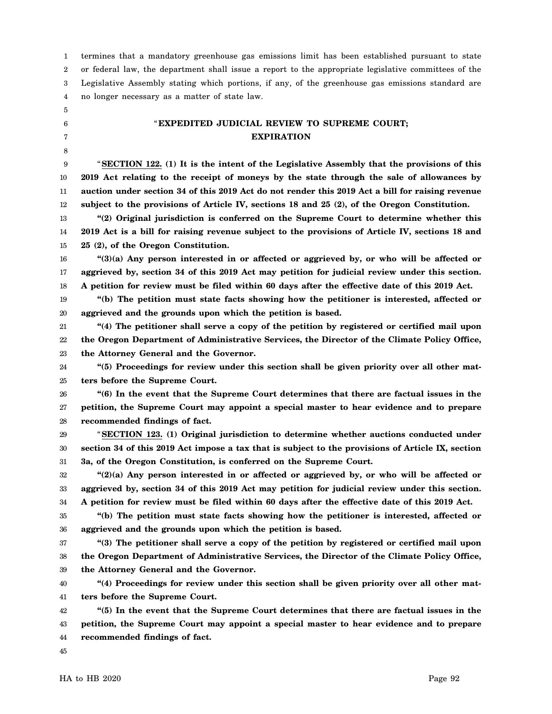1 2 3 4 5 6 7 8 9 10 11 12 13 14 15 16 17 18 19 20 21 22 23 24 25 26 27 28 29 30 31 32 33 34 35 36 37 38 39 40 41 42 43 44 45 termines that a mandatory greenhouse gas emissions limit has been established pursuant to state or federal law, the department shall issue a report to the appropriate legislative committees of the Legislative Assembly stating which portions, if any, of the greenhouse gas emissions standard are no longer necessary as a matter of state law. "**EXPEDITED JUDICIAL REVIEW TO SUPREME COURT; EXPIRATION** "**SECTION 122. (1) It is the intent of the Legislative Assembly that the provisions of this 2019 Act relating to the receipt of moneys by the state through the sale of allowances by auction under section 34 of this 2019 Act do not render this 2019 Act a bill for raising revenue subject to the provisions of Article IV, sections 18 and 25 (2), of the Oregon Constitution. "(2) Original jurisdiction is conferred on the Supreme Court to determine whether this 2019 Act is a bill for raising revenue subject to the provisions of Article IV, sections 18 and 25 (2), of the Oregon Constitution. "(3)(a) Any person interested in or affected or aggrieved by, or who will be affected or aggrieved by, section 34 of this 2019 Act may petition for judicial review under this section. A petition for review must be filed within 60 days after the effective date of this 2019 Act. "(b) The petition must state facts showing how the petitioner is interested, affected or aggrieved and the grounds upon which the petition is based. "(4) The petitioner shall serve a copy of the petition by registered or certified mail upon the Oregon Department of Administrative Services, the Director of the Climate Policy Office, the Attorney General and the Governor. "(5) Proceedings for review under this section shall be given priority over all other matters before the Supreme Court. "(6) In the event that the Supreme Court determines that there are factual issues in the petition, the Supreme Court may appoint a special master to hear evidence and to prepare recommended findings of fact.** "**SECTION 123. (1) Original jurisdiction to determine whether auctions conducted under section 34 of this 2019 Act impose a tax that is subject to the provisions of Article IX, section 3a, of the Oregon Constitution, is conferred on the Supreme Court. "(2)(a) Any person interested in or affected or aggrieved by, or who will be affected or aggrieved by, section 34 of this 2019 Act may petition for judicial review under this section. A petition for review must be filed within 60 days after the effective date of this 2019 Act. "(b) The petition must state facts showing how the petitioner is interested, affected or aggrieved and the grounds upon which the petition is based. "(3) The petitioner shall serve a copy of the petition by registered or certified mail upon the Oregon Department of Administrative Services, the Director of the Climate Policy Office, the Attorney General and the Governor. "(4) Proceedings for review under this section shall be given priority over all other matters before the Supreme Court. "(5) In the event that the Supreme Court determines that there are factual issues in the petition, the Supreme Court may appoint a special master to hear evidence and to prepare recommended findings of fact.**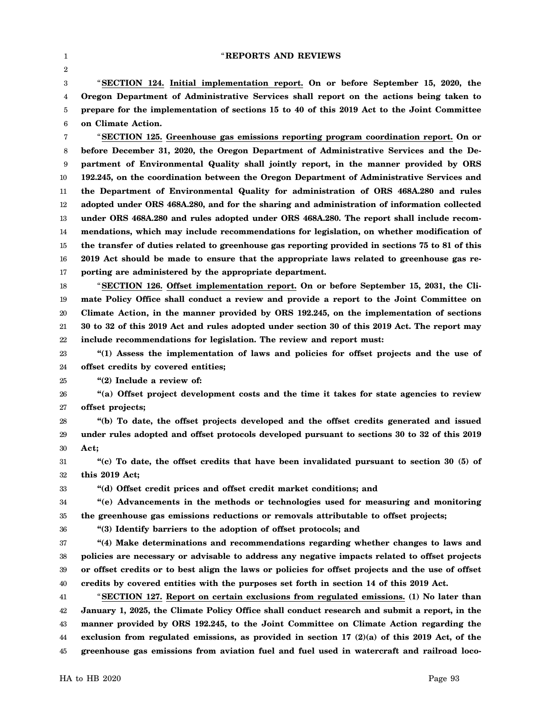### " **REPORTS AND REVIEWS**

| ٠ |
|---|

3 4 5 6 "**SECTION 124. Initial implementation report. On or before September 15, 2020, the Oregon Department of Administrative Services shall report on the actions being taken to prepare for the implementation of sections 15 to 40 of this 2019 Act to the Joint Committee on Climate Action.**

7 8 9 10 11 12 13 14 15 16 17 "**SECTION 125. Greenhouse gas emissions reporting program coordination report. On or before December 31, 2020, the Oregon Department of Administrative Services and the Department of Environmental Quality shall jointly report, in the manner provided by ORS 192.245, on the coordination between the Oregon Department of Administrative Services and the Department of Environmental Quality for administration of ORS 468A.280 and rules adopted under ORS 468A.280, and for the sharing and administration of information collected under ORS 468A.280 and rules adopted under ORS 468A.280. The report shall include recommendations, which may include recommendations for legislation, on whether modification of the transfer of duties related to greenhouse gas reporting provided in sections 75 to 81 of this 2019 Act should be made to ensure that the appropriate laws related to greenhouse gas reporting are administered by the appropriate department.**

18 19 20 21 22 "**SECTION 126. Offset implementation report. On or before September 15, 2031, the Climate Policy Office shall conduct a review and provide a report to the Joint Committee on Climate Action, in the manner provided by ORS 192.245, on the implementation of sections 30 to 32 of this 2019 Act and rules adopted under section 30 of this 2019 Act. The report may include recommendations for legislation. The review and report must:**

23 24 **"(1) Assess the implementation of laws and policies for offset projects and the use of offset credits by covered entities;**

25 **"(2) Include a review of:**

26 27 **"(a) Offset project development costs and the time it takes for state agencies to review offset projects;**

28 29 30 **"(b) To date, the offset projects developed and the offset credits generated and issued under rules adopted and offset protocols developed pursuant to sections 30 to 32 of this 2019 Act;**

31 32 **"(c) To date, the offset credits that have been invalidated pursuant to section 30 (5) of this 2019 Act;**

33

**"(d) Offset credit prices and offset credit market conditions; and**

34 35 **"(e) Advancements in the methods or technologies used for measuring and monitoring the greenhouse gas emissions reductions or removals attributable to offset projects;**

36

**"(3) Identify barriers to the adoption of offset protocols; and**

37 38 39 40 **"(4) Make determinations and recommendations regarding whether changes to laws and policies are necessary or advisable to address any negative impacts related to offset projects or offset credits or to best align the laws or policies for offset projects and the use of offset credits by covered entities with the purposes set forth in section 14 of this 2019 Act.**

41 42 43 44 45 "**SECTION 127. Report on certain exclusions from regulated emissions. (1) No later than January 1, 2025, the Climate Policy Office shall conduct research and submit a report, in the manner provided by ORS 192.245, to the Joint Committee on Climate Action regarding the exclusion from regulated emissions, as provided in section 17 (2)(a) of this 2019 Act, of the greenhouse gas emissions from aviation fuel and fuel used in watercraft and railroad loco-**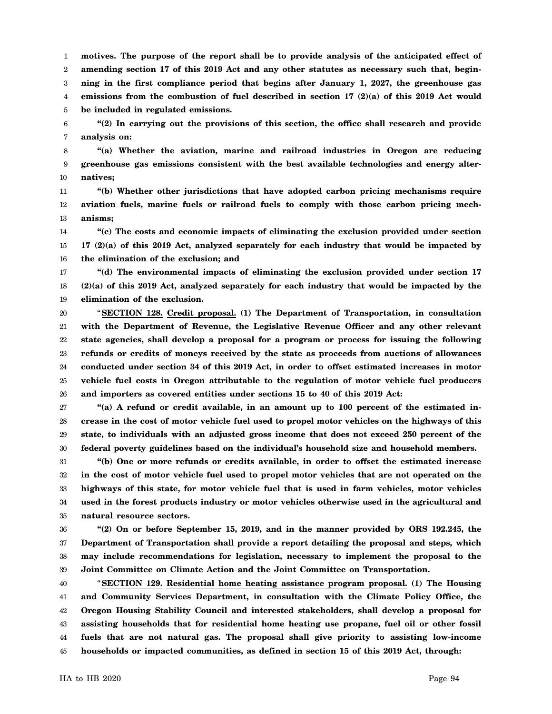1 2 3 4 5 **motives. The purpose of the report shall be to provide analysis of the anticipated effect of amending section 17 of this 2019 Act and any other statutes as necessary such that, beginning in the first compliance period that begins after January 1, 2027, the greenhouse gas emissions from the combustion of fuel described in section 17 (2)(a) of this 2019 Act would be included in regulated emissions.**

6 7 **"(2) In carrying out the provisions of this section, the office shall research and provide analysis on:**

8 9 10 **"(a) Whether the aviation, marine and railroad industries in Oregon are reducing greenhouse gas emissions consistent with the best available technologies and energy alternatives;**

11 12 13 **"(b) Whether other jurisdictions that have adopted carbon pricing mechanisms require aviation fuels, marine fuels or railroad fuels to comply with those carbon pricing mechanisms;**

14 15 16 **"(c) The costs and economic impacts of eliminating the exclusion provided under section 17 (2)(a) of this 2019 Act, analyzed separately for each industry that would be impacted by the elimination of the exclusion; and**

17 18 19 **"(d) The environmental impacts of eliminating the exclusion provided under section 17 (2)(a) of this 2019 Act, analyzed separately for each industry that would be impacted by the elimination of the exclusion.**

20 21 22 23 24 25 26 "**SECTION 128. Credit proposal. (1) The Department of Transportation, in consultation with the Department of Revenue, the Legislative Revenue Officer and any other relevant state agencies, shall develop a proposal for a program or process for issuing the following refunds or credits of moneys received by the state as proceeds from auctions of allowances conducted under section 34 of this 2019 Act, in order to offset estimated increases in motor vehicle fuel costs in Oregon attributable to the regulation of motor vehicle fuel producers and importers as covered entities under sections 15 to 40 of this 2019 Act:**

27 28 29 30 **"(a) A refund or credit available, in an amount up to 100 percent of the estimated increase in the cost of motor vehicle fuel used to propel motor vehicles on the highways of this state, to individuals with an adjusted gross income that does not exceed 250 percent of the federal poverty guidelines based on the individual's household size and household members.**

31 32 33 34 35 **"(b) One or more refunds or credits available, in order to offset the estimated increase in the cost of motor vehicle fuel used to propel motor vehicles that are not operated on the highways of this state, for motor vehicle fuel that is used in farm vehicles, motor vehicles used in the forest products industry or motor vehicles otherwise used in the agricultural and natural resource sectors.**

36 37 38 39 **"(2) On or before September 15, 2019, and in the manner provided by ORS 192.245, the Department of Transportation shall provide a report detailing the proposal and steps, which may include recommendations for legislation, necessary to implement the proposal to the Joint Committee on Climate Action and the Joint Committee on Transportation.**

40 41 42 43 44 45 "**SECTION 129. Residential home heating assistance program proposal. (1) The Housing and Community Services Department, in consultation with the Climate Policy Office, the Oregon Housing Stability Council and interested stakeholders, shall develop a proposal for assisting households that for residential home heating use propane, fuel oil or other fossil fuels that are not natural gas. The proposal shall give priority to assisting low-income households or impacted communities, as defined in section 15 of this 2019 Act, through:**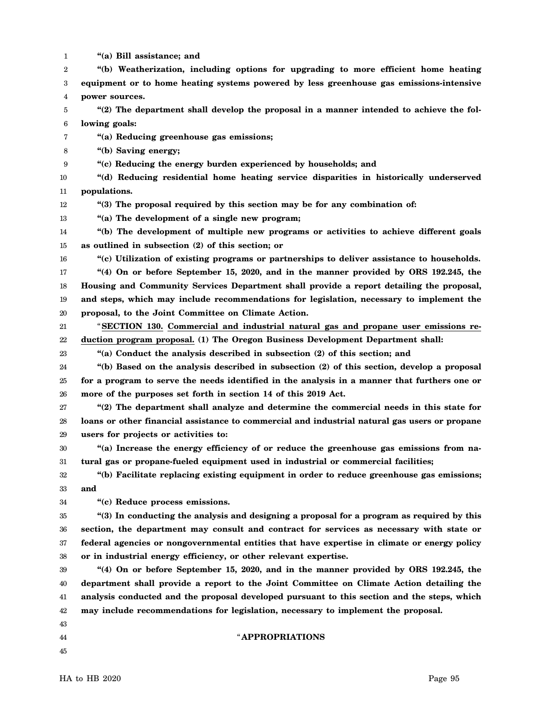1 2 3 4 5 6 7 8 9 10 11 12 13 14 15 16 17 18 19 20 21 22 23 24 25 26 27 28 29 30 31 32 33 34 35 36 37 38 39 40 41 42 43 44 45 **"(a) Bill assistance; and "(b) Weatherization, including options for upgrading to more efficient home heating equipment or to home heating systems powered by less greenhouse gas emissions-intensive power sources. "(2) The department shall develop the proposal in a manner intended to achieve the following goals: "(a) Reducing greenhouse gas emissions; "(b) Saving energy; "(c) Reducing the energy burden experienced by households; and "(d) Reducing residential home heating service disparities in historically underserved populations. "(3) The proposal required by this section may be for any combination of: "(a) The development of a single new program; "(b) The development of multiple new programs or activities to achieve different goals as outlined in subsection (2) of this section; or "(c) Utilization of existing programs or partnerships to deliver assistance to households. "(4) On or before September 15, 2020, and in the manner provided by ORS 192.245, the Housing and Community Services Department shall provide a report detailing the proposal, and steps, which may include recommendations for legislation, necessary to implement the proposal, to the Joint Committee on Climate Action.** "**SECTION 130. Commercial and industrial natural gas and propane user emissions reduction program proposal. (1) The Oregon Business Development Department shall: "(a) Conduct the analysis described in subsection (2) of this section; and "(b) Based on the analysis described in subsection (2) of this section, develop a proposal for a program to serve the needs identified in the analysis in a manner that furthers one or more of the purposes set forth in section 14 of this 2019 Act. "(2) The department shall analyze and determine the commercial needs in this state for loans or other financial assistance to commercial and industrial natural gas users or propane users for projects or activities to: "(a) Increase the energy efficiency of or reduce the greenhouse gas emissions from natural gas or propane-fueled equipment used in industrial or commercial facilities; "(b) Facilitate replacing existing equipment in order to reduce greenhouse gas emissions; and "(c) Reduce process emissions. "(3) In conducting the analysis and designing a proposal for a program as required by this section, the department may consult and contract for services as necessary with state or federal agencies or nongovernmental entities that have expertise in climate or energy policy or in industrial energy efficiency, or other relevant expertise. "(4) On or before September 15, 2020, and in the manner provided by ORS 192.245, the department shall provide a report to the Joint Committee on Climate Action detailing the analysis conducted and the proposal developed pursuant to this section and the steps, which may include recommendations for legislation, necessary to implement the proposal.** "**APPROPRIATIONS**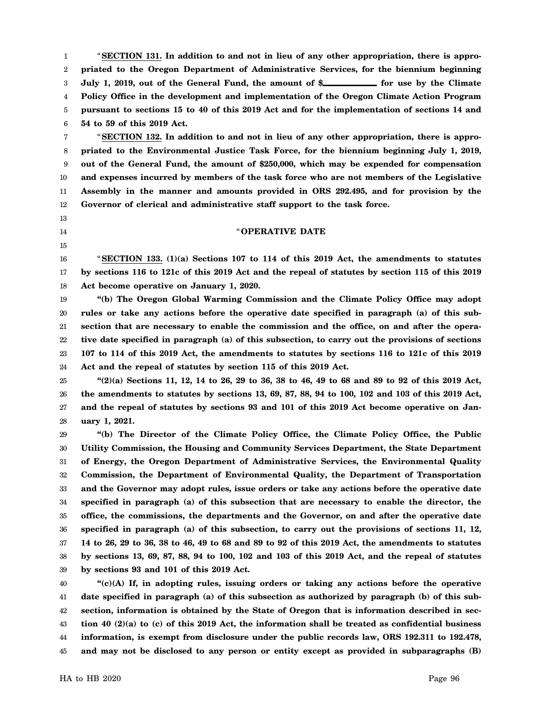1 2 3 4 5 6 "**SECTION 131. In addition to and not in lieu of any other appropriation, there is appropriated to the Oregon Department of Administrative Services, for the biennium beginning** July 1, 2019, out of the General Fund, the amount of \$\_\_\_\_\_\_\_\_\_\_ for use by the Climate **Policy Office in the development and implementation of the Oregon Climate Action Program pursuant to sections 15 to 40 of this 2019 Act and for the implementation of sections 14 and 54 to 59 of this 2019 Act.**

7 8 9 10 11 12 "**SECTION 132. In addition to and not in lieu of any other appropriation, there is appropriated to the Environmental Justice Task Force, for the biennium beginning July 1, 2019, out of the General Fund, the amount of \$250,000, which may be expended for compensation and expenses incurred by members of the task force who are not members of the Legislative Assembly in the manner and amounts provided in ORS 292.495, and for provision by the Governor of clerical and administrative staff support to the task force.**

- 13
- 14
- 15

#### " **OPERATIVE DATE**

16 17 18 "**SECTION 133. (1)(a) Sections 107 to 114 of this 2019 Act, the amendments to statutes by sections 116 to 121c of this 2019 Act and the repeal of statutes by section 115 of this 2019 Act become operative on January 1, 2020.**

19 20 21 22 23 24 **"(b) The Oregon Global Warming Commission and the Climate Policy Office may adopt rules or take any actions before the operative date specified in paragraph (a) of this subsection that are necessary to enable the commission and the office, on and after the operative date specified in paragraph (a) of this subsection, to carry out the provisions of sections 107 to 114 of this 2019 Act, the amendments to statutes by sections 116 to 121c of this 2019 Act and the repeal of statutes by section 115 of this 2019 Act.**

25 26 27 28 **"(2)(a) Sections 11, 12, 14 to 26, 29 to 36, 38 to 46, 49 to 68 and 89 to 92 of this 2019 Act, the amendments to statutes by sections 13, 69, 87, 88, 94 to 100, 102 and 103 of this 2019 Act, and the repeal of statutes by sections 93 and 101 of this 2019 Act become operative on January 1, 2021.**

29 30 31 32 33 34 35 36 37 38 39 **"(b) The Director of the Climate Policy Office, the Climate Policy Office, the Public Utility Commission, the Housing and Community Services Department, the State Department of Energy, the Oregon Department of Administrative Services, the Environmental Quality Commission, the Department of Environmental Quality, the Department of Transportation and the Governor may adopt rules, issue orders or take any actions before the operative date specified in paragraph (a) of this subsection that are necessary to enable the director, the office, the commissions, the departments and the Governor, on and after the operative date specified in paragraph (a) of this subsection, to carry out the provisions of sections 11, 12, 14 to 26, 29 to 36, 38 to 46, 49 to 68 and 89 to 92 of this 2019 Act, the amendments to statutes by sections 13, 69, 87, 88, 94 to 100, 102 and 103 of this 2019 Act, and the repeal of statutes by sections 93 and 101 of this 2019 Act.**

40 41 42 43 44 45 **"(c)(A) If, in adopting rules, issuing orders or taking any actions before the operative date specified in paragraph (a) of this subsection as authorized by paragraph (b) of this subsection, information is obtained by the State of Oregon that is information described in section 40 (2)(a) to (c) of this 2019 Act, the information shall be treated as confidential business information, is exempt from disclosure under the public records law, ORS 192.311 to 192.478, and may not be disclosed to any person or entity except as provided in subparagraphs (B)**